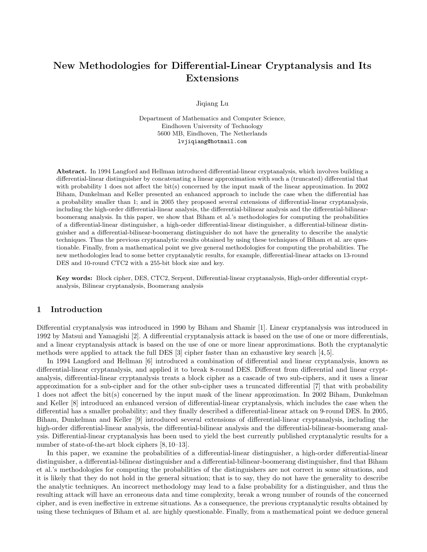# New Methodologies for Differential-Linear Cryptanalysis and Its Extensions

Jiqiang Lu

Department of Mathematics and Computer Science, Eindhoven University of Technology 5600 MB, Eindhoven, The Netherlands lvjiqiang@hotmail.com

Abstract. In 1994 Langford and Hellman introduced differential-linear cryptanalysis, which involves building a differential-linear distinguisher by concatenating a linear approximation with such a (truncated) differential that with probability 1 does not affect the bit(s) concerned by the input mask of the linear approximation. In 2002 Biham, Dunkelman and Keller presented an enhanced approach to include the case when the differential has a probability smaller than 1; and in 2005 they proposed several extensions of differential-linear cryptanalysis, including the high-order differential-linear analysis, the differential-bilinear analysis and the differential-bilinearboomerang analysis. In this paper, we show that Biham et al.'s methodologies for computing the probabilities of a differential-linear distinguisher, a high-order differential-linear distinguisher, a differential-bilinear distinguisher and a differential-bilinear-boomerang distinguisher do not have the generality to describe the analytic techniques. Thus the previous cryptanalytic results obtained by using these techniques of Biham et al. are questionable. Finally, from a mathematical point we give general methodologies for computing the probabilities. The new methodologies lead to some better cryptanalytic results, for example, differential-linear attacks on 13-round DES and 10-round CTC2 with a 255-bit block size and key.

Key words: Block cipher, DES, CTC2, Serpent, Differential-linear cryptanalysis, High-order differential cryptanalysis, Bilinear cryptanalysis, Boomerang analysis

# 1 Introduction

Differential cryptanalysis was introduced in 1990 by Biham and Shamir [1]. Linear cryptanalysis was introduced in 1992 by Matsui and Yamagishi [2]. A differential cryptanalysis attack is based on the use of one or more differentials, and a linear cryptanalysis attack is based on the use of one or more linear approximations. Both the cryptanalytic methods were applied to attack the full DES [3] cipher faster than an exhaustive key search [4, 5].

In 1994 Langford and Hellman [6] introduced a combination of differential and linear cryptanalysis, known as differential-linear cryptanalysis, and applied it to break 8-round DES. Different from differential and linear cryptanalysis, differential-linear cryptanalysis treats a block cipher as a cascade of two sub-ciphers, and it uses a linear approximation for a sub-cipher and for the other sub-cipher uses a truncated differential [7] that with probability 1 does not affect the bit(s) concerned by the input mask of the linear approximation. In 2002 Biham, Dunkelman and Keller [8] introduced an enhanced version of differential-linear cryptanalysis, which includes the case when the differential has a smaller probability; and they finally described a differential-linear attack on 9-round DES. In 2005, Biham, Dunkelman and Keller [9] introduced several extensions of differential-linear cryptanalysis, including the high-order differential-linear analysis, the differential-bilinear analysis and the differential-bilinear-boomerang analysis. Differential-linear cryptanalysis has been used to yield the best currently published cryptanalytic results for a number of state-of-the-art block ciphers [8, 10–13].

In this paper, we examine the probabilities of a differential-linear distinguisher, a high-order differential-linear distinguisher, a differential-bilinear distinguisher and a differential-bilinear-boomerang distinguisher, find that Biham et al.'s methodologies for computing the probabilities of the distinguishers are not correct in some situations, and it is likely that they do not hold in the general situation; that is to say, they do not have the generality to describe the analytic techniques. An incorrect methodology may lead to a false probability for a distinguisher, and thus the resulting attack will have an erroneous data and time complexity, break a wrong number of rounds of the concerned cipher, and is even ineffective in extreme situations. As a consequence, the previous cryptanalytic results obtained by using these techniques of Biham et al. are highly questionable. Finally, from a mathematical point we deduce general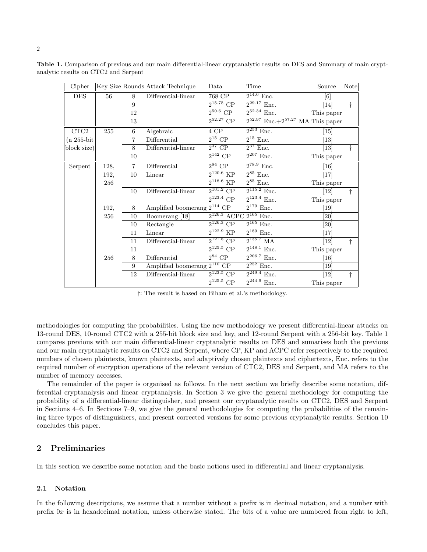| Cipher       |      |                | Key Size Rounds Attack Technique | Data                            | Time                                        | Source            | <b>Note</b> |
|--------------|------|----------------|----------------------------------|---------------------------------|---------------------------------------------|-------------------|-------------|
| <b>DES</b>   | 56   | 8              | Differential-linear              | 768 CP                          | $2^{14.6}$ Enc.                             | $\lceil 6 \rceil$ |             |
|              |      | 9              |                                  | $2^{15.75}$ CP                  | $2^{29.17}$ Enc.                            | [14]              | t           |
|              |      | 12             |                                  | $2^{50.6}$ CP                   | $2^{52.34}$ Enc.                            | This paper        |             |
|              |      | 13             |                                  | $2^{52.27}$ CP                  | $2^{52.97}$ Enc.+ $2^{57.27}$ MA This paper |                   |             |
| CTC2         | 255  | 6              | Algebraic                        | 4 CP                            | $2^{253}$ Enc.                              | $\vert 15 \vert$  |             |
| $(a 255-bit$ |      | $\overline{7}$ | Differential                     | $2^{15}$ CP                     | $2^{15}$ Enc.                               | $[13]$            |             |
| block size)  |      | 8              | Differential-linear              | $2^{37}$ CP                     | $2^{37}$ Enc.                               | $\left[13\right]$ | t           |
|              |      | 10             |                                  | $2^{142}$ CP                    | $2^{207}$ Enc.                              | This paper        |             |
| Serpent      | 128, | $\overline{7}$ | Differential                     | $2^{84}$ CP                     | $2^{78.9}$ Enc.                             | [16]              |             |
|              | 192, | 10             | Linear                           | $2^{120.6}$ KP                  | $2^{85}$ Enc.                               | $[17]$            |             |
|              | 256  |                |                                  | $2^{118.6}$ KP                  | $2^{85}$ Enc.                               | This paper        |             |
|              |      | 10             | Differential-linear              | $2^{101.2}$ CP                  | $2^{115.2}$ Enc.                            | [12]              | t           |
|              |      |                |                                  | $2^{123.4}$ CP                  | $2^{123.4}$ Enc.                            | This paper        |             |
|              | 192, | 8              | Amplified boomerang $2^{114}$ CP |                                 | $2^{179}$ Enc.                              | [19]              |             |
|              | 256  | 10             | Boomerang [18]                   | $2^{126.3}$ ACPC $2^{165}$ Enc. |                                             | [20]              |             |
|              |      | 10             | Rectangle                        | $2^{126.3}$ CP                  | $2^{165}$ Enc.                              | [20]              |             |
|              |      | 11             | Linear                           | $2^{122.9}$ KP                  | $2^{189}$ Enc.                              | [17]              |             |
|              |      | 11             | Differential-linear              | $2^{121.8}$ CP                  | $\sqrt{2^{135.7} M A}$                      | $[12]$            | $\dagger$   |
|              |      | 11             |                                  | $2^{125.5}$ CP                  | $2^{148.1}$ Enc.                            | This paper        |             |
|              | 256  | 8              | Differential                     | $2^{84}$ CP                     | $2^{206.7}$ Enc.                            | [16]              |             |
|              |      | 9              | Amplified boomerang $2^{110}$ CP |                                 | $2^{252}$ Enc.                              | $\left[19\right]$ |             |
|              |      | 12             | Differential-linear              | $2^{123.5}$ CP                  | $2^{249.4}$ Enc.                            | $[12]$            | t           |
|              |      |                |                                  | $2^{125.5}$ CP                  | $2^{244.9}$ Enc.                            | This paper        |             |

Table 1. Comparison of previous and our main differential-linear cryptanalytic results on DES and Summary of main cryptanalytic results on CTC2 and Serpent

†: The result is based on Biham et al.'s methodology.

methodologies for computing the probabilities. Using the new methodology we present differential-linear attacks on 13-round DES, 10-round CTC2 with a 255-bit block size and key, and 12-round Serpent with a 256-bit key. Table 1 compares previous with our main differential-linear cryptanalytic results on DES and sumarises both the previous and our main cryptanalytic results on CTC2 and Serpent, where CP, KP and ACPC refer respectively to the required numbers of chosen plaintexts, known plaintexts, and adaptively chosen plaintexts and ciphertexts, Enc. refers to the required number of encryption operations of the relevant version of CTC2, DES and Serpent, and MA refers to the number of memory accesses.

The remainder of the paper is organised as follows. In the next section we briefly describe some notation, differential cryptanalysis and linear cryptanalysis. In Section 3 we give the general methodology for computing the probability of a differential-linear distinguisher, and present our cryptanalytic results on CTC2, DES and Serpent in Sections 4–6. In Sections 7–9, we give the general methodologies for computing the probabilities of the remaining three types of distinguishers, and present corrected versions for some previous cryptanalytic results. Section 10 concludes this paper.

# 2 Preliminaries

In this section we describe some notation and the basic notions used in differential and linear cryptanalysis.

### 2.1 Notation

In the following descriptions, we assume that a number without a prefix is in decimal notation, and a number with prefix  $0x$  is in hexadecimal notation, unless otherwise stated. The bits of a value are numbered from right to left,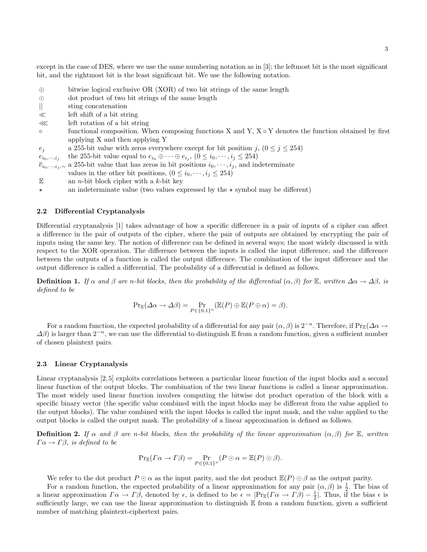except in the case of DES, where we use the same numbering notation as in [3]; the leftmost bit is the most significant bit, and the rightmost bit is the least significant bit. We use the following notation.

- ⊕ bitwise logical exclusive OR (XOR) of two bit strings of the same length
- dot product of two bit strings of the same length
- || sting concatenation
- left shift of a bit string
- ≪ left rotation of a bit string
- functional composition. When composing functions X and Y, X Y denotes the function obtained by first applying X and then applying Y
- e<sub>j</sub> a 255-bit value with zeros everywhere except for bit position j,  $(0 \le j \le 254)$
- $e_{i_0,\cdots,i_j}$ the 255-bit value equal to  $e_{i_0} \oplus \cdots \oplus e_{i_j}$ ,  $(0 \leq i_0, \dots, i_j \leq 254)$
- $\overline{e}_{i_0,\dots,i_j,\sim}$  a 255-bit value that has zeros in bit positions  $i_0,\dots,i_j$ , and indeterminate
- values in the other bit positions,  $(0 \leq i_0, \dots, i_j \leq 254)$
- $\mathbb E$  an *n*-bit block cipher with a *k*-bit key
- $\star$  an indeterminate value (two values expressed by the  $\star$  symbol may be different)

### 2.2 Differential Cryptanalysis

Differential cryptanalysis [1] takes advantage of how a specific difference in a pair of inputs of a cipher can affect a difference in the pair of outputs of the cipher, where the pair of outputs are obtained by encrypting the pair of inputs using the same key. The notion of difference can be defined in several ways; the most widely discussed is with respect to the XOR operation. The difference between the inputs is called the input difference, and the difference between the outputs of a function is called the output difference. The combination of the input difference and the output difference is called a differential. The probability of a differential is defined as follows.

**Definition 1.** If  $\alpha$  and  $\beta$  are n-bit blocks, then the probability of the differential  $(\alpha, \beta)$  for E, written  $\Delta \alpha \to \Delta \beta$ , is defined to be

$$
\Pr_{\mathbb{E}}(\Delta \alpha \to \Delta \beta) = \Pr_{P \in \{0,1\}^n} (\mathbb{E}(P) \oplus \mathbb{E}(P \oplus \alpha) = \beta).
$$

For a random function, the expected probability of a differential for any pair  $(\alpha, \beta)$  is  $2^{-n}$ . Therefore, if Pr<sub>E</sub>( $\Delta \alpha \rightarrow$  $\Delta\beta$ ) is larger than  $2^{-n}$ , we can use the differential to distinguish E from a random function, given a sufficient number of chosen plaintext pairs.

### 2.3 Linear Cryptanalysis

Linear cryptanalysis [2, 5] exploits correlations between a particular linear function of the input blocks and a second linear function of the output blocks. The combination of the two linear functions is called a linear approximation. The most widely used linear function involves computing the bitwise dot product operation of the block with a specific binary vector (the specific value combined with the input blocks may be different from the value applied to the output blocks). The value combined with the input blocks is called the input mask, and the value applied to the output blocks is called the output mask. The probability of a linear approximation is defined as follows.

**Definition 2.** If  $\alpha$  and  $\beta$  are n-bit blocks, then the probability of the linear approximation  $(\alpha, \beta)$  for E, written  $\Gamma \alpha \rightarrow \Gamma \beta$ , is defined to be

$$
\Pr_{\mathbb{E}}(I\alpha \to \Gamma \beta) = \Pr_{P \in \{0,1\}^n} (P \odot \alpha = \mathbb{E}(P) \odot \beta).
$$

We refer to the dot product  $P \odot \alpha$  as the input parity, and the dot product  $\mathbb{E}(P) \odot \beta$  as the output parity.

For a random function, the expected probability of a linear approximation for any pair  $(\alpha, \beta)$  is  $\frac{1}{2}$ . The bias of a linear approximation  $\Gamma \alpha \to \Gamma \beta$ , denoted by  $\epsilon$ , is defined to be  $\epsilon = |\Pr_{\mathbb{E}}(\Gamma \alpha \to \Gamma \beta) - \frac{1}{2}|$ . Thus, if the bias  $\epsilon$  is sufficiently large, we can use the linear approximation to distinguish E from a random function, given a sufficient number of matching plaintext-ciphertext pairs.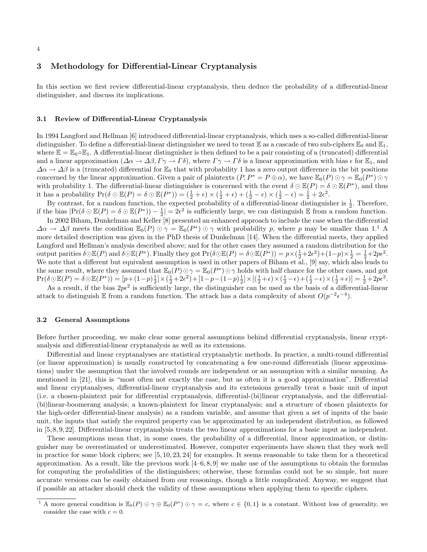#### 4

### 3 Methodology for Differential-Linear Cryptanalysis

In this section we first review differential-linear cryptanalysis, then deduce the probability of a differential-linear distinguisher, and discuss its implications.

#### 3.1 Review of Differential-Linear Cryptanalysis

In 1994 Langford and Hellman [6] introduced differential-linear cryptanalysis, which uses a so-called differential-linear distinguisher. To define a differential-linear distinguisher we need to treat  $\mathbb E$  as a cascade of two sub-ciphers  $\mathbb E_0$  and  $\mathbb E_1$ , where  $\mathbb{E} = \mathbb{E}_0 \circ \mathbb{E}_1$ . A differential-linear distinguisher is then defined to be a pair consisting of a (truncated) differential and a linear approximation  $(\Delta \alpha \to \Delta \beta, \Gamma \gamma \to \Gamma \delta)$ , where  $\Gamma \gamma \to \Gamma \delta$  is a linear approximation with bias  $\epsilon$  for  $\mathbb{E}_1$ , and  $\Delta \alpha \rightarrow \Delta \beta$  is a (truncated) differential for  $\mathbb{E}_0$  that with probability 1 has a zero output difference in the bit positions concerned by the linear approximation. Given a pair of plaintexts  $(P, P^* = P \oplus \alpha)$ , we have  $\mathbb{E}_0(P) \odot \gamma = \mathbb{E}_0(P^*) \odot \gamma$ with probability 1. The differential-linear distinguisher is concerned with the event  $\delta \odot \mathbb{E}(P) = \delta \odot \mathbb{E}(P^*)$ , and thus it has a probability  $\Pr(\delta \odot \mathbb{E}(P) = \delta \odot \mathbb{E}(P^*)) = (\frac{1}{2} + \epsilon) \times (\frac{1}{2} + \epsilon) + (\frac{1}{2} - \epsilon) \times (\frac{1}{2} - \epsilon) = \frac{1}{2} + 2\epsilon^2$ .

By contrast, for a random function, the expected probability of a differential-linear distinguisher is  $\frac{1}{2}$ . Therefore, if the bias  $|\Pr(\delta \odot \mathbb{E}(P) = \delta \odot \mathbb{E}(P^*)) - \frac{1}{2}| = 2\epsilon^2$  is sufficiently large, we can distinguish  $\mathbb{E}$  from a random function.

In 2002 Biham, Dunkelman and Keller [8] presented an enhanced approach to include the case when the differential  $\Delta \alpha \to \Delta \beta$  meets the condition  $\mathbb{E}_0(P) \odot \gamma = \mathbb{E}_0(P^*) \odot \gamma$  with probability p, where p may be smaller than 1.<sup>1</sup> A more detailed description was given in the PhD thesis of Dunkelman [14]. When the differential meets, they applied Langford and Hellman's analysis described above; and for the other cases they assumed a random distribution for the output parities  $\delta \odot \mathbb{E}(P)$  and  $\delta \odot \mathbb{E}(P^*)$ . Finally they got  $\Pr(\delta \odot \mathbb{E}(P) = \delta \odot \mathbb{E}(P^*)) = p \times (\frac{1}{2} + 2\epsilon^2) + (1-p) \times \frac{1}{2} = \frac{1}{2} + 2p\epsilon^2$ . We note that a different but equivalent assumption is used in other papers of Biham et al., [9] say, which also leads to the same result, where they assumed that  $\mathbb{E}_0(P) \odot \gamma = \mathbb{E}_0(P^*) \odot \gamma$  holds with half chance for the other cases, and got  $\Pr(\delta\odot\mathbb{E}(P) = \delta\odot\mathbb{E}(P^*)) = [p + (1-p)\frac{1}{2}] \times (\frac{1}{2}+2\epsilon^2) + [1-p - (1-p)\frac{1}{2}] \times [(\frac{1}{2}+\epsilon) \times (\frac{1}{2}-\epsilon) + (\frac{1}{2}-\epsilon) \times (\frac{1}{2}+\epsilon)] = \frac{1}{2}+2p\epsilon^2.$ 

As a result, if the bias  $2p\epsilon^2$  is sufficiently large, the distinguisher can be used as the basis of a differential-linear attack to distinguish E from a random function. The attack has a data complexity of about  $O(p^{-2} \epsilon^{-4})$ .

### 3.2 General Assumptions

Before further proceeding, we make clear some general assumptions behind differential cryptanalysis, linear cryptanalysis and differential-linear cryptanalysis as well as its extensions.

Differential and linear cryptanalyses are statistical cryptanalytic methods. In practice, a multi-round differential (or linear approximation) is usually constructed by concatenating a few one-round differentials (linear approximations) under the assumption that the involved rounds are independent or an assumption with a similar meaning. As mentioned in [21], this is "most often not exactly the case, but as often it is a good approximation". Differential and linear cryptanalyses, differential-linear cryptanalysis and its extensions generally treat a basic unit of input (i.e. a chosen-plaintext pair for differential cryptanalysis, differential-(bi)linear cryptanalysis, and the differential- (bi)linear-boomerang analysis; a known-plaintext for linear cryptanalysis; and a structure of chosen plaintexts for the high-order differential-linear analysis) as a random variable, and assume that given a set of inputs of the basic unit, the inputs that satisfy the required property can be approximated by an independent distribution, as followed in [5, 8, 9, 22]. Differential-linear cryptanalysis treats the two linear approximations for a basic input as independent.

These assumptions mean that, in some cases, the probability of a differential, linear approximation, or distinguisher may be overestimated or underestimated. However, computer experiments have shown that they work well in practice for some block ciphers; see [5, 10, 23, 24] for examples. It seems reasonable to take them for a theoretical approximation. As a result, like the previous work  $[4-6, 8, 9]$  we make use of the assumptions to obtain the formulas for computing the probabilities of the distinguishers; otherwise, these formulas could not be so simple, but more accurate versions can be easily obtained from our reasonings, though a little complicated. Anyway, we suggest that if possible an attacker should check the validity of these assumptions when applying them to specific ciphers.

<sup>&</sup>lt;sup>1</sup> A more general condition is  $\mathbb{E}_0(P) \odot \gamma \oplus \mathbb{E}_0(P^*) \odot \gamma = c$ , where  $c \in \{0,1\}$  is a constant. Without loss of generality, we consider the case with  $c = 0$ .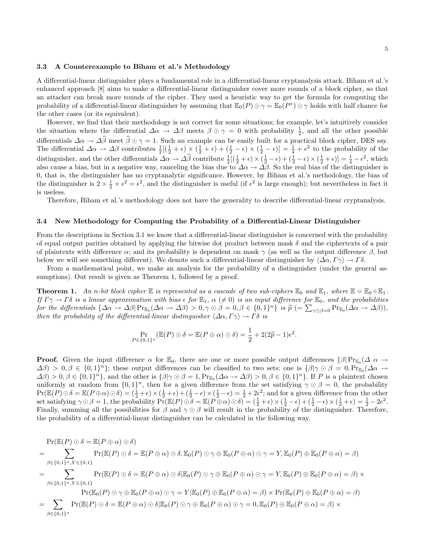#### 3.3 A Counterexample to Biham et al.'s Methodology

A differential-linear distinguisher plays a fundamental role in a differential-linear cryptanalysis attack. Biham et al.'s enhanced approach [8] aims to make a differential-linear distinguisher cover more rounds of a block cipher, so that an attacker can break more rounds of the cipher. They used a heuristic way to get the formula for computing the probability of a differential-linear distinguisher by assuming that  $\mathbb{E}_0(P) \odot \gamma = \mathbb{E}_0(P^*) \odot \gamma$  holds with half chance for the other cases (or its equivalent).

However, we find that their methodology is not correct for some situations; for example, let's intuitively consider the situation where the differential  $\Delta \alpha \to \Delta \beta$  meets  $\beta \odot \gamma = 0$  with probability  $\frac{1}{2}$ , and all the other possible 2 differentials  $\Delta \alpha \to \Delta \beta$  meet  $\beta \odot \gamma = 1$ . Such an example can be easily built for a practical block cipher, DES say.<br>The differential  $\Delta \alpha \to \Delta \beta$  contributes  $\frac{1}{2}[(\frac{1}{2} + \epsilon) \times (\frac{1}{2} + \epsilon) + (\frac{1}{2} - \epsilon) \times (\frac{1}{2} - \epsilon)]$ distinguisher, and the other differentials  $\Delta \alpha \rightarrow \Delta \hat{\beta}$  contribute  $\frac{1}{2} [(\frac{1}{2} + \epsilon) \times (\frac{1}{2} - \epsilon) + (\frac{1}{2} - \epsilon) \times (\frac{1}{2} + \epsilon)] = \frac{1}{4} - \epsilon^2$ , which also cause a bias, but in a negative way, canceling the bias due to  $\Delta \alpha \to \Delta \beta$ . So the real bias of the distinguisher is 0, that is, the distinguisher has no cryptanalytic significance. However, by Biham et al.'s methodology, the bias of the distinguisher is  $2 \times \frac{1}{2} \times \epsilon^2 = \epsilon^2$ , and the distinguisher is useful (if  $\epsilon^2$  is large enough); but nevertheless in fact it is useless.

Therefore, Biham et al.'s methodology does not have the generality to describe differential-linear cryptanalysis.

#### 3.4 New Methodology for Computing the Probability of a Differential-Linear Distinguisher

From the descriptions in Section 3.1 we know that a differential-linear distinguisher is concerned with the probability of equal output parities obtained by applying the bitwise dot product between mask  $\delta$  and the ciphertexts of a pair of plaintexts with difference  $\alpha$ ; and its probability is dependent on mask  $\gamma$  (as well as the output difference  $\beta$ , but below we will see something different). We denote such a differential-linear distinguisher by  $\langle \Delta \alpha, \Gamma \gamma \rangle \to \Gamma \delta$ .

From a mathematical point, we make an analysis for the probability of a distinguisher (under the general assumptions). Out result is given as Theorem 1, followed by a proof.

**Theorem 1.** An n-bit block cipher  $\mathbb E$  is represented as a cascade of two sub-ciphers  $\mathbb E_0$  and  $\mathbb E_1$ , where  $\mathbb E = \mathbb E_0 \circ \mathbb E_1$ . If  $\Gamma\gamma \to \Gamma\delta$  is a linear approximation with bias  $\epsilon$  for  $\mathbb{E}_1$ ,  $\alpha$  ( $\neq 0$ ) is an input difference for  $\mathbb{E}_0$ , and the probabilities for the differentials  $\{\Delta \alpha \to \Delta \beta | \Pr_{E_0}(\Delta \alpha \to \Delta \beta) > 0, \gamma \odot \beta = 0, \beta \in \{0,1\}^n\}$  is  $\hat{p} = \sum_{\gamma \odot \beta = 0} \Pr_{E_0}(\Delta \alpha \to \Delta \beta)$ ,<br>then the probability of the differential linear distinguisher  $(\Delta \alpha, F\alpha) \to F\delta$  is then the probability of the differential-linear distinguisher  $\langle\Delta\alpha,\Gamma\gamma\rangle\to\Gamma\delta$  is

$$
\Pr_{P \in \{0,1\}^n} (\mathbb{E}(P) \odot \delta = \mathbb{E}(P \oplus \alpha) \odot \delta) = \frac{1}{2} + 2(2\hat{p} - 1)\epsilon^2.
$$

**Proof.** Given the input difference  $\alpha$  for  $\mathbb{E}_0$ , there are one or more possible output differences  $\{\beta | \Pr_{\mathbb{E}_0}(\Delta \alpha \rightarrow \mathbb{E}_0)$  $\Delta\beta$ ) > 0,  $\beta \in \{0,1\}^n\};$  these output differences can be classified to two sets: one is  $\{\beta | \gamma \odot \beta = 0, \Pr_{\mathbb{E}_0}(\Delta\alpha \rightarrow \beta)\}$  $\Delta\beta$  > 0,  $\beta \in \{0,1\}^n$ , and the other is  $\{\beta | \gamma \odot \beta = 1$ ,  $Pr_{\mathbb{E}_0}(\Delta \alpha \to \Delta \beta) > 0$ ,  $\beta \in \{0,1\}^n$ . If P is a plaintext chosen uniformly at random from  $\{0,1\}^n$ , then for a given difference from the set satisfying  $\gamma \odot \beta = 0$ , the probability  $\Pr(\mathbb{E}(P) \odot \delta = \mathbb{E}(P \oplus \alpha) \odot \delta) = (\frac{1}{2} + \epsilon) \times (\frac{1}{2} + \epsilon) + (\frac{1}{2} - \epsilon) \times (\frac{1}{2} - \epsilon) = \frac{1}{2} + 2\epsilon^2$ ; and for a given difference from the other set satisfying  $\gamma \odot \beta = 1$ , the probability  $\Pr(\mathbb{E}(P) \odot \delta = \mathbb{E}(P \oplus \alpha) \odot \delta) = (\frac{1}{2} + \epsilon) \times (\frac{1}{2} - \epsilon) + (\frac{1}{2} - \epsilon) \times (\frac{1}{2} + \epsilon) = \frac{1}{2} - 2\epsilon^2$ . Finally, summing all the possibilities for  $\beta$  and  $\gamma \odot \beta$  will result in the probability of the distinguisher. Therefore, the probability of a differential-linear distinguisher can be calculated in the following way.

$$
\Pr(\mathbb{E}(P) \odot \delta = \mathbb{E}(P \oplus \alpha) \odot \delta)
$$
\n
$$
= \sum_{\beta \in \{0,1\}^n, Y \in \{0,1\}} \Pr(\mathbb{E}(P) \odot \delta = \mathbb{E}(P \oplus \alpha) \odot \delta, \mathbb{E}_0(P) \odot \gamma \oplus \mathbb{E}_0(P \oplus \alpha) \odot \gamma = Y, \mathbb{E}_0(P) \oplus \mathbb{E}_0(P \oplus \alpha) = \beta)
$$
\n
$$
= \sum_{\beta \in \{0,1\}^n, Y \in \{0,1\}} \Pr(\mathbb{E}(P) \odot \delta = \mathbb{E}(P \oplus \alpha) \odot \delta | \mathbb{E}_0(P) \odot \gamma \oplus \mathbb{E}_0(P \oplus \alpha) \odot \gamma = Y, \mathbb{E}_0(P) \oplus \mathbb{E}_0(P \oplus \alpha) = \beta) \times
$$
\n
$$
\Pr(\mathbb{E}_0(P) \odot \gamma \oplus \mathbb{E}_0(P \oplus \alpha) \odot \gamma = Y | \mathbb{E}_0(P) \oplus \mathbb{E}_0(P \oplus \alpha) = \beta) \times \Pr(\mathbb{E}_0(P) \oplus \mathbb{E}_0(P \oplus \alpha) = \beta)
$$
\n
$$
= \sum_{\beta \in \{0,1\}^n} \Pr(\mathbb{E}(P) \odot \delta = \mathbb{E}(P \oplus \alpha) \odot \delta | \mathbb{E}_0(P) \odot \gamma \oplus \mathbb{E}_0(P \oplus \alpha) \odot \gamma = 0, \mathbb{E}_0(P) \oplus \mathbb{E}_0(P \oplus \alpha) = \beta) \times
$$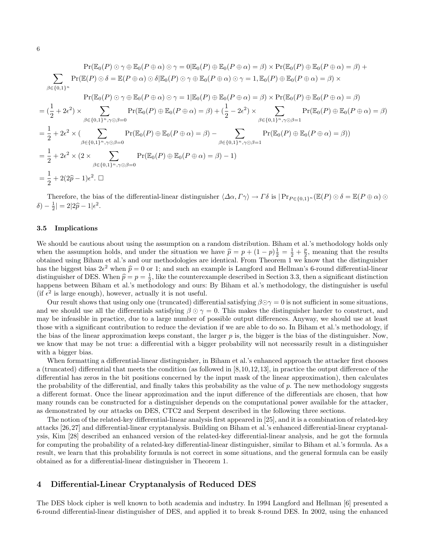$$
\Pr(\mathbb{E}_{0}(P) \odot \gamma \oplus \mathbb{E}_{0}(P \oplus \alpha) \odot \gamma = 0 | \mathbb{E}_{0}(P) \oplus \mathbb{E}_{0}(P \oplus \alpha) = \beta) \times \Pr(\mathbb{E}_{0}(P) \oplus \mathbb{E}_{0}(P \oplus \alpha) = \beta) + \sum_{\beta \in \{0,1\}^{n}} \Pr(\mathbb{E}(P) \odot \delta = \mathbb{E}(P \oplus \alpha) \odot \delta | \mathbb{E}_{0}(P) \odot \gamma \oplus \mathbb{E}_{0}(P \oplus \alpha) \odot \gamma = 1, \mathbb{E}_{0}(P) \oplus \mathbb{E}_{0}(P \oplus \alpha) = \beta) \times \Pr(\mathbb{E}_{0}(P) \oplus \mathbb{E}_{0}(P \oplus \alpha) = \beta) \times \Pr(\mathbb{E}_{0}(P) \oplus \mathbb{E}_{0}(P \oplus \alpha) = \beta) \times \Pr(\mathbb{E}_{0}(P) \oplus \mathbb{E}_{0}(P \oplus \alpha) = \beta) \right)
$$
\n
$$
= (\frac{1}{2} + 2\epsilon^{2}) \times \sum_{\beta \in \{0,1\}^{n}, \gamma \odot \beta = 0} \Pr(\mathbb{E}_{0}(P) \oplus \mathbb{E}_{0}(P \oplus \alpha) = \beta) + (\frac{1}{2} - 2\epsilon^{2}) \times \sum_{\beta \in \{0,1\}^{n}, \gamma \odot \beta = 1} \Pr(\mathbb{E}_{0}(P) \oplus \mathbb{E}_{0}(P \oplus \alpha) = \beta)
$$
\n
$$
= \frac{1}{2} + 2\epsilon^{2} \times (\sum_{\beta \in \{0,1\}^{n}, \gamma \odot \beta = 0} \Pr(\mathbb{E}_{0}(P) \oplus \mathbb{E}_{0}(P \oplus \alpha) = \beta) - \sum_{\beta \in \{0,1\}^{n}, \gamma \odot \beta = 1} \Pr(\mathbb{E}_{0}(P) \oplus \mathbb{E}_{0}(P \oplus \alpha) = \beta))
$$
\n
$$
= \frac{1}{2} + 2\epsilon^{2} \times (2 \times \sum_{\beta \in \{0,1\}^{n}, \gamma \odot \beta = 0} \Pr(\mathbb{E}_{0}(P) \oplus \mathbb{E}_{0}(P \oplus \alpha
$$

Therefore, the bias of the differential-linear distinguisher  $\langle \Delta \alpha, \Gamma \gamma \rangle \to \Gamma \delta$  is  $|\Pr_{P \in \{0,1\}^n}(\mathbb{E}(P) \odot \delta = \mathbb{E}(P \oplus \alpha) \odot$  $\delta$ ) –  $\frac{1}{2}| = 2|2\hat{p} - 1|\epsilon^2$ .

#### 3.5 Implications

We should be cautious about using the assumption on a random distribution. Biham et al.'s methodology holds only when the assumption holds, and under the situation we have  $\hat{p} = p + (1 - p)\frac{1}{2} = \frac{1}{2} + \frac{p}{2}$ , meaning that the results<br>obtained using Biham et al.'s and our methodologies are identical. From Theorem 1 we know that the obtained using Biham et al.'s and our methodologies are identical. From Theorem 1 we know that the distinguisher has the biggest bias  $2\epsilon^2$  when  $\hat{p} = 0$  or 1; and such an example is Langford and Hellman's 6-round differential-linear<br>distinguisher of DES. When  $\hat{p} = n - 1$ , like the counterparamele described in Section 2.2, then distinguisher of DES. When  $\hat{p} = p = \frac{1}{2}$ , like the counterexample described in Section 3.3, then a significant distinction happens between Biham et al.'s methodology and ourse By Biham et al.'s methodology the distinc happens between Biham et al.'s methodology and ours: By Biham et al.'s methodology, the distinguisher is useful (if  $\epsilon^2$  is large enough), however, actually it is not useful.

Our result shows that using only one (truncated) differential satisfying  $\beta \odot \gamma = 0$  is not sufficient in some situations, and we should use all the differentials satisfying  $\beta \odot \gamma = 0$ . This makes the distinguisher harder to construct, and may be infeasible in practice, due to a large number of possible output differences. Anyway, we should use at least those with a significant contribution to reduce the deviation if we are able to do so. In Biham et al.'s methodology, if the bias of the linear approximation keeps constant, the larger  $p$  is, the bigger is the bias of the distinguisher. Now, we know that may be not true: a differential with a bigger probability will not necessarily result in a distinguisher with a bigger bias.

When formatting a differential-linear distinguisher, in Biham et al.'s enhanced approach the attacker first chooses a (truncated) differential that meets the condition (as followed in [8,10,12,13], in practice the output difference of the differential has zeros in the bit positions concerned by the input mask of the linear approximation), then calculates the probability of the differential, and finally takes this probability as the value of  $p$ . The new methodology suggests a different format. Once the linear approximation and the input difference of the differentials are chosen, that how many rounds can be constructed for a distinguisher depends on the computational power available for the attacker, as demonstrated by our attacks on DES, CTC2 and Serpent described in the following three sections.

The notion of the related-key differential-linear analysis first appeared in [25], and it is a combination of related-key attacks [26,27] and differential-linear cryptanalysis. Building on Biham et al.'s enhanced differential-linear cryptanalysis, Kim [28] described an enhanced version of the related-key differential-linear analysis, and he got the formula for computing the probability of a related-key differential-linear distinguisher, similar to Biham et al.'s formula. As a result, we learn that this probability formula is not correct in some situations, and the general formula can be easily obtained as for a differential-linear distinguisher in Theorem 1.

### 4 Differential-Linear Cryptanalysis of Reduced DES

The DES block cipher is well known to both academia and industry. In 1994 Langford and Hellman [6] presented a 6-round differential-linear distinguisher of DES, and applied it to break 8-round DES. In 2002, using the enhanced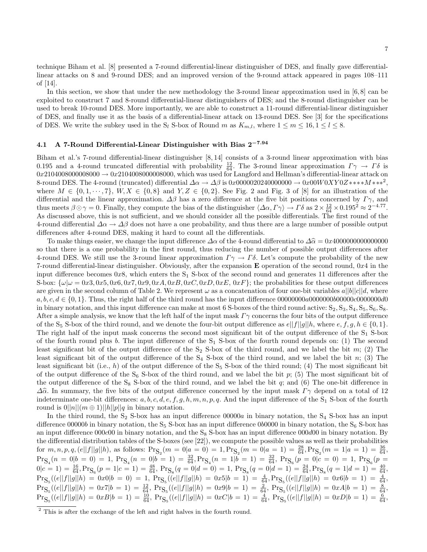technique Biham et al. [8] presented a 7-round differential-linear distinguisher of DES, and finally gave differentiallinear attacks on 8 and 9-round DES; and an improved version of the 9-round attack appeared in pages 108–111 of [14].

In this section, we show that under the new methodology the 3-round linear approximation used in [6,8] can be exploited to construct 7 and 8-round differential-linear distinguishers of DES; and the 8-round distinguisher can be used to break 10-round DES. More importantly, we are able to construct a 11-round differential-linear distinguisher of DES, and finally use it as the basis of a differential-linear attack on 13-round DES. See [3] for the specifications of DES. We write the subkey used in the S<sub>l</sub> S-box of Round m as  $K_{m,l}$ , where  $1 \le m \le 16, 1 \le l \le 8$ .

# 4.1 A 7-Round Differential-Linear Distinguisher with Bias 2−7.<sup>94</sup>

Biham et al.'s 7-round differential-linear distinguisher [8, 14] consists of a 3-round linear approximation with bias 0.195 and a 4-round truncated differential with probability  $\frac{12}{64}$ . The 3-round linear approximation  $\Gamma \gamma \to \Gamma \delta$  is  $0x210400800008000 \rightarrow 0x210400800008000$ , which was used for Langford and Hellman's differential-linear attack on 8-round DES. The 4-round (truncated) differential  $\Delta \alpha \to \Delta \beta$  is 0x0000020240000000  $\to 0x00W0XY0Z***M***^2$ , where  $M \in \{0, 1, \dots, 7\}, W, X \in \{0, 8\}$  and  $Y, Z \in \{0, 2\}.$  See Fig. 2 and Fig. 3 of [8] for an illustration of the differential and the linear approximation.  $\Delta\beta$  has a zero difference at the five bit positions concerned by  $\Gamma\gamma$ , and thus meets  $\beta \odot \gamma = 0$ . Finally, they compute the bias of the distinguisher  $\langle \Delta \alpha, \Gamma \gamma \rangle \rightarrow \Gamma \delta$  as  $2 \times \frac{12}{64} \times 0.195^2 \approx 2^{-4.77}$ . As discussed above, this is not sufficient, and we should consider all the possible differentials. The first round of the 4-round differential  $\Delta \alpha \to \Delta \beta$  does not have a one probability, and thus there are a large number of possible output differences after 4-round DES, making it hard to count all the differentials.

To make things easier, we change the input difference ∆α of the 4-round differential to ∆α<sup>b</sup> = 0x<sup>4000000000000000</sup> so that there is a one probability in the first round, thus reducing the number of possible output differences after 4-round DES. We still use the 3-round linear approximation  $\Gamma \gamma \to \Gamma \delta$ . Let's compute the probability of the new 7-round differential-linear distinguisher. Obviously, after the expansion **E** operation of the second round,  $0x4$  in the input difference becomes 0x8, which enters the  $S_1$  S-box of the second round and generates 11 differences after the S-box:  $\{\omega|\omega=0x3, 0x5, 0x6, 0x7, 0x9, 0xA, 0xB, 0xC, 0xD, 0xE, 0xF\}$ ; the probabilities for these output differences are given in the second column of Table 2. We represent  $\omega$  as a concatenation of four one-bit variables  $a||b||c||d$ , where a, b, c, d ∈ {0, 1}. Thus, the right half of the third round has the input difference 00000000a0000000b00000c0000000d0 in binary notation, and this input difference can make at most 6 S-boxes of the third round active:  $S_2, S_3, S_4, S_5, S_6, S_8$ . After a simple analysis, we know that the left half of the input mask  $\Gamma\gamma$  concerns the four bits of the output difference of the S<sub>5</sub> S-box of the third round, and we denote the four-bit output difference as  $e||f||g||h$ , where  $e, f, g, h \in \{0, 1\}$ . The right half of the input mask concerns the second most significant bit of the output difference of the S<sub>1</sub> S-box of the fourth round plus b. The input difference of the  $S_1$  S-box of the fourth round depends on: (1) The second least significant bit of the output difference of the  $S_2$  S-box of the third round, and we label the bit m; (2) The least significant bit of the output difference of the  $S_4$  S-box of the third round, and we label the bit n; (3) The least significant bit (i.e., h) of the output difference of the  $S_5$  S-box of the third round; (4) The most significant bit of the output difference of the  $S_6$  S-box of the third round, and we label the bit p; (5) The most significant bit of the output difference of the  $S_8$  S-box of the third round, and we label the bit  $q$ ; and (6) The one-bit difference in  $\Delta\hat{\alpha}$ . In summary, the five bits of the output difference concerned by the input mask  $\Gamma\gamma$  depend on a total of 12 indeterminate one-bit differences:  $a, b, c, d, e, f, g, h, m, n, p, q$ . And the input difference of the S<sub>1</sub> S-box of the fourth round is  $0||n||(m \oplus 1)||h||p||q$  in binary notation.

In the third round, the  $S_2$  S-box has an input difference  $00000a$  in binary notation, the  $S_4$  S-box has an input difference 00000b in binary notation, the  $S_5$  S-box has an input difference 000000 in binary notation, the  $S_6$  S-box has an input difference  $000c00$  in binary notation, and the S<sub>8</sub> S-box has an input difference  $000d00$  in binary notation. By the differential distribution tables of the S-boxes (see [22]), we compute the possible values as well as their probabilities for  $m, n, p, q, (e||f||g||h)$ , as follows:  $Pr_{S_2}(m = 0|a = 0) = 1, Pr_{S_2}(m = 0|a = 1) = \frac{28}{64}, Pr_{S_2}(m = 1|a = 1) = \frac{36}{64}$ ,  $\Pr_{\mathbf{S}_4}(n=0|b=0) = 1, \Pr_{\mathbf{S}_4}(n=0|b=1) = \frac{32}{64}, \Pr_{\mathbf{S}_4}(n=1|b=1) = \frac{32}{64}, \Pr_{\mathbf{S}_6}(p=0|c=0) = 1, \Pr_{\mathbf{S}_6}(p=0) = 1$  $0|c=1) = \frac{16}{64}$ ,  $Pr_{S_6}(p=1|c=1) = \frac{48}{64}$ ,  $Pr_{S_8}(q=0|d=0) = 1$ ,  $Pr_{S_8}(q=0|d=1) = \frac{24}{64}$ ,  $Pr_{S_8}(q=1|d=1) = \frac{40}{64}$ ,  $\Pr_{\mathbf{S}_5}((e||f||g||h) = 0x0|b = 0) = 1, \Pr_{\mathbf{S}_5}((e||f||g||h) = 0x5|b = 1) = \frac{4}{64}, \Pr_{\mathbf{S}_5}((e||f||g||h) = 0x6|b = 1) = \frac{4}{64}$  $\Pr_{\mathbf{S}_5}((e||f||g||h) = 0x7|b = 1) = \frac{12}{64}$ ,  $\Pr_{\mathbf{S}_5}((e||f||g||h) = 0x9|b = 1) = \frac{2}{64}$ ,  $\Pr_{\mathbf{S}_5}((e||f||g||h) = 0xA|b = 1) = \frac{8}{64}$ ,  $\Pr_{\mathbf{S}_5}((e||f||g||h) = 0xB|b = 1) = \frac{10}{64}$ ,  $\Pr_{\mathbf{S}_5}((e||f||g||h) = 0xC|b = 1) = \frac{4}{64}$ ,  $\Pr_{\mathbf{S}_5}((e||f||g||h) = 0xD|b = 1) = \frac{6}{64}$ ,

<sup>&</sup>lt;sup>2</sup> This is after the exchange of the left and right halves in the fourth round.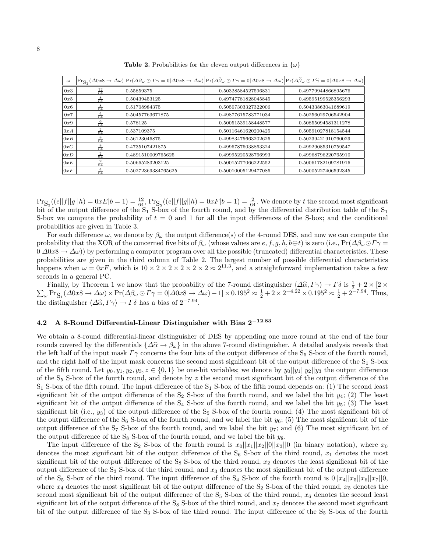|                                                                                                               | Table 2. Pro |
|---------------------------------------------------------------------------------------------------------------|--------------|
| $\omega \left\  \Pr_{S_1}(\Delta 0x8 \to \Delta \omega) \right  \Pr(\Delta \beta \omega \odot \Gamma \gamma)$ |              |

| $\omega$ |                 |                     | $\left \Pr_{S_1}(\Delta 0x8 \to \Delta \omega)\right \Pr(\Delta \beta_{\omega} \odot \Gamma \gamma = 0 \Delta 0x8 \to \Delta \omega)\right \Pr(\Delta \widehat{\beta}_{\omega} \odot \Gamma \gamma = 0 \Delta 0x8 \to \Delta \omega)\right \Pr(\Delta \widetilde{\beta}_{\omega} \odot \Gamma \widetilde{\gamma} = 0 \Delta 0x8 \to \Delta \omega)\right $ |                     |
|----------|-----------------|---------------------|------------------------------------------------------------------------------------------------------------------------------------------------------------------------------------------------------------------------------------------------------------------------------------------------------------------------------------------------------------|---------------------|
| 0x3      | $\frac{12}{64}$ | 0.55859375          | 0.50328584527596831                                                                                                                                                                                                                                                                                                                                        | 0.49779944866895676 |
| 0x5      | $\frac{8}{64}$  | 0.50439453125       | 0.49747781828045845                                                                                                                                                                                                                                                                                                                                        | 0.49595199525356293 |
| 0x6      | $\frac{8}{64}$  | 0.51708984375       | 0.50507303327322006                                                                                                                                                                                                                                                                                                                                        | 0.50433863041689619 |
| 0x7      | $\frac{4}{64}$  | 0.50457763671875    | 0.49877615783771034                                                                                                                                                                                                                                                                                                                                        | 0.50256029706542904 |
| 0x9      | $\frac{6}{64}$  | 0.578125            | 0.50051539158448577                                                                                                                                                                                                                                                                                                                                        | 0.50855094581311278 |
| 0xA      | $rac{2}{64}$    | 0.537109375         | 0.50116461620200425                                                                                                                                                                                                                                                                                                                                        | 0.50591027818154544 |
| 0xB      | $\frac{8}{64}$  | 0.56123046875       | 0.49983475663202626                                                                                                                                                                                                                                                                                                                                        | 0.50239421910760029 |
| 0xC      | $\frac{8}{64}$  | 0.4735107421875     | 0.49967876038863324                                                                                                                                                                                                                                                                                                                                        | 0.49929085310759547 |
| 0xD      | $rac{2}{64}$    | 0.4891510009765625  | 0.49995220528766993                                                                                                                                                                                                                                                                                                                                        | 0.49968796220765910 |
| 0xE      | $\frac{2}{64}$  | 0.50665283203125    | 0.50015277066222552                                                                                                                                                                                                                                                                                                                                        | 0.50061782109781916 |
| 0xF      | $\frac{4}{64}$  | 0.50272369384765625 | 0.50010005129477086                                                                                                                                                                                                                                                                                                                                        | 0.50005227406592345 |

babilities for the eleven output differences in  $\{\omega\}$ 

 $\Pr_{S_5}((e||f||g||h) = 0xE|b=1) = \frac{12}{64}$ ,  $\Pr_{S_5}((e||f||g||h) = 0xF|b=1) = \frac{2}{64}$ . We denote by t the second most significant bit of the output difference of the  $S_1$  S-box of the fourth round, and by the differential distribution table of the  $S_1$ S-box we compute the probability of  $t = 0$  and 1 for all the input differences of the S-box; and the conditional probabilities are given in Table 3.

For each difference  $\omega$ , we denote by  $\beta_{\omega}$  the output difference(s) of the 4-round DES, and now we can compute the probability that the XOR of the concerned five bits of  $\beta_\omega$  (whose values are  $e, f, g, h, b \oplus t$ ) is zero (i.e., Pr( $\Delta \beta_\omega \odot \Gamma \gamma$  =  $0|\Delta 0x8 \to \Delta \omega)$  by performing a computer program over all the possible (truncated) differential characteristics. These probabilities are given in the third column of Table 2. The largest number of possible differential characteristics happens when ω = 0xF, which is 10 × 2 × 2 × 2 × 2 × 2 ≈ 2 11.3 , and a straightforward implementation takes a few seconds in a general PC.

Finally, by Theorem 1 we know that the probability of the 7-round distinguisher  $\langle \Delta \hat{\alpha}, \Gamma \gamma \rangle \to \Gamma \delta$  is  $\frac{1}{2}$ <br>  $\sum_{\omega} \text{Pr}_{\mathbf{S}_{\omega}} (\Delta 0x8 \to \Delta \omega) \times \text{Pr}(\Delta \beta_{\omega} \odot \Gamma \gamma = 0 | \Delta 0x8 \to \Delta \omega) - 1 | \times 0.195^2 \approx \frac{1}{2} + 2 \times 2$  $\frac{1}{2} + 2 \times [2 \times]$  $\omega \Pr_{S_1}(\Delta 0x8 \to \Delta \omega) \times \Pr(\Delta \beta_\omega \odot \Gamma \gamma = 0|\Delta 0x8 \to \Delta \omega) - 1] \times 0.195^2 \approx \frac{1}{2} + 2 \times 2^{-4.22} \times 0.195^2 \approx \frac{1}{2} + 2^{-7.94}$ . Thus, the distinguisher  $\langle \Delta \hat{\alpha}, \Gamma \gamma \rangle \to \Gamma \delta$  has a bias of  $2^{-7.94}$ .

# 4.2 A 8-Round Differential-Linear Distinguisher with Bias 2<sup>−</sup>12.<sup>83</sup>

We obtain a 8-round differential-linear distinguisher of DES by appending one more round at the end of the four rounds covered by the differentials  $\{\Delta \hat{\alpha} \to \beta_\omega\}$  in the above 7-round distinguisher. A detailed analysis reveals that the left half of the input mask  $\Gamma\gamma$  concerns the four bits of the output difference of the  $S_5$  S-box of the fourth round, and the right half of the input mask concerns the second most significant bit of the output difference of the  $S_1$  S-box of the fifth round. Let  $y_0, y_1, y_2, y_3, z \in \{0, 1\}$  be one-bit variables; we denote by  $y_0||y_1||y_2||y_3$  the output difference of the  $S_5$  S-box of the fourth round, and denote by z the second most significant bit of the output difference of the  $S_1$  S-box of the fifth round. The input difference of the  $S_1$  S-box of the fifth round depends on: (1) The second least significant bit of the output difference of the  $S_2$  S-box of the fourth round, and we label the bit  $y_4$ ; (2) The least significant bit of the output difference of the  $S_4$  S-box of the fourth round, and we label the bit  $y_5$ ; (3) The least significant bit (i.e.,  $y_3$ ) of the output difference of the  $S_5$  S-box of the fourth round; (4) The most significant bit of the output difference of the S<sub>6</sub> S-box of the fourth round, and we label the bit  $y_6$ ; (5) The most significant bit of the output difference of the  $S_7$  S-box of the fourth round, and we label the bit  $y_7$ ; and (6) The most significant bit of the output difference of the  $S_8$  S-box of the fourth round, and we label the bit  $y_8$ .

The input difference of the S<sub>2</sub> S-box of the fourth round is  $x_0||x_1||x_2||0||x_3||0$  (in binary notation), where  $x_0$ denotes the most significant bit of the output difference of the  $S_6$  S-box of the third round,  $x_1$  denotes the most significant bit of the output difference of the  $S_8$  S-box of the third round,  $x_2$  denotes the least significant bit of the output difference of the  $S_3$  S-box of the third round, and  $x_3$  denotes the most significant bit of the output difference of the S<sub>5</sub> S-box of the third round. The input difference of the S<sub>4</sub> S-box of the fourth round is  $0||x_4||x_5||x_6||x_7||0$ , where  $x_4$  denotes the most significant bit of the output difference of the  $S_2$  S-box of the third round,  $x_5$  denotes the second most significant bit of the output difference of the  $S_5$  S-box of the third round,  $x_6$  denotes the second least significant bit of the output difference of the S<sub>8</sub> S-box of the third round, and  $x<sub>7</sub>$  denotes the second most significant bit of the output difference of the  $S_3$  S-box of the third round. The input difference of the  $S_5$  S-box of the fourth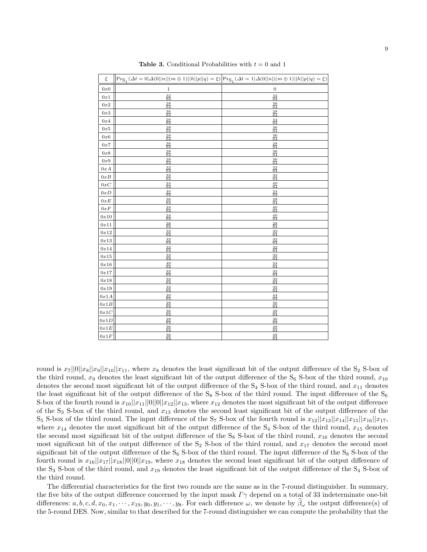| $\xi$                                 | $\Bigl\vert\Pr_{\mathcal{S}_1}(\varDelta t=0\vert \varDelta(0\vert\vert n\vert\vert(m\oplus1)\vert\vert h\vert\vert p\vert\vert q)=\xi)\Bigr\vert\Pr_{\mathcal{S}_1}(\varDelta t=1\vert \varDelta(0\vert\vert n\vert\vert(m\oplus1)\vert\vert h\vert\vert p\vert\vert q)=\xi)$ |                       |
|---------------------------------------|--------------------------------------------------------------------------------------------------------------------------------------------------------------------------------------------------------------------------------------------------------------------------------|-----------------------|
| 0x0                                   | $\,1\,$                                                                                                                                                                                                                                                                        | $\mathbf{0}$          |
| 0x1                                   | $\frac{32}{64}$                                                                                                                                                                                                                                                                | $\frac{32}{64}$       |
| $0x2$                                 | $\frac{28}{64}$                                                                                                                                                                                                                                                                | $\frac{36}{64}$       |
| 0x3                                   | $\frac{36}{64}$                                                                                                                                                                                                                                                                | $\frac{28}{64}$       |
| 0x4                                   | $\frac{20}{64}$                                                                                                                                                                                                                                                                | $\frac{44}{64}$       |
| 0x5                                   | $\frac{28}{64}$                                                                                                                                                                                                                                                                | $\frac{36}{64}$       |
| 0x6                                   | $\frac{28}{64}$                                                                                                                                                                                                                                                                | $\frac{36}{64}$       |
| 0x7                                   | $\frac{36}{64}$                                                                                                                                                                                                                                                                | $\frac{28}{64}$       |
| $0x8$                                 | $\frac{28}{64}$                                                                                                                                                                                                                                                                | $\frac{36}{64}$       |
| 0x9                                   | $\frac{28}{64}$                                                                                                                                                                                                                                                                | $\frac{36}{64}$       |
| 0xA                                   | $\frac{32}{64}$                                                                                                                                                                                                                                                                | $\frac{32}{64}$       |
| 0xB                                   | $\frac{32}{64}$                                                                                                                                                                                                                                                                | $\frac{32}{64}$       |
| $0 \hspace{0.5pt} x \hspace{0.5pt} C$ | $\frac{24}{64}$                                                                                                                                                                                                                                                                | $\frac{40}{64}$       |
| 0xD                                   | $\frac{40}{64}$                                                                                                                                                                                                                                                                | $\frac{24}{64}$       |
| $0xE$                                 | $\frac{36}{64}$                                                                                                                                                                                                                                                                | $\frac{28}{64}$       |
| $0xF$                                 | $\frac{24}{64}$                                                                                                                                                                                                                                                                | $\frac{40}{64}$       |
| 0x10                                  | $\frac{24}{64}$                                                                                                                                                                                                                                                                | 40<br>$\overline{64}$ |
| 0x11                                  | $\frac{36}{64}$                                                                                                                                                                                                                                                                | $\frac{28}{64}$       |
| $0x12$                                | $\frac{32}{64}$                                                                                                                                                                                                                                                                | $\frac{32}{64}$       |
| 0x13                                  | $\frac{32}{64}$                                                                                                                                                                                                                                                                | $\frac{32}{64}$       |
| $0x14$                                | $\frac{32}{64}$                                                                                                                                                                                                                                                                | $\frac{32}{64}$       |
| $0x15$                                | $\frac{32}{64}$                                                                                                                                                                                                                                                                | $\frac{32}{64}$       |
| $0x16$                                | $\frac{40}{64}$                                                                                                                                                                                                                                                                | $\frac{24}{64}$       |
| 0x17                                  | $\frac{32}{64}$                                                                                                                                                                                                                                                                | $\frac{32}{64}$       |
| $0x18$                                | $\frac{32}{64}$                                                                                                                                                                                                                                                                | $\frac{32}{64}$       |
| 0x19                                  | $\frac{32}{64}$                                                                                                                                                                                                                                                                | $\frac{32}{64}$       |
| 0x1A                                  | $\frac{20}{64}$                                                                                                                                                                                                                                                                | $\frac{44}{64}$       |
| $0x1B$                                | $\frac{28}{64}$                                                                                                                                                                                                                                                                | $\frac{36}{64}$       |
| $0x1C$                                | $\frac{36}{64}$                                                                                                                                                                                                                                                                | $\frac{28}{64}$       |
| $0x1D$                                | $\frac{28}{64}$                                                                                                                                                                                                                                                                | $\frac{36}{64}$       |
| $0x1E$                                | $\frac{36}{64}$                                                                                                                                                                                                                                                                | $\frac{28}{64}$       |
| $0x1F$                                | $\frac{36}{64}$                                                                                                                                                                                                                                                                | $\frac{28}{64}$       |

**Table 3.** Conditional Probabilities with  $t = 0$  and 1

round is  $x_7||0||x_8||x_9||x_{10}||x_{11}$ , where  $x_8$  denotes the least significant bit of the output difference of the S<sub>2</sub> S-box of the third round,  $x_9$  denotes the least significant bit of the output difference of the  $S_6$  S-box of the third round,  $x_{10}$ denotes the second most significant bit of the output difference of the  $S_4$  S-box of the third round, and  $x_{11}$  denotes the least significant bit of the output difference of the  $S_8$  S-box of the third round. The input difference of the  $S_6$ S-box of the fourth round is  $x_{10}||x_{11}||0||0||x_{12}||x_{13}$ , where  $x_{12}$  denotes the most significant bit of the output difference of the  $S_3$  S-box of the third round, and  $x_{13}$  denotes the second least significant bit of the output difference of the  $S_5$  S-box of the third round. The input difference of the  $S_7$  S-box of the fourth round is  $x_{12}||x_{13}||x_{14}||x_{15}||x_{16}||x_{17}$ , where  $x_{14}$  denotes the most significant bit of the output difference of the S<sub>4</sub> S-box of the third round,  $x_{15}$  denotes the second most significant bit of the output difference of the  $S_8$  S-box of the third round,  $x_{16}$  denotes the second most significant bit of the output difference of the  $S_2$  S-box of the third round, and  $x_{17}$  denotes the second most significant bit of the output difference of the  $S_6$  S-box of the third round. The input difference of the  $S_8$  S-box of the fourth round is  $x_{16}||x_{17}||x_{18}||0||0||x_{19}$ , where  $x_{18}$  denotes the second least significant bit of the output difference of the  $S_3$  S-box of the third round, and  $x_{19}$  denotes the least significant bit of the output difference of the  $S_4$  S-box of the third round.

The differential characteristics for the first two rounds are the same as in the 7-round distinguisher. In summary, the five bits of the output difference concerned by the input mask  $\Gamma\gamma$  depend on a total of 33 indeterminate one-bit differences:  $a, b, c, d, x_0, x_1, \dots, x_{19}, y_0, y_1, \dots, y_8$ . For each difference  $\omega$ , we denote by  $\beta_{\omega}$  the output difference(s) of the 5-round DES. Now, similar to that described for the 7-round distinguisher we can compute the probability that the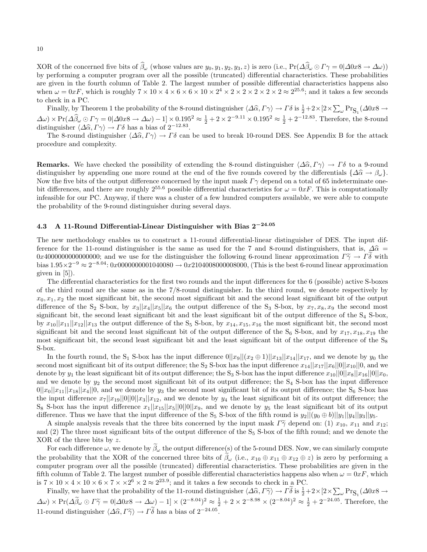XOR of the concerned five bits of  $\widehat{\beta}_{\omega}$  (whose values are  $y_0, y_1, y_2, y_3, z$ ) is zero (i.e.,  $Pr(\Delta \widehat{\beta}_{\omega} \odot \Gamma \gamma = 0 | \Delta 0x8 \rightarrow \Delta \omega)$ ) by performing a computer program over all the possible (truncated) differential characteristics. These probabilities are given in the fourth column of Table 2. The largest number of possible differential characteristics happens also when  $\omega = 0$ xF, which is roughly  $7 \times 10 \times 4 \times 6 \times 6 \times 10 \times 2^4 \times 2 \times 2 \times 2 \times 2 \times 2 \times 2^2$ ; and it takes a few seconds to check in a PC.

Finally, by Theorem 1 the probability of the 8-round distinguisher  $\langle \Delta \hat{\alpha}, \Gamma \gamma \rangle \to \Gamma \delta$  is  $\frac{1}{2} + 2 \times [2 \times \sum_{\omega} Pr_{S_1} (\Delta 0x8 \to$  $\Delta\omega$  × Pr( $\Delta\hat{\beta}_\omega$  ⊙  $\Gamma\gamma = 0$ | $\Delta 0x8 \to \Delta\omega$ ) – 1] × 0.195<sup>2</sup> ≈  $\frac{1}{2} + 2 \times 2^{-9.11} \times 0.195^2$  ≈  $\frac{1}{2} + 2^{-12.83}$ . Therefore, the 8-round distinguisher  $\langle \Delta \hat{\alpha}, \Gamma \gamma \rangle \to \Gamma \delta$  has a bias of 2<sup>−12.83</sup>.<br>The 8 round distinguisher  $\langle \Delta \hat{\alpha}, \Gamma \gamma \rangle \to \Gamma \delta$  can

The 8-round distinguisher  $\langle \Delta \hat{\alpha}, \Gamma \gamma \rangle \to \Gamma \delta$  can be used to break 10-round DES. See Appendix B for the attack procedure and complexity.

**Remarks.** We have checked the possibility of extending the 8-round distinguisher  $\langle \Delta \hat{\alpha}, \Gamma \gamma \rangle \to \Gamma \delta$  to a 9-round distinguisher by appending one more round at the end of the five rounds covered by the differentials  $\{\Delta \hat{\alpha} \to \beta_{\omega}\}.$ Now the five bits of the output difference concerned by the input mask  $\Gamma\gamma$  depend on a total of 65 indeterminate onebit differences, and there are roughly  $2^{55.6}$  possible differential characteristics for  $\omega = 0xF$ . This is computationally infeasible for our PC. Anyway, if there was a cluster of a few hundred computers available, we were able to compute the probability of the 9-round distinguisher during several days.

# 4.3 A 11-Round Differential-Linear Distinguisher with Bias 2<sup>−</sup>24.<sup>05</sup>

The new methodology enables us to construct a 11-round differential-linear distinguisher of DES. The input difference for the 11-round distinguisher is the same as used for the 7 and 8-round distinguishers, that is,  $\Delta \hat{\alpha} =$ 0x400000000000000000; and we use for the distinguisher the following 6-round linear approximation  $\Gamma\tilde{\gamma} \to \Gamma\tilde{\delta}$  with bias  $1.95 \times 2^{-9} \approx 2^{-8.04}$ : 0x0000000001040080  $\rightarrow$  0x2104008000008000, (This is the best 6-round linear approximation given in [5]).

The differential characteristics for the first two rounds and the input differences for the 6 (possible) active S-boxes of the third round are the same as in the 7/8-round distinguisher. In the third round, we denote respectively by  $x_0, x_1, x_2$  the most significant bit, the second most significant bit and the second least significant bit of the output difference of the S<sub>2</sub> S-box, by  $x_3||x_4||x_5||x_6$  the output difference of the S<sub>3</sub> S-box, by  $x_7, x_8, x_9$  the second most significant bit, the second least significant bit and the least significant bit of the output difference of the  $S_4$  S-box, by  $x_{10}||x_{11}||x_{12}||x_{13}$  the output difference of the  $S_5$  S-box, by  $x_{14}, x_{15}, x_{16}$  the most significant bit, the second most significant bit and the second least significant bit of the output difference of the  $S_6$  S-box, and by  $x_{17}, x_{18}, x_{19}$  the most significant bit, the second least significant bit and the least significant bit of the output difference of the  $S_8$ S-box.

In the fourth round, the S<sub>1</sub> S-box has the input difference  $0||x_9||(x_2 \oplus 1)||x_{13}||x_{14}||x_{17}$ , and we denote by  $y_0$  the second most significant bit of its output difference; the S<sub>2</sub> S-box has the input difference  $x_{14}||x_{17}||x_6||0||x_{10}||0$ , and we denote by  $y_1$  the least significant bit of its output difference; the S<sub>3</sub> S-box has the input difference  $x_{10}||0||x_8||x_{16}||0||x_0$ , and we denote by  $y_2$  the second most significant bit of its output difference; the  $S_4$  S-box has the input difference  $0||x_0||x_{11}||x_{18}||x_4||0$ , and we denote by  $y_3$  the second most significant bit of its output difference; the S<sub>6</sub> S-box has the input difference  $x_7||x_{19}||0||0||x_3||x_{12}$ , and we denote by  $y_4$  the least significant bit of its output difference; the  $S_8$  S-box has the input difference  $x_1||x_{15}||x_5||0||0||x_9$ , and we denote by  $y_5$  the least significant bit of its output difference. Thus we have that the input difference of the  $S_5$  S-box of the fifth round is  $y_2||(y_0 \oplus b)||y_1||y_4||y_3||y_5$ .

A simple analysis reveals that the three bits concerned by the input mask  $\Gamma\tilde{\gamma}$  depend on: (1)  $x_{10}$ ,  $x_{11}$  and  $x_{12}$ ; and (2) The three most significant bits of the output difference of the  $S_5$  S-box of the fifth round; and we denote the XOR of the three bits by z.

For each difference  $\omega$ , we denote by  $\tilde{\beta}_{\omega}$  the output difference(s) of the 5-round DES. Now, we can similarly compute the probability that the XOR of the concerned three bits of  $\beta_\omega$  (i.e.,  $x_{10} \oplus x_{11} \oplus x_{12} \oplus z$ ) is zero by performing a computer program over all the possible (truncated) differential characteristics. These probabilities are given in the fifth column of Table 2. The largest number of possible differential characteristics happens also when  $\omega = 0xF$ , which is  $7 \times 10 \times 4 \times 10 \times 6 \times 7 \times 2^6 \times 2 \approx 2^{23.9}$ ; and it takes a few seconds to check in a PC.

Finally, we have that the probability of the 11-round distinguisher  $\langle \Delta \hat{\alpha}, \Gamma \tilde{\gamma} \rangle \to \Gamma \tilde{\delta}$  is  $\frac{1}{2} + 2 \times [2 \times \sum_{\omega} Pr_{S_1} (\Delta 0x8 \rightarrow$  $\Delta\omega$  × Pr( $\Delta\tilde{\beta}_{\omega} \odot \Gamma\tilde{\gamma} = 0$   $|\Delta 0x8 \to \Delta \omega) - 1| \times (2^{-8.04})^2 \approx \frac{1}{2} + 2 \times 2^{-8.98} \times (2^{-8.04})^2 \approx \frac{1}{2} + 2^{-24.05}$ . Therefore, the 11-round distinguisher  $\langle \Delta \hat{\alpha}, \Gamma \tilde{\gamma} \rangle \to \tilde{\Gamma} \tilde{\delta}$  has a bias of  $2^{-24.05}$ .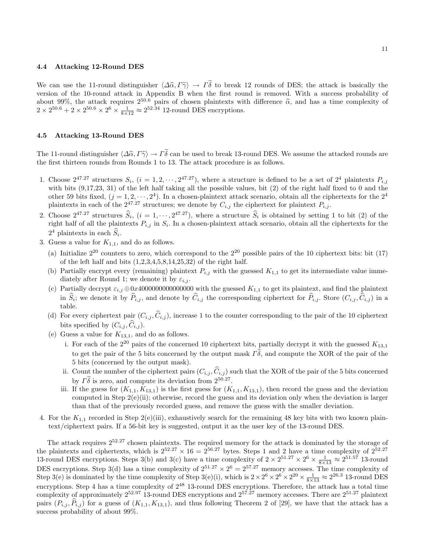#### 4.4 Attacking 12-Round DES

We can use the 11-round distinguisher  $\langle \Delta \hat{\alpha}, \Gamma \tilde{\gamma} \rangle \to \Gamma \tilde{\delta}$  to break 12 rounds of DES; the attack is basically the version of the 10-round attack in Appendix B when the first round is removed. With a success probability of about 99%, the attack requires  $2^{50.6}$  pairs of chosen plaintexts with difference  $\hat{\alpha}$ , and has a time complexity of  $2 \times 2^{50.6} + 2 \times 2^{50.6} \times 2^6 \times \frac{1}{8 \times 12} \approx 2^{52.34}$  12-round DES encryptions.

#### 4.5 Attacking 13-Round DES

The 11-round distinguisher  $\langle \Delta \hat{\alpha}, \Gamma \tilde{\gamma} \rangle \to \Gamma \tilde{\delta}$  can be used to break 13-round DES. We assume the attacked rounds are the first thirteen rounds from Rounds 1 to 13. The attack procedure is as follows.

- 1. Choose  $2^{47.27}$  structures  $S_i$ ,  $(i = 1, 2, \dots, 2^{47.27})$ , where a structure is defined to be a set of  $2^4$  plaintexts  $P_{i,j}$ with bits  $(9,17,23, 31)$  of the left half taking all the possible values, bit (2) of the right half fixed to 0 and the other 59 bits fixed,  $(j = 1, 2, \dots, 2^4)$ . In a chosen-plaintext attack scenario, obtain all the ciphertexts for the  $2^4$ plaintexts in each of the  $2^{47.27}$  structures; we denote by  $C_{i,j}$  the ciphertext for plaintext  $P_{i,j}$ .
- 2. Choose  $2^{47.27}$  structures  $\hat{S}_i$ ,  $(i = 1, \dots, 2^{47.27})$ , where a structure  $\hat{S}_i$  is obtained by setting 1 to bit (2) of the right half of all the plaintexts  $P_{i,j}$  in  $S_i$ . In a chosen-plaintext attack scenario, obtain all the ciphertexts for the  $2^4$  plaintexts in each  $\hat{S}_i$ .
- 3. Guess a value for  $K_{1,1}$ , and do as follows.
	- (a) Initialize  $2^{20}$  counters to zero, which correspond to the  $2^{20}$  possible pairs of the 10 ciphertext bits: bit (17) of the left half and bits  $(1,2,3,4,5,8,14,25,32)$  of the right half.
	- (b) Partially encrypt every (remaining) plaintext  $P_{i,j}$  with the guessed  $K_{1,1}$  to get its intermediate value immediately after Round 1; we denote it by  $\varepsilon_{i,j}$ .
	- (c) Partially decrypt  $\varepsilon_{i,j} \oplus 0x4000000000000000$  with the guessed  $K_{1,1}$  to get its plaintext, and find the plaintext in  $S_i$ ; we denote it by  $P_{i,j}$ , and denote by  $C_{i,j}$  the corresponding ciphertext for  $P_{i,j}$ . Store  $(C_{i,j}, C_{i,j})$  in a table.
	- (d) For every ciphertext pair  $(C_{i,j}, \hat{C}_{i,j})$ , increase 1 to the counter corresponding to the pair of the 10 ciphertext bits specified by  $(C_{i,j}, C_{i,j})$ .
	- (e) Guess a value for  $K_{13,1}$ , and do as follows.
		- i. For each of the  $2^{20}$  pairs of the concerned 10 ciphertext bits, partially decrypt it with the guessed  $K_{13,1}$ to get the pair of the 5 bits concerned by the output mask  $\Gamma\delta$ , and compute the XOR of the pair of the 5 bits (concerned by the output mask).
		- ii. Count the number of the ciphertext pairs  $(C_{i,j}, \hat{C}_{i,j})$  such that the XOR of the pair of the 5 bits concerned by  $\Gamma\tilde{\delta}$  is zero, and compute its deviation from  $2^{50.27}$ .
		- iii. If the guess for  $(K_{1,1}, K_{13,1})$  is the first guess for  $(K_{1,1}, K_{13,1})$ , then record the guess and the deviation computed in Step  $2(e)(ii)$ ; otherwise, record the guess and its deviation only when the deviation is larger than that of the previously recorded guess, and remove the guess with the smaller deviation.
- 4. For the  $K_{1,1}$  recorded in Step 2(e)(iii), exhaustively search for the remaining 48 key bits with two known plaintext/ciphertext pairs. If a 56-bit key is suggested, output it as the user key of the 13-round DES.

The attack requires  $2^{52.27}$  chosen plaintexts. The required memory for the attack is dominated by the storage of the plaintexts and ciphertexts, which is  $2^{52.27} \times 16 = 2^{56.27}$  bytes. Steps 1 and 2 have a time complexity of  $2^{52.27}$ 13-round DES encryptions. Steps 3(b) and 3(c) have a time complexity of  $2 \times 2^{51.27} \times 2^6 \times \frac{1}{8 \times 13} \approx 2^{51.57}$  13-round DES encryptions. Step 3(d) has a time complexity of  $2^{51.27} \times 2^6 = 2^{57.27}$  memory accesses. The time complexity of Step 3(e) is dominated by the time complexity of Step 3(e)(i), which is  $2 \times 2^6 \times 2^6 \times 2^{20} \times \frac{1}{8 \times 13} \approx 2^{26.3}$  13-round DES encryptions. Step 4 has a time complexity of  $2^{48}$  13-round DES encryptions. Therefore, the attack has a total time complexity of approximately  $2^{52.97}$  13-round DES encryptions and  $2^{57.27}$  memory accesses. There are  $2^{51.27}$  plaintext pairs  $(P_{i,j}, \hat{P}_{i,j})$  for a guess of  $(K_{1,1}, K_{13,1})$ , and thus following Theorem 2 of [29], we have that the attack has a success probability of about 99%.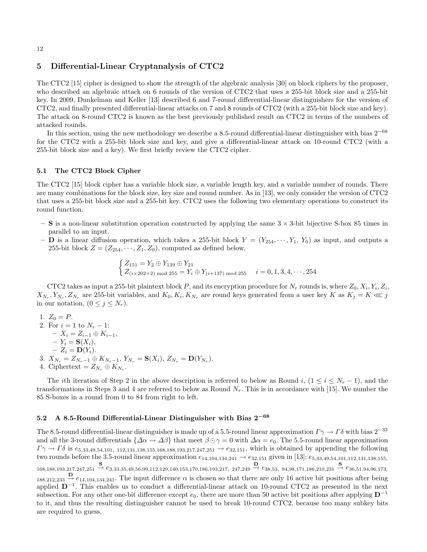### 5 Differential-Linear Cryptanalysis of CTC2

The CTC2 [15] cipher is designed to show the strength of the algebraic analysis [30] on block ciphers by the proposer, who described an algebraic attack on 6 rounds of the version of CTC2 that uses a 255-bit block size and a 255-bit key. In 2009, Dunkelman and Keller [13] described 6 and 7-round differential-linear distinguishers for the version of CTC2, and finally presented differential-linear attacks on 7 and 8 rounds of CTC2 (with a 255-bit block size and key). The attack on 8-round CTC2 is known as the best previously published result on CTC2 in terms of the numbers of attacked rounds.

In this section, using the new methodology we describe a 8.5-round differential-linear distinguisher with bias  $2^{-68}$ for the CTC2 with a 255-bit block size and key, and give a differential-linear attack on 10-round CTC2 (with a 255-bit block size and a key). We first briefly review the CTC2 cipher.

### 5.1 The CTC2 Block Cipher

The CTC2 [15] block cipher has a variable block size, a variable length key, and a variable number of rounds. There are many combinations for the block size, key size and round number. As in [13], we only consider the version of CTC2 that uses a 255-bit block size and a 255-bit key. CTC2 uses the following two elementary operations to construct its round function.

- S is a non-linear substitution operation constructed by applying the same  $3 \times 3$ -bit bijective S-box 85 times in parallel to an input.
- **D** is a linear diffusion operation, which takes a 255-bit block  $Y = (Y_{254}, \dots, Y_1, Y_0)$  as input, and outputs a 255-bit block  $Z = (Z_{254}, \cdots, Z_1, Z_0)$ , computed as defined below.

$$
\begin{cases} Z_{151} = Y_2 \oplus Y_{139} \oplus Y_{21} \\ Z_{(i \times 202+2) \text{ mod } 255} = Y_i \oplus Y_{(i+137) \text{ mod } 255} \qquad i = 0, 1, 3, 4, \cdots, 254 \end{cases}
$$

CTC2 takes as input a 255-bit plaintext block P, and its encryption procedure for  $N_r$  rounds is, where  $Z_0, X_i, Y_i, Z_i$ ,  $X_{N_r}, Y_{N_r}, Z_{N_r}$  are 255-bit variables, and  $K_0, K_i, K_{N_r}$  are round keys generated from a user key K as  $K_j = K \ll j$ in our notation,  $(0 \leq j \leq N_r)$ .

- 1.  $Z_0 = P$ . 2. For  $i = 1$  to  $N_r - 1$ :  $- X_i = Z_{i-1} \oplus K_{i-1},$  $-Y_i = \mathbf{S}(X_i),$  $-Z_i = \mathbf{D}(Y_i).$ 3.  $X_{N_r} = Z_{N_r-1} \oplus K_{N_r-1}, Y_{N_r} = \mathbf{S}(X_i), Z_{N_r} = \mathbf{D}(Y_{N_r}).$
- 4. Ciphertext =  $Z_{N_r} \oplus K_{N_r}$ .

The *i*th iteration of Step 2 in the above description is referred to below as Round i,  $(1 \le i \le N_r - 1)$ , and the transformations in Steps 3 and 4 are referred to below as Round  $N_r$ . This is in accordance with [15]. We number the 85 S-boxes in a round from 0 to 84 from right to left.

# 5.2 A 8.5-Round Differential-Linear Distinguisher with Bias  $2^{-68}$

The 8.5-round differential-linear distinguisher is made up of a 5.5-round linear approximation  $\Gamma \gamma \to \Gamma \delta$  with bias  $2^{-33}$ and all the 3-round differentials  $\{\Delta \alpha \to \Delta \beta\}$  that meet  $\beta \odot \gamma = 0$  with  $\Delta \alpha = e_0$ . The 5.5-round linear approximation  $\Gamma \gamma \to \Gamma \delta$  is  $e_{5,33,49,54,101,112,131,138,155,168,188,193,217,247,251} \to e_{32,151}$ , which is obtained by appending the following two rounds before the 3.5-round linear approximation  $e_{14,104,134,241} \rightarrow e_{32,151}$  given in [13]:  $e_{5,33,49,54,101,112,131,138,155}$  ${\bf 1}^{168,188,193,217,247,251} \stackrel{\textbf{S}}{\rightarrow} e_{3,33,35,49,56,99,112,129,140,153,170,186,193,217, \; 247,249} \stackrel{\textbf{D}}{\rightarrow} e_{38,53, \; 94,98,171,186,210,231} \stackrel{\textbf{S}}{\rightarrow} e_{36,51,94,96,173,186,210,221}$  $\frac{D}{188,212,233} \rightarrow e_{14,104,134,241}$ . The input difference  $\alpha$  is chosen so that there are only 16 active bit positions after being applied  $D^{-1}$ . This enables us to conduct a differential-linear attack on 10-round CTC2 as presented in the next subsection. For any other one-bit difference except  $e_0$ , there are more than 50 active bit positions after applying  $\mathbf{D}^{-1}$ to it, and thus the resulting distinguisher cannot be used to break 10-round CTC2, because too many subkey bits are required to guess.

#### 12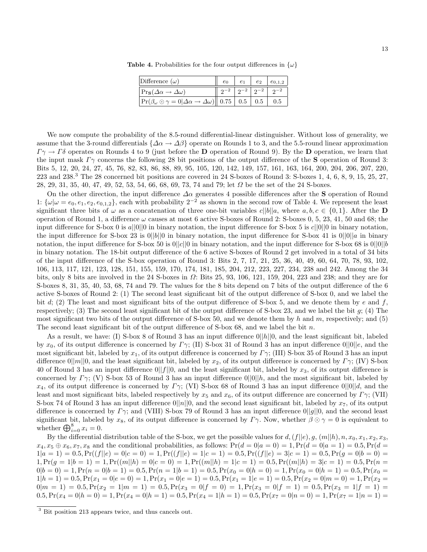| Difference $(\omega)$                                                                                      |                                     |  | $e_2 \,   \, e_{0,1,2} \,  $ |
|------------------------------------------------------------------------------------------------------------|-------------------------------------|--|------------------------------|
| $\Pr_{\mathbf{S}}(\Delta \alpha \rightarrow \Delta \omega)$                                                | $2^{-2}$ $2^{-2}$ $2^{-2}$ $2^{-2}$ |  |                              |
| $ \Pr(\beta_{\omega} \odot \gamma = 0  \Delta \alpha \rightarrow \Delta \omega)    0.75   0.5   0.5   0.5$ |                                     |  |                              |

**Table 4.** Probabilities for the four output differences in  $\{\omega\}$ 

We now compute the probability of the 8.5-round differential-linear distinguisher. Without loss of generality, we assume that the 3-round differentials  $\{\Delta \alpha \to \Delta \beta\}$  operate on Rounds 1 to 3, and the 5.5-round linear approximation  $\Gamma \gamma \to \Gamma \delta$  operates on Rounds 4 to 9 (just before the **D** operation of Round 9). By the **D** operation, we learn that the input mask  $\Gamma\gamma$  concerns the following 28 bit positions of the output difference of the **S** operation of Round 3: Bits 5, 12, 20, 24, 27, 45, 76, 82, 83, 86, 88, 89, 95, 105, 120, 142, 149, 157, 161, 163, 164, 200, 204, 206, 207, 220,  $223$  and  $238.\textsuperscript{3}$  The 28 concerned bit positions are covered in 24 S-boxes of Round 3: S-boxes 1, 4, 6, 8, 9, 15, 25, 27, 28, 29, 31, 35, 40, 47, 49, 52, 53, 54, 66, 68, 69, 73, 74 and 79; let Ω be the set of the 24 S-boxes.

On the other direction, the input difference  $\Delta \alpha$  generates 4 possible differences after the S operation of Round 1:  $\{\omega|\omega=e_0, e_1, e_2, e_{0,1,2}\}\$ , each with probability  $2^{-2}$  as shown in the second row of Table 4. We represent the least significant three bits of  $\omega$  as a concatenation of three one-bit variables  $c||b||a$ , where  $a, b, c \in \{0, 1\}$ . After the **D** operation of Round 1, a difference  $\omega$  causes at most 6 active S-boxes of Round 2: S-boxes 0, 5, 23, 41, 50 and 68; the input difference for S-box 0 is  $a||0||0$  in binary notation, the input difference for S-box 5 is  $c||0||0$  in binary notation, the input difference for S-box 23 is  $0||b||0$  in binary notation, the input difference for S-box 41 is  $0||0||a$  in binary notation, the input difference for S-box 50 is  $0||c||0$  in binary notation, and the input difference for S-box 68 is  $0||0||b$ in binary notation. The 18-bit output difference of the 6 active S-boxes of Round 2 get involved in a total of 34 bits of the input difference of the S-box operation of Round 3: Bits 2, 7, 17, 21, 25, 36, 40, 49, 60, 64, 70, 78, 93, 102, 106, 113, 117, 121, 123, 128, 151, 155, 159, 170, 174, 181, 185, 204, 212, 223, 227, 234, 238 and 242. Among the 34 bits, only 8 bits are involved in the 24 S-boxes in  $\Omega$ : Bits 25, 93, 106, 121, 159, 204, 223 and 238; and they are for S-boxes 8, 31, 35, 40, 53, 68, 74 and 79. The values for the 8 bits depend on 7 bits of the output difference of the 6 active S-boxes of Round 2: (1) The second least significant bit of the output difference of S-box 0, and we label the bit d; (2) The least and most significant bits of the output difference of S-box 5, and we denote them by e and f, respectively; (3) The second least significant bit of the output difference of S-box 23, and we label the bit g; (4) The most significant two bits of the output difference of S-box 50, and we denote them by h and m, respectively; and (5) The second least significant bit of the output difference of S-box 68, and we label the bit n.

As a result, we have: (I) S-box 8 of Round 3 has an input difference  $0||h||0$ , and the least significant bit, labeled by  $x_0$ , of its output difference is concerned by  $\Gamma\gamma$ ; (II) S-box 31 of Round 3 has an input difference  $0||0||e$ , and the most significant bit, labeled by  $x_1$ , of its output difference is concerned by  $\Gamma\gamma$ ; (III) S-box 35 of Round 3 has an input difference  $0||m||0$ , and the least significant bit, labeled by  $x_2$ , of its output difference is concerned by  $\Gamma\gamma$ ; (IV) S-box 40 of Round 3 has an input difference  $0||f||0$ , and the least significant bit, labeled by  $x_3$ , of its output difference is concerned by  $\Gamma\gamma$ ; (V) S-box 53 of Round 3 has an input difference  $0||0||h$ , and the most significant bit, labeled by  $x_4$ , of its output difference is concerned by  $\Gamma\gamma$ ; (VI) S-box 68 of Round 3 has an input difference  $0||0||d$ , and the least and most significant bits, labeled respectively by  $x_5$  and  $x_6$ , of its output difference are concerned by  $\Gamma\gamma$ ; (VII) S-box 74 of Round 3 has an input difference  $0||n||0$ , and the second least significant bit, labeled by  $x_7$ , of its output difference is concerned by  $\Gamma\gamma$ ; and (VIII) S-box 79 of Round 3 has an input difference  $0||g||0$ , and the second least significant bit, labeled by  $x_8$ , of its output difference is concerned by  $\Gamma\gamma$ . Now, whether  $\beta \odot \gamma = 0$  is equivalent to whether  $\bigoplus_{i=0}^8 x_i = 0$ .

By the differential distribution table of the S-box, we get the possible values for  $d, (f||e), g, (m||h), n, x_0, x_1, x_2, x_3$  $x_4, x_5 \oplus x_6, x_7, x_8$  and the conditional probabilities, as follows:  $Pr(d = 0|a = 0) = 1, Pr(d = 0|a = 1) = 0.5, Pr(d = 1)$  $1|a = 1$  = 0.5,  $Pr(f||e) = 0|c = 0) = 1$ ,  $Pr(f||e) = 1|c = 1$  = 0.5,  $Pr(f||e) = 3|c = 1$  = 0.5,  $Pr(g = 0|b = 0)$  =  $1,Pr(g = 1|b = 1) = 1,Pr((m||h) = 0|c = 0) = 1,Pr((m||h) = 1|c = 1) = 0.5,Pr((m||h) = 3|c = 1) = 0.5,Pr(n = 1) = 0.5,$  $0|b = 0) = 1, Pr(n = 0|b = 1) = 0.5, Pr(n = 1|b = 1) = 0.5, Pr(x_0 = 0|h = 0) = 1, Pr(x_0 = 0|h = 1) = 0.5, Pr(x_0 = 0|b = 1) = 0.5$  $1|h = 1$ ) = 0.5, Pr( $x_1 = 0|e = 0$ ) = 1, Pr( $x_1 = 0|e = 1$ ) = 0.5, Pr( $x_1 = 1|e = 1$ ) = 0.5, Pr( $x_2 = 0|m = 0$ ) = 1, Pr( $x_2$  =  $0|m = 1$  = 0.5,  $Pr(x_2 = 1|m = 1) = 0.5$ ,  $Pr(x_3 = 0|f = 0) = 1$ ,  $Pr(x_3 = 0|f = 1) = 0.5$ ,  $Pr(x_3 = 1|f = 1) = 0$  $0.5,Pr(x_4 = 0|h = 0) = 1,Pr(x_4 = 0|h = 1) = 0.5,Pr(x_4 = 1|h = 1) = 0.5,Pr(x_7 = 0|n = 0) = 1,Pr(x_7 = 1|n = 1) = 0.5,Pr(x_8 = 0|n = 0) = 1,Pr(x_9 = 1|n = 1) = 0.5,Pr(x_{10} = 0|n = 1) = 0.5,Pr(x_{11} = 0|n = 1) = 0.5,Pr(x_{12} = 0|n = 1) = 0.5,Pr(x_{13} = 0|n = 1) = 0.5,Pr(x_{14} =$ 

<sup>&</sup>lt;sup>3</sup> Bit position 213 appears twice, and thus cancels out.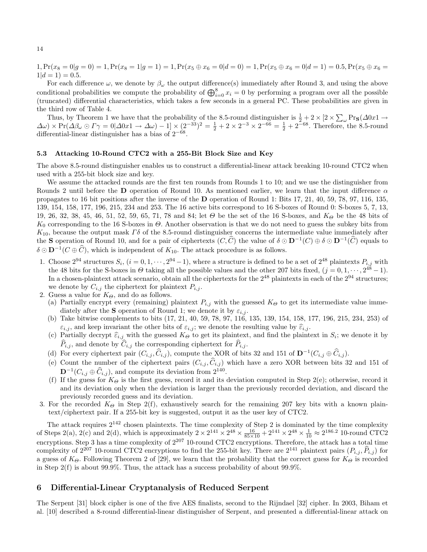$1,Pr(x_8 = 0|g = 0) = 1,Pr(x_8 = 1|g = 1) = 1,Pr(x_5 \oplus x_6 = 0|d = 0) = 1,Pr(x_5 \oplus x_6 = 0|d = 1) = 0.5,Pr(x_5 \oplus x_6 = 0|d = 1) = 0.5,$  $1|d=1\rangle = 0.5.$ 

For each difference  $\omega$ , we denote by  $\beta_{\omega}$  the output difference(s) immediately after Round 3, and using the above conditional probabilities we compute the probability of  $\bigoplus_{i=0}^{8} x_i = 0$  by performing a program over all the possible (truncated) differential characteristics, which takes a few seconds in a general PC. These probabilities are given in the third row of Table 4.

Thus, by Theorem 1 we have that the probability of the 8.5-round distinguisher is  $\frac{1}{2} + 2 \times [2 \times \sum_{\omega} Pr_{\mathbf{S}}(\Delta 0x1 \rightarrow$  $\Delta\omega$  × Pr( $\Delta\beta_\omega \odot \Gamma\gamma = 0$   $\Delta 0x1 \rightarrow \Delta\omega$ ) – 1 ×  $(2^{-33})^2 = \frac{1}{2} + 2 \times 2^{-3} \times 2^{-66} = \frac{1}{2} + 2^{-68}$ . Therefore, the 8.5-round differential-linear distinguisher has a bias of  $2^{-68}$ .

### 5.3 Attacking 10-Round CTC2 with a 255-Bit Block Size and Key

The above 8.5-round distinguisher enables us to construct a differential-linear attack breaking 10-round CTC2 when used with a 255-bit block size and key.

We assume the attacked rounds are the first ten rounds from Rounds 1 to 10; and we use the distinguisher from Rounds 2 until before the D operation of Round 10. As mentioned earlier, we learn that the input difference  $\alpha$ propagates to 16 bit positions after the inverse of the D operation of Round 1: Bits 17, 21, 40, 59, 78, 97, 116, 135, 139, 154, 158, 177, 196, 215, 234 and 253. The 16 active bits correspond to 16 S-boxes of Round 0: S-boxes 5, 7, 13, 19, 26, 32, 38, 45, 46, 51, 52, 59, 65, 71, 78 and 84; let  $\Theta$  be the set of the 16 S-boxes, and  $K_{\Theta}$  be the 48 bits of  $K_0$  corresponding to the 16 S-boxes in  $\Theta$ . Another observation is that we do not need to guess the subkey bits from  $K_{10}$ , because the output mask  $\Gamma\delta$  of the 8.5-round distinguisher concerns the intermediate value immediately after the **S** operation of Round 10, and for a pair of ciphertexts  $(C, \widehat{C})$  the value of  $\delta \odot \mathbf{D}^{-1}(C) \oplus \delta \odot \mathbf{D}^{-1}(\widehat{C})$  equals to  $\delta \odot \mathbf{D}^{-1}(C \oplus \widehat{C})$ , which is independent of  $K_{10}$ . The attack procedure is as follows.

- 1. Choose  $2^{94}$  structures  $S_i$ ,  $(i = 0, 1, \dots, 2^{94} 1)$ , where a structure is defined to be a set of  $2^{48}$  plaintexts  $P_{i,j}$  with the 48 bits for the S-boxes in  $\Theta$  taking all the possible values and the other 207 bits fixed,  $(j = 0, 1, \dots, 2^{48} - 1)$ . In a chosen-plaintext attack scenario, obtain all the ciphertexts for the  $2^{48}$  plaintexts in each of the  $2^{94}$  structures; we denote by  $C_{i,j}$  the ciphertext for plaintext  $P_{i,j}$ .
- 2. Guess a value for  $K_{\Theta}$ , and do as follows.
	- (a) Partially encrypt every (remaining) plaintext  $P_{i,j}$  with the guessed  $K_{\Theta}$  to get its intermediate value immediately after the **S** operation of Round 1; we denote it by  $\varepsilon_{i,j}$ .
	- (b) Take bitwise complements to bits (17, 21, 40, 59, 78, 97, 116, 135, 139, 154, 158, 177, 196, 215, 234, 253) of  $\varepsilon_{i,j}$ , and keep invariant the other bits of  $\varepsilon_{i,j}$ ; we denote the resulting value by  $\widehat{\varepsilon}_{i,j}$ .
	- (c) Partially decrypt  $\hat{\epsilon}_{i,j}$  with the guessed  $K_{\Theta}$  to get its plaintext, and find the plaintext in  $S_i$ ; we denote it by  $\hat{P}_{i,j}$ , and denote by  $\hat{C}_{i,j}$  the corresponding ciphertext for  $\hat{P}_{i,j}$ .
	- (d) For every ciphertext pair  $(C_{i,j}, \hat{C}_{i,j})$ , compute the XOR of bits 32 and 151 of  $\mathbf{D}^{-1}(C_{i,j} \oplus \hat{C}_{i,j})$ .
	- (e) Count the number of the ciphertext pairs  $(C_{i,j}, \hat{C}_{i,j} )$  which have a zero XOR between bits 32 and 151 of  $\mathbf{D}^{-1}(C_{i,j} \oplus \widehat{C}_{i,j})$ , and compute its deviation from  $2^{140}$ .
	- (f) If the guess for  $K_{\Theta}$  is the first guess, record it and its deviation computed in Step 2(e); otherwise, record it and its deviation only when the deviation is larger than the previously recorded deviation, and discard the previously recorded guess and its deviation.
- 3. For the recorded  $K_{\Theta}$  in Step 2(f), exhaustively search for the remaining 207 key bits with a known plaintext/ciphertext pair. If a 255-bit key is suggested, output it as the user key of CTC2.

The attack requires  $2^{142}$  chosen plaintexts. The time complexity of Step 2 is dominated by the time complexity of Steps 2(a), 2(c) and 2(d), which is approximately  $2 \times 2^{141} \times 2^{48} \times \frac{16}{85 \times 10} + 2^{141} \times 2^{48} \times \frac{1}{10} \approx 2^{186.2}$  10-round CTC2 encryptions. Step 3 has a time complexity of  $2^{207}$  10-round CTC2 encryptions. Therefore, the attack has a total time complexity of  $2^{207}$  10-round CTC2 encryptions to find the 255-bit key. There are  $2^{141}$  plaintext pairs  $(P_{i,j}, \hat{P}_{i,j})$  for a guess of  $K_{\Theta}$ . Following Theorem 2 of [29], we learn that the probability that the correct guess for  $K_{\Theta}$  is recorded in Step 2(f) is about 99.9%. Thus, the attack has a success probability of about 99.9%.

### 6 Differential-Linear Cryptanalysis of Reduced Serpent

The Serpent [31] block cipher is one of the five AES finalists, second to the Rijndael [32] cipher. In 2003, Biham et al. [10] described a 8-round differential-linear distinguisher of Serpent, and presented a differential-linear attack on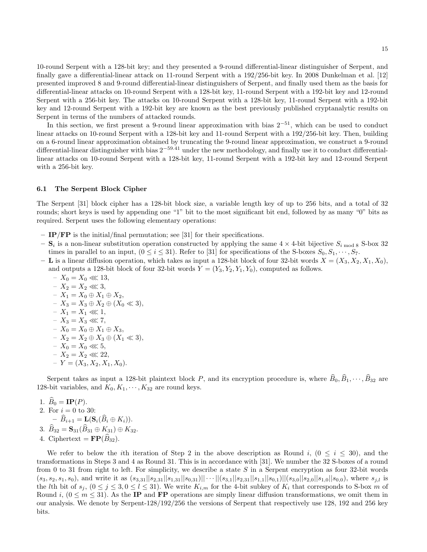10-round Serpent with a 128-bit key; and they presented a 9-round differential-linear distinguisher of Serpent, and finally gave a differential-linear attack on 11-round Serpent with a 192/256-bit key. In 2008 Dunkelman et al. [12] presented improved 8 and 9-round differential-linear distinguishers of Serpent, and finally used them as the basis for differential-linear attacks on 10-round Serpent with a 128-bit key, 11-round Serpent with a 192-bit key and 12-round Serpent with a 256-bit key. The attacks on 10-round Serpent with a 128-bit key, 11-round Serpent with a 192-bit key and 12-round Serpent with a 192-bit key are known as the best previously published cryptanalytic results on Serpent in terms of the numbers of attacked rounds.

In this section, we first present a 9-round linear approximation with bias  $2^{-51}$ , which can be used to conduct linear attacks on 10-round Serpent with a 128-bit key and 11-round Serpent with a 192/256-bit key. Then, building on a 6-round linear approximation obtained by truncating the 9-round linear approximation, we construct a 9-round differential-linear distinguisher with bias 2−59.<sup>41</sup> under the new methodology, and finally use it to conduct differentiallinear attacks on 10-round Serpent with a 128-bit key, 11-round Serpent with a 192-bit key and 12-round Serpent with a 256-bit key.

#### 6.1 The Serpent Block Cipher

The Serpent [31] block cipher has a 128-bit block size, a variable length key of up to 256 bits, and a total of 32 rounds; short keys is used by appending one "1" bit to the most significant bit end, followed by as many "0" bits as required. Serpent uses the following elementary operations:

- $-$  **IP/FP** is the initial/final permutation; see [31] for their specifications.
- $-$  S<sub>i</sub> is a non-linear substitution operation constructed by applying the same  $4 \times 4$ -bit bijective  $S_{i \text{ mod } 8}$  S-box 32 times in parallel to an input,  $(0 \le i \le 31)$ . Refer to [31] for specifications of the S-boxes  $S_0, S_1, \dots, S_7$ .
- L is a linear diffusion operation, which takes as input a 128-bit block of four 32-bit words  $X = (X_3, X_2, X_1, X_0)$ , and outputs a 128-bit block of four 32-bit words  $Y = (Y_3, Y_2, Y_1, Y_0)$ , computed as follows.
	- $-X_0 = X_0 \ll 13,$ –  $X_2 = X_2$  ≪ 3, – X<sup>1</sup> = X<sup>0</sup> ⊕ X<sup>1</sup> ⊕ X2, –  $X_3 = X_3 ⊕ X_2 ⊕ (X_0 \ll 3),$  $- X_1 = X_1 \ll 1,$  $- X_3 = X_3 \lll 7$ , –  $X_0 = X_0 ⊕ X_1 ⊕ X_3$ , –  $X_2 = X_2 ⊕ X_3 ⊕ (X_1 \ll 3),$  $- X_0 = X_0 \ll 5$ , –  $X_2 = X_2$  ≪ 22,  $-Y = (X_3, X_2, X_1, X_0).$

Serpent takes as input a 128-bit plaintext block P, and its encryption procedure is, where  $\widehat{B}_0, \widehat{B}_1, \cdots, \widehat{B}_{32}$  are 128-bit variables, and  $K_0, K_1, \dots, K_{32}$  are round keys.

1. 
$$
\hat{B}_0 = \mathbf{IP}(P)
$$
.  
\n2. For  $i = 0$  to 30:  
\n $-\hat{B}_{i+1} = \mathbf{L}(\mathbf{S}_i(\hat{B}_i \oplus K_i))$ .  
\n3.  $\hat{B}_{32} = \mathbf{S}_{31}(\hat{B}_{31} \oplus K_{31}) \oplus K_{32}$ .

4. Ciphertext =  $\mathbf{FP}(B_{32})$ .

We refer to below the *i*th iteration of Step 2 in the above description as Round *i*,  $(0 \le i \le 30)$ , and the transformations in Steps 3 and 4 as Round 31. This is in accordance with [31]. We number the 32 S-boxes of a round from 0 to 31 from right to left. For simplicity, we describe a state S in a Serpent encryption as four 32-bit words  $(s_3, s_2, s_1, s_0)$ , and write it as  $(s_{3,31}||s_{2,31}||s_{1,31}||s_{0,31})|| \cdots ||(s_{3,1}||s_{2,31}||s_{1,1}||s_{0,1})||(s_{3,0}||s_{2,0}||s_{1,0}||s_{0,0})$ , where  $s_{j,l}$  is the *l*th bit of  $s_j$ ,  $(0 \le j \le 3, 0 \le l \le 31)$ . We write  $K_{i,m}$  for the 4-bit subkey of  $K_i$  that corresponds to S-box m of Round i,  $(0 \le m \le 31)$ . As the **IP** and **FP** operations are simply linear diffusion transformations, we omit them in our analysis. We denote by Serpent-128/192/256 the versions of Serpent that respectively use 128, 192 and 256 key bits.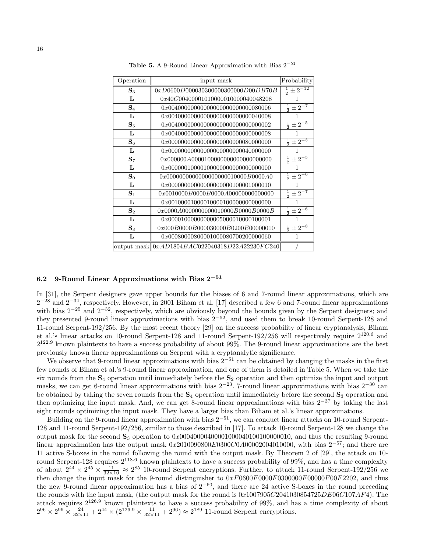| Operation      | input mask                                         | Probability                         |
|----------------|----------------------------------------------------|-------------------------------------|
| $S_{3}$        | 0xD0600D000030300000300000D00DB70B                 | $\frac{1}{2} \pm 2^{-12}$           |
| L              | 0x40C00400001010000010000040048208                 | 1                                   |
| $S_4$          | 0x00400000000000000000000000080006                 | $rac{1}{2} \pm 2^{-7}$              |
| L              | 0x004000000000000000000000000040008                | 1                                   |
| $S_5$          | 0x00400000000000000000000000000002                 | $rac{1}{2} \pm \overline{2^{-5}}$   |
| L              | 0x004000000000000000000000000000008                | 1                                   |
| $S_6$          | 0x00000000000000000000000080000000                 | $\frac{1}{2} \pm 2^{-3}$            |
| L              | 0x00000000000000000000000040000000                 | 1                                   |
| $\mathbf{S}_7$ | 0x000000A0000100000000000000000000                 | $rac{1}{2}$ $\pm \overline{2^{-5}}$ |
| L              | 0x000000100001000000000000000000000                | 1                                   |
| $S_0$          | 0x0000000000000000000010000B0000A0                 | $rac{1}{2} \pm 2^{-6}$              |
| L              | 0x00000000000000000000100001000010                 | 1                                   |
| $S_1$          | 0x0010000B0000B0000A00000000000000                 | $rac{1}{2} \pm 2^{-7}$              |
| L              | 0x001000010000100001000000000000000                | 1                                   |
| $\mathbf{S}_2$ | 0x0000A0000000000010000B0000B0000B                 | $rac{1}{2} \pm 2^{-6}$              |
| L              | 0x00001000000000005000010000100001                 |                                     |
| $S_3$          | 0x000B0000B000030000B0200E00000010                 | $rac{1}{2}$ $\pm 2^{-8}$            |
| L              | 0x00080000800001000080700200000060                 | 1                                   |
|                | output mask $  0xAD1804BAC022040318D22A22230FC240$ |                                     |

Table 5. A 9-Round Linear Approximation with Bias  $2^{-51}$ 

# 6.2 9-Round Linear Approximations with Bias 2<sup>−</sup><sup>51</sup>

In [31], the Serpent designers gave upper bounds for the biases of 6 and 7-round linear approximations, which are  $2^{-28}$  and  $2^{-34}$ , respectively. However, in 2001 Biham et al. [17] described a few 6 and 7-round linear approximations with bias  $2^{-25}$  and  $2^{-32}$ , respectively, which are obviously beyond the bounds given by the Serpent designers; and they presented 9-round linear approximations with bias  $2^{-52}$ , and used them to break 10-round Serpent-128 and 11-round Serpent-192/256. By the most recent theory [29] on the success probability of linear cryptanalysis, Biham et al.'s linear attacks on 10-round Serpent-128 and 11-round Serpent-192/256 will respectively require 2120.<sup>6</sup> and  $2^{122.9}$  known plaintexts to have a success probability of about 99%. The 9-round linear approximations are the best previously known linear approximations on Serpent with a cryptanalytic significance.

We observe that 9-round linear approximations with bias  $2^{-51}$  can be obtained by changing the masks in the first few rounds of Biham et al.'s 9-round linear approximation, and one of them is detailed in Table 5. When we take the six rounds from the  $S_4$  operation until immediately before the  $S_2$  operation and then optimize the input and output masks, we can get 6-round linear approximations with bias  $2^{-23}$ . 7-round linear approximations with bias  $2^{-30}$  can be obtained by taking the seven rounds from the  $S_4$  operation until immediately before the second  $S_3$  operation and then optimizing the input mask. And, we can get 8-round linear approximations with bias  $2^{-37}$  by taking the last eight rounds optimizing the input mask. They have a larger bias than Biham et al.'s linear approximations.

Building on the 9-round linear approximation with bias  $2^{-51}$ , we can conduct linear attacks on 10-round Serpent-128 and 11-round Serpent-192/256, similar to those described in [17]. To attack 10-round Serpent-128 we change the output mask for the second  $S_3$  operation to 0x0004000040000100000401001000000010, and thus the resulting 9-round linear approximation has the output mask  $0x2010090800E0300C0A00002004010000$ , with bias  $2^{-57}$ ; and there are 11 active S-boxes in the round following the round with the output mask. By Theorem 2 of [29], the attack on 10 round Serpent-128 requires  $2^{118.6}$  known plaintexts to have a success probability of 99%, and has a time complexity of about  $2^{44} \times 2^{45} \times \frac{11}{32 \times 10} \approx 2^{85}$  10-round Serpent encryptions. Further, to attack 11-round Serpent-192/256 we then change the input mask for the 9-round distinguisher to  $0xF0600F0000F0300000F000F00F2202$ , and thus the new 9-round linear approximation has a bias of  $2^{-60}$ , and there are 24 active S-boxes in the round preceding the rounds with the input mask, (the output mask for the round is  $0x1007905C2041030854725DE06C107AF4$ ). The attack requires  $2^{126.9}$  known plaintexts to have a success probability of 99%, and has a time complexity of about  $2^{96} \times 2^{96} \times \frac{24}{32 \times 11} + 2^{44} \times (2^{126.9} \times \frac{11}{32 \times 11} + 2^{96}) \approx 2^{189}$  11-round Serpent encryptions.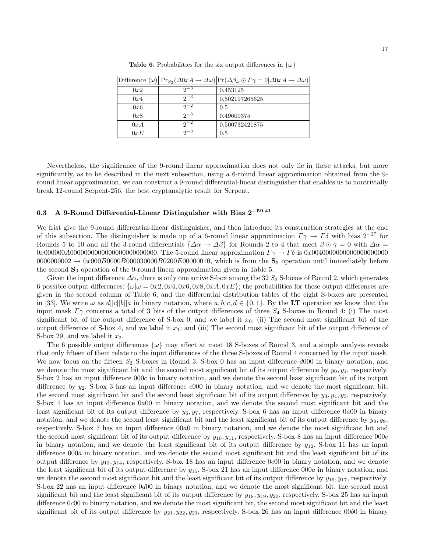|     |            | Difference $(\omega)$ $\ \Pr_{S_2}(\Delta 0 xA \to \Delta \omega)\ \Pr(\Delta \beta_{\omega} \odot \Gamma \gamma = 0 \Delta 0 xA \to \Delta \omega)$ |
|-----|------------|------------------------------------------------------------------------------------------------------------------------------------------------------|
| 0x2 | $2^{-3}$   | 0.453125                                                                                                                                             |
| 0x4 | $2^{3}$    | 0.502197265625                                                                                                                                       |
| 0x6 | $2^{-2}$   | 0.5                                                                                                                                                  |
| 0x8 | $2^{-3}$   | 0.49609375                                                                                                                                           |
| 0xA | $2^{-2}$   | 0.500732421875                                                                                                                                       |
| 0xE | $2^{\sim}$ | 0.5                                                                                                                                                  |

**Table 6.** Probabilities for the six output differences in  $\{\omega\}$ 

Nevertheless, the significance of the 9-round linear approximation does not only lie in these attacks, but more significantly, as to be described in the next subsection, using a 6-round linear approximation obtained from the 9 round linear approximation, we can construct a 9-round differential-linear distinguisher that enables us to nontrivially break 12-round Serpent-256, the best cryptanalytic result for Serpent.

# 6.3 A 9-Round Differential-Linear Distinguisher with Bias 2<sup>−</sup>59.<sup>41</sup>

We frist give the 9-round differential-linear distinguisher, and then introduce its construction strategies at the end of this subsection. The distinguisher is made up of a 6-round linear approximation  $\Gamma \gamma \to \Gamma \delta$  with bias  $2^{-27}$  for Rounds 5 to 10 and all the 3-round differentials  $\{\Delta \alpha \to \Delta \beta\}$  for Rounds 2 to 4 that meet  $\beta \odot \gamma = 0$  with  $\Delta \alpha =$ 0x000000A0000000000000000000000000. The 5-round linear approximation Γ γ → Γ δ is 0x0040000000000000000000  $0000000002 \rightarrow 0x000B0000B000030000B0200E00000010$ , which is from the  $S_5$  operation until immediately before the second  $S_3$  operation of the 9-round linear approximation given in Table 5.

Given the input difference  $\Delta\alpha$ , there is only one active S-box among the 32  $S_2$  S-boxes of Round 2, which generates 6 possible output differences:  $\{\omega|\omega = 0x2, 0x4, 0x6, 0x8, 0xA, 0xE\}$ ; the probabilities for these output differences are given in the second column of Table 6, and the differential distribution tables of the eight S-boxes are presented in [33]. We write  $\omega$  as  $d||c||b||a$  in binary notation, where  $a, b, c, d \in \{0, 1\}$ . By the LT operation we know that the input mask  $\Gamma\gamma$  concerns a total of 3 bits of the output differences of three  $S_4$  S-boxes in Round 4: (i) The most significant bit of the output difference of S-box 0, and we label it  $x_0$ ; (ii) The second most significant bit of the output difference of S-box 4, and we label it  $x_1$ ; and (iii) The second most significant bit of the output difference of S-box 29, and we label it  $x_2$ .

The 6 possible output differences  $\{\omega\}$  may affect at most 18 S-boxes of Round 3, and a simple analysis reveals that only fifteen of them relate to the input differences of the three S-boxes of Round 4 concerned by the input mask. We now focus on the fifteen  $S_3$  S-boxes in Round 3. S-box 0 has an input difference  $d000$  in binary notation, and we denote the most significant bit and the second most significant bit of its output difference by  $y_0, y_1$ , respectively. S-box 2 has an input difference 000c in binary notation, and we denote the second least significant bit of its output difference by  $y_2$ . S-box 3 has an input difference  $c000$  in binary notation, and we denote the most significant bit, the second most significant bit and the second least significant bit of its output difference by  $y_3, y_4, y_5$ , respectively. S-box 4 has an input difference 0a00 in binary notation, and we denote the second most significant bit and the least significant bit of its output difference by  $y_6, y_7$ , respectively. S-box 6 has an input difference 0a00 in binary notation, and we denote the second least significant bit and the least significant bit of its output difference by  $y_8, y_9$ , respectively. S-box 7 has an input difference 00a0 in binary notation, and we denote the most significant bit and the second most significant bit of its output difference by  $y_{10}, y_{11}$ , respectively. S-box 8 has an input difference 000c in binary notation, and we denote the least significant bit of its output difference by  $y_{12}$ . S-box 11 has an input difference 000a in binary notation, and we denote the second most significant bit and the least significant bit of its output difference by  $y_{13}, y_{14}$ , respectively. S-box 18 has an input difference 0c00 in binary notation, and we denote the least significant bit of its output difference by  $y_{15}$ . S-box 21 has an input difference  $000a$  in binary notation, and we denote the second most significant bit and the least significant bit of its output difference by  $y_{16}, y_{17}$ , respectively. S-box 22 has an input difference 0d00 in binary notation, and we denote the most significant bit, the second most significant bit and the least significant bit of its output difference by  $y_{18}$ ,  $y_{19}$ ,  $y_{20}$ , respectively. S-box 25 has an input difference 0c00 in binary notation, and we denote the most significant bit, the second most significant bit and the least significant bit of its output difference by  $y_{21}, y_{22}, y_{23}$ , respectively. S-box 26 has an input difference 0060 in binary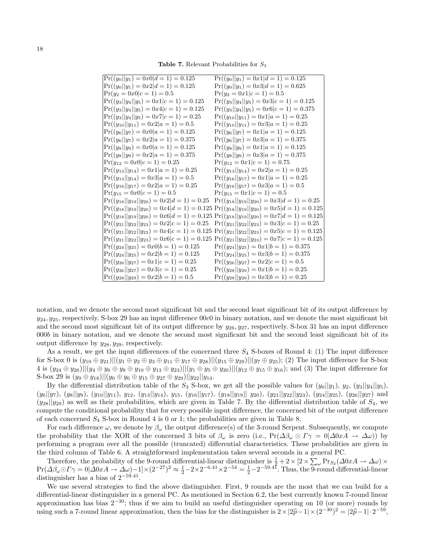Table 7. Relevant Probabilities for  $S_3$ 

| $\Pr((y_0  y_1) = 0x0 d = 1) = 0.125$             | $Pr((y_0  y_1) = 0x1 d = 1) = 0.125$                                                                |
|---------------------------------------------------|-----------------------------------------------------------------------------------------------------|
| $Pr((y_0  y_1) = 0x2 d = 1) = 0.125$              | $Pr((y_0  y_1) = 0x3 d = 1) = 0.625$                                                                |
| $Pr(y_2 = 0x0 c = 1) = 0.5$                       | $Pr(y_2 = 0x1 c = 1) = 0.5$                                                                         |
| $Pr((y_3  y_4  y_5) = 0x1 c = 1) = 0.125$         | $Pr((y_3  y_4  y_5) = 0x3 c = 1) = 0.125$                                                           |
| $Pr((y_3  y_4  y_5) = 0x4 c = 1) = 0.125$         | $Pr((y_3  y_4  y_5) = 0x6 c = 1) = 0.375$                                                           |
| $Pr((y_3  y_4  y_5) = 0x7 c = 1) = 0.25$          | $Pr((y_{10}  y_{11}) = 0x1 a = 1) = 0.25$                                                           |
| $Pr((y_{10}  y_{11}) = 0x2 a = 1) = 0.5$          | $Pr((y_{10}  y_{11}) = 0x3 a = 1) = 0.25$                                                           |
| $Pr((y_6  y_7) = 0x0 a = 1) = 0.125$              | $Pr((y_6  y_7)=0x1 a=1)=0.125$                                                                      |
| $Pr((y_6  y_7) = 0x2 a = 1) = 0.375$              | $Pr((y_6  y_7) = 0x3 a = 1) = 0.375$                                                                |
| $Pr((y_8  y_9) = 0x0 a = 1) = 0.125$              | $Pr((y_8  y_9) = 0x1 a = 1) = 0.125$                                                                |
| $Pr((y_8  y_9) = 0x2 a = 1) = 0.375$              | $Pr((y_8  y_9) = 0x3 a = 1) = 0.375$                                                                |
| $Pr(y_{12} = 0x0 c = 1) = 0.25$                   | $Pr(y_{12} = 0x1 c = 1) = 0.75$                                                                     |
| $Pr((y_{13}  y_{14}) = 0x1 a = 1) = 0.25$         | $Pr((y_{13}  y_{14}) = 0x2 a = 1) = 0.25$                                                           |
| $Pr((y_{13}  y_{14}) = 0x3 a = 1) = 0.5$          | $Pr((y_{16}  y_{17}) = 0x1 a = 1) = 0.25$                                                           |
| $Pr((y_{16}  y_{17}) = 0x2 a = 1) = 0.25$         | $Pr((y_{16}  y_{17}) = 0x3 a = 1) = 0.5$                                                            |
| $Pr(y_{15} = 0x0 c = 1) = 0.5$                    | $Pr(y_{15} = 0x1 c = 1) = 0.5$                                                                      |
| $Pr((y_{18}  y_{19}  y_{20}) = 0x2 d = 1) = 0.25$ | $Pr((y_{18}  y_{19}  y_{20}) = 0x3 d = 1) = 0.25$                                                   |
|                                                   | $Pr((y_{18}  y_{19}  y_{20}) = 0x4 d = 1) = 0.125 Pr((y_{18}  y_{19}  y_{20}) = 0x5 d = 1) = 0.125$ |
|                                                   | $Pr((y_{18}  y_{19}  y_{20}) = 0x6 d = 1) = 0.125 Pr((y_{18}  y_{19}  y_{20}) = 0x7 d = 1) = 0.125$ |
| $Pr((y_{21}  y_{22}  y_{23}) = 0x2 c = 1) = 0.25$ | $Pr((y_{21}  y_{22}  y_{23}) = 0x3 c = 1) = 0.25$                                                   |
|                                                   | $Pr((y_{21}  y_{22}  y_{23}) = 0x4 c = 1) = 0.125 Pr((y_{21}  y_{22}  y_{23}) = 0x5 c = 1) = 0.125$ |
|                                                   | $Pr((y_{21}  y_{22}  y_{23}) = 0x6 c = 1) = 0.125 Pr((y_{21}  y_{22}  y_{23}) = 0x7 c = 1) = 0.125$ |
| $Pr((y_{24}  y_{25}) = 0x0 b = 1) = 0.125$        | $Pr((y_{24}  y_{25}) = 0x1 b = 1) = 0.375$                                                          |
| $Pr((y_{24}  y_{25}) = 0x2 b = 1) = 0.125$        | $Pr((y_{24}  y_{25}) = 0x3 b = 1) = 0.375$                                                          |
| $Pr((y_{26}  y_{27}) = 0x1 c = 1) = 0.25$         | $Pr((y_{26}  y_{27}) = 0x2 c = 1) = 0.5$                                                            |
| $Pr((y_{26}  y_{27}) = 0x3 c = 1) = 0.25$         | $Pr((y_{28}  y_{29}) = 0x1 b = 1) = 0.25$                                                           |
| $\Pr((y_{28}  y_{29}) = 0x2 b = 1) = 0.5$         | $Pr((y_{28}  y_{29}) = 0x3 b = 1) = 0.25$                                                           |

notation, and we denote the second most significant bit and the second least significant bit of its output difference by  $y_{24}, y_{25}$ , respectively. S-box 29 has an input difference 00c0 in binary notation, and we denote the most significant bit and the second most significant bit of its output difference by  $y_{26}$ ,  $y_{27}$ , respectively. S-box 31 has an input difference 000b in binary notation, and we denote the second most significant bit and the second least significant bit of its output difference by  $y_{28}, y_{29}$ , respectively.

As a result, we get the input differences of the concerned three  $S_4$  S-boxes of Round 4: (1) The input difference for S-box 0 is  $(y_{19} \oplus y_{21})||(y_1 \oplus y_2 \oplus y_3 \oplus y_{11} \oplus y_{17} \oplus y_{28})||(y_{15} \oplus y_{29})||(y_7 \oplus y_{25})$ ; (2) The input difference for S-box 4 is  $(y_{24} \oplus y_{26})||(y_4 \oplus y_6 \oplus y_8 \oplus y_{10} \oplus y_{13} \oplus y_{23})||(y_1 \oplus y_5 \oplus y_{20})||(y_{12} \oplus y_{15} \oplus y_{16})$ ; and (3) The input difference for S-box 29 is  $(y_9 \oplus y_{18})$ || $(y_0 \oplus y_6 \oplus y_{15} \oplus y_{27} \oplus y_{29})$ || $y_{22}$ || $y_{14}$ .

By the differential distribution table of the  $S_3$  S-box, we get all the possible values for  $(y_0||y_1)$ ,  $y_2$ ,  $(y_3||y_4||y_5)$ ,  $(y_6||y_7), (y_8||y_9), (y_{10}||y_{11}), y_{12}, (y_{13}||y_{14}), y_{15}, (y_{16}||y_{17}), (y_{18}||y_{19}||y_{20}), (y_{21}||y_{22}||y_{23}), (y_{24}||y_{25}), (y_{26}||y_{27})$  and  $(y_{28}||y_{29})$  as well as their probabilities, which are given in Table 7. By the differential distribution table of  $S_4$ , we compute the conditional probability that for every possible input difference, the concerned bit of the output difference of each concerned  $S_4$  S-box in Round 4 is 0 or 1; the probabilities are given in Table 8.

For each difference  $\omega$ , we denote by  $\beta_{\omega}$  the output difference(s) of the 3-round Serpent. Subsequently, we compute the probability that the XOR of the concerned 3 bits of  $\beta_\omega$  is zero (i.e.,  $Pr(\Delta \beta_\omega \odot \Gamma \gamma = 0 | \Delta 0xA \rightarrow \Delta \omega)$ ) by performing a program over all the possible (truncated) differential characteristics. These probabilities are given in the third column of Table 6. A straightforward implementation takes several seconds in a general PC.

Therefore, the probability of the 9-round differential-linear distinguisher is  $\frac{1}{4} + 2 \times [2 \times \sum_{\omega} Pr_{S_2}(\Delta 0xA \rightarrow \Delta \omega) \times$  $\Pr(\Delta \beta_{\omega} \odot \Gamma \gamma = 0 | \Delta 0 x A \rightarrow \Delta \omega) - 1] \times (2^{-27})^2 \approx \frac{1}{2} - 2 \times 2^{-6.41} \times 2^{-54} = \frac{1}{2} - 2^{-59.41}$ . Thus, the 9-round differential-linear distinguisher has a bias of  $2^{-59.41}$ .

We use several strategies to find the above distinguisher. First, 9 rounds are the most that we can build for a differential-linear distinguisher in a general PC. As mentioned in Section 6.2, the best currently known 7-round linear approximation has bias  $2^{-30}$ ; thus if we aim to build an useful distinguisher operating on 10 (or more) rounds by using such a 7-round linear approximation, then the bias for the distinguisher is  $2 \times |2\hat{p}-1| \times (2^{-30})^2 = |2\hat{p}-1| \cdot 2^{-59}$ ,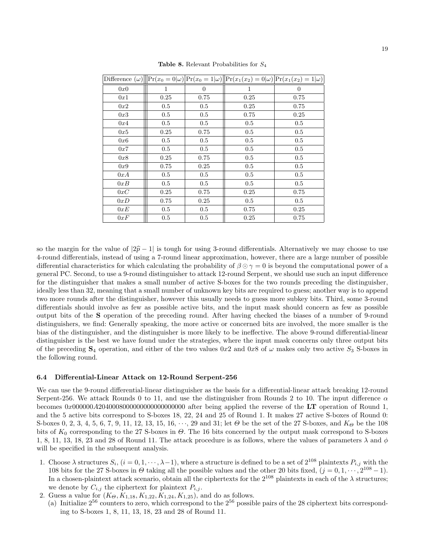|     |      |          |         | Difference $(\omega)\ P_r(x_0=0 \omega) P_r(x_0=1 \omega)\ P_r(x_1(x_2)=0 \omega) P_r(x_1(x_2)=1 \omega) $ |
|-----|------|----------|---------|------------------------------------------------------------------------------------------------------------|
| 0x0 | 1    | $\theta$ | 1       | $\Omega$                                                                                                   |
| 0x1 | 0.25 | 0.75     | 0.25    | 0.75                                                                                                       |
| 0x2 | 0.5  | 0.5      | 0.25    | 0.75                                                                                                       |
| 0x3 | 0.5  | 0.5      | 0.75    | 0.25                                                                                                       |
| 0x4 | 0.5  | 0.5      | 0.5     | 0.5                                                                                                        |
| 0x5 | 0.25 | 0.75     | $0.5\,$ | 0.5                                                                                                        |
| 0x6 | 0.5  | 0.5      | 0.5     | 0.5                                                                                                        |
| 0x7 | 0.5  | 0.5      | 0.5     | 0.5                                                                                                        |
| 0x8 | 0.25 | 0.75     | $0.5\,$ | 0.5                                                                                                        |
| 0x9 | 0.75 | 0.25     | 0.5     | 0.5                                                                                                        |
| 0xA | 0.5  | 0.5      | 0.5     | 0.5                                                                                                        |
| 0xB | 0.5  | $0.5\,$  | 0.5     | 0.5                                                                                                        |
| 0xC | 0.25 | 0.75     | 0.25    | 0.75                                                                                                       |
| 0xD | 0.75 | 0.25     | 0.5     | 0.5                                                                                                        |
| 0xE | 0.5  | 0.5      | 0.75    | 0.25                                                                                                       |
| 0xF | 0.5  | 0.5      | 0.25    | 0.75                                                                                                       |

**Table 8.** Relevant Probabilities for  $S_4$ 

so the margin for the value of  $|2\hat{p} - 1|$  is tough for using 3-round differentials. Alternatively we may choose to use 4-round differentials, instead of using a 7-round linear approximation, however, there are a large number of possible differential characteristics for which calculating the probability of  $\beta \odot \gamma = 0$  is beyond the computational power of a general PC. Second, to use a 9-round distinguisher to attack 12-round Serpent, we should use such an input difference for the distinguisher that makes a small number of active S-boxes for the two rounds preceding the distinguisher, ideally less than 32, meaning that a small number of unknown key bits are required to guess; another way is to append two more rounds after the distinguisher, however this usually needs to guess more subkey bits. Third, some 3-round differentials should involve as few as possible active bits, and the input mask should concern as few as possible output bits of the S operation of the preceding round. After having checked the biases of a number of 9-round distinguishers, we find: Generally speaking, the more active or concerned bits are involved, the more smaller is the bias of the distinguisher, and the distinguisher is more likely to be ineffective. The above 9-round differential-linear distinguisher is the best we have found under the strategies, where the input mask concerns only three output bits of the preceding  $S_4$  operation, and either of the two values 0x2 and 0x8 of  $\omega$  makes only two active  $S_3$  S-boxes in the following round.

#### 6.4 Differential-Linear Attack on 12-Round Serpent-256

We can use the 9-round differential-linear distinguisher as the basis for a differential-linear attack breaking 12-round Serpent-256. We attack Rounds 0 to 11, and use the distinguisher from Rounds 2 to 10. The input difference  $\alpha$ becomes 0x000000A2040008000000000000000000 after being applied the reverse of the LT operation of Round 1, and the 5 active bits correspond to S-boxes 18, 22, 24 and 25 of Round 1. It makes 27 active S-boxes of Round 0: S-boxes 0, 2, 3, 4, 5, 6, 7, 9, 11, 12, 13, 15, 16,  $\cdots$ , 29 and 31; let  $\Theta$  be the set of the 27 S-boxes, and  $K_{\Theta}$  be the 108 bits of  $K_0$  corresponding to the 27 S-boxes in  $\Theta$ . The 16 bits concerned by the output mask correspond to S-boxes 1, 8, 11, 13, 18, 23 and 28 of Round 11. The attack procedure is as follows, where the values of parameters  $\lambda$  and  $\phi$ will be specified in the subsequent analysis.

- 1. Choose  $\lambda$  structures  $S_i$ ,  $(i = 0, 1, \dots, \lambda 1)$ , where a structure is defined to be a set of  $2^{108}$  plaintexts  $P_{i,j}$  with the 108 bits for the 27 S-boxes in  $\Theta$  taking all the possible values and the other 20 bits fixed,  $(j = 0, 1, \dots, 2^{108} - 1)$ . In a chosen-plaintext attack scenario, obtain all the ciphertexts for the  $2^{108}$  plaintexts in each of the  $\lambda$  structures; we denote by  $C_{i,j}$  the ciphertext for plaintext  $P_{i,j}$ .
- 2. Guess a value for  $(K_{\Theta}, K_{1,18}, K_{1,22}, K_{1,24}, K_{1,25})$ , and do as follows.
	- (a) Initialize  $2^{56}$  counters to zero, which correspond to the  $2^{56}$  possible pairs of the 28 ciphertext bits corresponding to S-boxes 1, 8, 11, 13, 18, 23 and 28 of Round 11.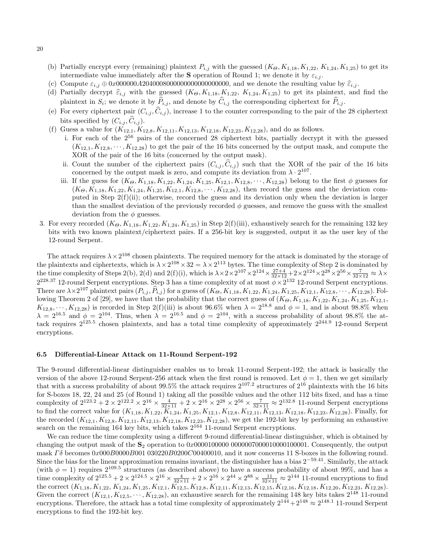- (b) Partially encrypt every (remaining) plaintext  $P_{i,j}$  with the guessed  $(K_{\Theta}, K_{1,18}, K_{1,22}, K_{1,24}, K_{1,25})$  to get its intermediate value immediately after the **S** operation of Round 1; we denote it by  $\varepsilon_{i,j}$ .
- (c) Compute <sup>ε</sup>i,j <sup>⊕</sup> <sup>0</sup>x000000A2040008000000000000000000, and we denote the resulting value by <sup>ε</sup>bi,j .
- (d) Partially decrypt  $\hat{\varepsilon}_{i,j}$  with the guessed  $(K_{\Theta}, K_{1,18}, K_{1,22}, K_{1,24}, K_{1,25})$  to get its plaintext, and find the plaintext in  $S_i$ ; we denote it by  $P_{i,j}$ , and denote by  $C_{i,j}$  the corresponding ciphertext for  $P_{i,j}$ .
- (e) For every ciphertext pair  $(C_{i,j}, \hat{C}_{i,j})$ , increase 1 to the counter corresponding to the pair of the 28 ciphertext bits specified by  $(C_{i,j}, \tilde{C}_{i,j}).$
- (f) Guess a value for  $(K_{12,1}, K_{12,8}, K_{12,11}, K_{12,13}, K_{12,18}, K_{12,23}, K_{12,28})$ , and do as follows.
	- i. For each of the 2<sup>56</sup> pairs of the concerned 28 ciphertext bits, partially decrypt it with the guessed  $(K_{12,1}, K_{12,8}, \cdots, K_{12,28})$  to get the pair of the 16 bits concerned by the output mask, and compute the XOR of the pair of the 16 bits (concerned by the output mask).
	- ii. Count the number of the ciphertext pairs  $(C_{i,j}, \tilde{C}_{i,j})$  such that the XOR of the pair of the 16 bits concerned by the output mask is zero, and compute its deviation from  $\lambda \cdot 2^{107}$ .
	- iii. If the guess for  $(K_{\Theta}, K_{1,18}, K_{1,22}, K_{1,24}, K_{1,25}, K_{12,1}, K_{12,8}, \cdots, K_{12,28})$  belong to the first  $\phi$  guesses for  $(K_{\Theta}, K_{1,18}, K_{1,22}, K_{1,24}, K_{1,25}, K_{12,1}, K_{12,8}, \cdots, K_{12,28})$ , then record the guess and the deviation computed in Step  $2(f)(ii)$ ; otherwise, record the guess and its deviation only when the deviation is larger than the smallest deviation of the previously recorded  $\phi$  guesses, and remove the guess with the smallest deviation from the  $\phi$  guesses.
- 3. For every recorded  $(K_{\Theta}, K_{1,18}, K_{1,22}, K_{1,24}, K_{1,25})$  in Step 2(f)(iii), exhaustively search for the remaining 132 key bits with two known plaintext/ciphertext pairs. If a 256-bit key is suggested, output it as the user key of the 12-round Serpent.

The attack requires  $\lambda \times 2^{108}$  chosen plaintexts. The required memory for the attack is dominated by the storage of the plaintexts and ciphertexts, which is  $\lambda \times 2^{108} \times 32 = \lambda \times 2^{113}$  bytes. The time complexity of Step 2 is dominated by the time complexity of Steps 2(b), 2(d) and 2(f)(i), which is  $\lambda \times 2 \times 2^{107} \times 2^{124} \times \frac{27+4}{32 \times 12} + 2 \times 2^{124} \times 2^{28} \times 2^{56} \times \frac{7}{32 \times 12} \approx \lambda \times 2^{56} \times 2^{56} \times 2^{56} \times 2^{56} \times 2^{56} \times 2^{56} \times 2^{56} \times 2^{56} \times 2^{$  $2^{228.37}$  12-round Serpent encryptions. Step 3 has a time complexity of at most  $\phi \times 2^{132}$  12-round Serpent encryptions. There are  $\lambda \times 2^{107}$  plaintext pairs  $(P_{i,j}, \hat{P}_{i,j})$  for a guess of  $(K_{\Theta}, K_{1,18}, K_{1,22}, K_{1,24}, K_{1,25}, K_{12,1}, K_{12,8}, \cdots, K_{12,28})$ . Following Theorem 2 of [29], we have that the probability that the correct guess of  $(K_{\Theta}, K_{1,18}, K_{1,22}, K_{1,24}, K_{1,25}, K_{12,1}$ ,  $K_{12,8}, \cdots, K_{12,28}$ ) is recorded in Step 2(f)(iii) is about 96.6% when  $\lambda = 2^{18.8}$  and  $\phi = 1$ , and is about 98.8% when  $\lambda = 2^{16.5}$  and  $\phi = 2^{104}$ . Thus, when  $\lambda = 2^{16.5}$  and  $\phi = 2^{104}$ , with a success probability of about 98.8% the attack requires  $2^{125.5}$  chosen plaintexts, and has a total time complexity of approximately  $2^{244.9}$  12-round Serpent encryptions.

#### 6.5 Differential-Linear Attack on 11-Round Serpent-192

The 9-round differential-linear distinguisher enables us to break 11-round Serpent-192; the attack is basically the version of the above 12-round Serpent-256 attack when the first round is removed. Let  $\phi = 1$ , then we get similarly that with a success probability of about  $99.5\%$  the attack requires  $2^{107.2}$  structures of  $2^{16}$  plaintexts with the 16 bits for S-boxes 18, 22, 24 and 25 (of Round 1) taking all the possible values and the other 112 bits fixed, and has a time complexity of  $2^{123.2} + 2 \times 2^{122.2} \times 2^{16} \times \frac{4}{32 \times 11} + 2 \times 2^{16} \times 2^{28} \times 2^{56} \times \frac{7}{32 \times 11} \approx 2^{132.8}$  11-round Serpent encryptions to find the correct value for  $(K_{1,18}, K_{1,22}, K_{1,24}, K_{1,25}, K_{12,1}, K_{12,8}, K_{12,11}, K_{12,13}, K_{12,18}, K_{12,23}, K_{12,28})$ . Finally, for the recorded  $(K_{12,1}, K_{12,8}, K_{12,11}, K_{12,13}, K_{12,18}, K_{12,23}, K_{12,28})$ , we get the 192-bit key by performing an exhaustive search on the remaining 164 key bits, which takes  $2^{164}$  11-round Serpent encryptions.

We can reduce the time complexity using a different 9-round differential-linear distinguisher, which is obtained by changing the output mask of the  $S_2$  operation to 0x0000100000 00000070000100001000001. Consequently, the output mask  $\Gamma\delta$  becomes  $0x000B000B001030220B0200C00400010$ , and it now concerns 11 S-boxes in the following round. Since the bias for the linear approximation remains invariant, the distinguisher has a bias  $2^{-59.41}$ . Similarly, the attack (with  $\phi = 1$ ) requires  $2^{109.5}$  structures (as described above) to have a success probability of about 99%, and has a time complexity of  $2^{125.5} + 2 \times 2^{124.5} \times 2^{16} \times \frac{4}{32 \times 11} + 2 \times 2^{16} \times 2^{44} \times 2^{88} \times \frac{11}{32 \times 11} \approx 2^{144}$  11-round encryptions to find the correct  $(K_{1,18}, K_{1,22}, K_{1,24}, K_{1,25}, K_{12,1}, K_{12,5}, K_{12,3}, K_{12,11}, K_{12,13}, K_{12,15}, K_{12,16}, K_{12,18}, K_{12,20}, K_{12,23}, K_{12,28}).$ Given the correct  $(K_{12,1}, K_{12,5}, \cdots, K_{12,28})$ , an exhaustive search for the remaining 148 key bits takes  $2^{148}$  11-round encryptions. Therefore, the attack has a total time complexity of approximately  $2^{144} + 2^{148} \approx 2^{148.1}$  11-round Serpent encryptions to find the 192-bit key.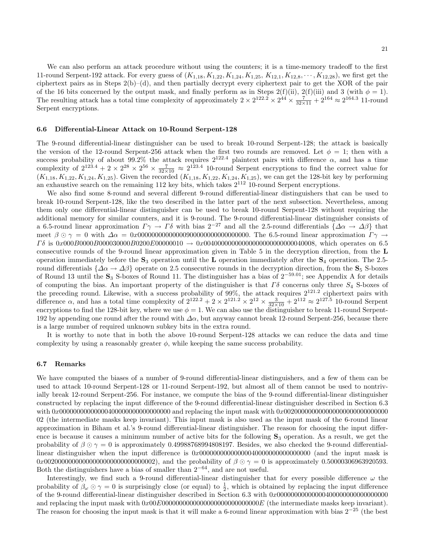We can also perform an attack procedure without using the counters; it is a time-memory tradeoff to the first 11-round Serpent-192 attack. For every guess of  $(K_{1,18}, K_{1,22}, K_{1,24}, K_{1,25}, K_{12,1}, K_{12,8}, \cdots, K_{12,28})$ , we first get the ciphertext pairs as in Steps 2(b)–(d), and then partially decrypt every ciphertext pair to get the XOR of the pair of the 16 bits concerned by the output mask, and finally perform as in Steps 2(f)(ii), 2(f)(iii) and 3 (with  $\phi = 1$ ). The resulting attack has a total time complexity of approximately  $2 \times 2^{122.2} \times 2^{44} \times \frac{7}{32 \times 11} + 2^{164} \approx 2^{164.3}$  11-round Serpent encryptions.

#### 6.6 Differential-Linear Attack on 10-Round Serpent-128

The 9-round differential-linear distinguisher can be used to break 10-round Serpent-128; the attack is basically the version of the 12-round Serpent-256 attack when the first two rounds are removed. Let  $\phi = 1$ ; then with a success probability of about 99.2% the attack requires  $2^{122.4}$  plaintext pairs with difference  $\alpha$ , and has a time complexity of  $2^{123.4} + 2 \times 2^{28} \times 2^{56} \times \frac{7}{32 \times 10} \approx 2^{123.4}$  10-round Serpent encryptions to find the correct value for  $(K_{1,18}, K_{1,22}, K_{1,24}, K_{1,25})$ . Given the recorded  $(K_{1,18}, K_{1,22}, K_{1,24}, K_{1,25})$ , we can get the 128-bit key by performing an exhaustive search on the remaining  $112$  key bits, which takes  $2^{112}$  10-round Serpent encryptions.

We also find some 8-round and several different 9-round differential-linear distinguishers that can be used to break 10-round Serpent-128, like the two described in the latter part of the next subsection. Nevertheless, among them only one differential-linear distinguisher can be used to break 10-round Serpent-128 without requiring the additional memory for similar counters, and it is 9-round. The 9-round differential-linear distinguisher consists of a 6.5-round linear approximation  $\Gamma \gamma \to \Gamma \delta$  with bias  $2^{-27}$  and all the 2.5-round differentials  $\{\Delta \alpha \to \Delta \beta\}$  that meet β  γ = 0 with ∆α = 0x00000000000000900000000000000000. The 6.5-round linear approximation Γ γ →  $\Gamma\delta$  is 0x000B0000B000030000B0200E00000010  $\to 0x0040000000000000000000000000000008$ , which operates on 6.5 consecutive rounds of the 9-round linear approximation given in Table 5 in the decryption direction, from the L operation immediately before the  $S_3$  operation until the L operation immediately after the  $S_4$  operation. The 2.5round differentials  $\{\Delta \alpha \to \Delta \beta\}$  operate on 2.5 consecutive rounds in the decryption direction, from the  $S_5$  S-boxes of Round 13 until the  $\mathbf{S}_3$  S-boxes of Round 11. The distinguisher has a bias of  $2^{-59.01}$ ; see Appendix A for details of computing the bias. An important property of the distinguisher is that  $\Gamma\delta$  concerns only three  $S_4$  S-boxes of the preceding round. Likewise, with a success probability of  $99\%$ , the attack requires  $2^{121.2}$  ciphertext pairs with difference  $\alpha$ , and has a total time complexity of  $2^{122.2} + 2 \times 2^{121.2} \times 2^{12} \times \frac{3}{32 \times 10} + 2^{112} \approx 2^{127.5}$  10-round Serpent encryptions to find the 128-bit key, where we use  $\phi = 1$ . We can also use the distinguisher to break 11-round Serpent-192 by appending one round after the round with  $\Delta \alpha$ , but anyway cannot break 12-round Serpent-256, because there is a large number of required unknown subkey bits in the extra round.

It is worthy to note that in both the above 10-round Serpent-128 attacks we can reduce the data and time complexity by using a reasonably greater  $\phi$ , while keeping the same success probability.

### 6.7 Remarks

We have computed the biases of a number of 9-round differential-linear distinguishers, and a few of them can be used to attack 10-round Serpent-128 or 11-round Serpent-192, but almost all of them cannot be used to nontrivially break 12-round Serpent-256. For instance, we compute the bias of the 9-round differential-linear distinguisher constructed by replacing the input difference of the 9-round differential-linear distinguisher described in Section 6.3 with 0x00000000000000400000000000000000 and replacing the input mask with 0x002000000000000000000000000000 02 (the intermediate masks keep invariant). This input mask is also used as the input mask of the 6-round linear approximation in Biham et al.'s 9-round differential-linear distinguisher. The reason for choosing the input difference is because it causes a minimum number of active bits for the following  $S_3$  operation. As a result, we get the probability of  $\beta \odot \gamma = 0$  is approximately 0.49988768994808197. Besides, we also checked the 9-round differentiallinear distinguisher when the input difference is 0x00000000000000040000000000000000 (and the input mask is 0x00200000000000000000000000000000002), and the probability of  $\beta \odot \gamma = 0$  is approximately 0.50000306963920593. Both the distinguishers have a bias of smaller than  $2^{-64}$ , and are not useful.

Interestingly, we find such a 9-round differential-linear distinguisher that for every possible difference  $\omega$  the probability of  $\beta_{\omega} \odot \gamma = 0$  is surprisingly close (or equal) to  $\frac{1}{2}$ , which is obtained by replacing the input difference of the 9-round differential-linear distinguisher described in Section 6.3 with 0x00000000000000400000000000000000 and replacing the input mask with  $0x00E0000000000000000000000000000E$  (the intermediate masks keep invariant). The reason for choosing the input mask is that it will make a 6-round linear approximation with bias  $2^{-25}$  (the best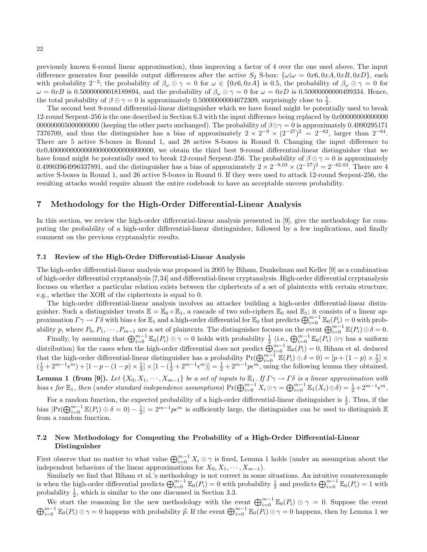previously known 6-round linear approximation), thus improving a factor of 4 over the one used above. The input difference generates four possible output differences after the active  $S_2$  S-box:  $\{\omega|\omega = 0x6, 0xA, 0xB, 0xD\}$ , each with probability  $2^{-2}$ ; the probability of  $\beta_{\omega} \odot \gamma = 0$  for  $\omega \in \{0x6, 0xA\}$  is 0.5, the probability of  $\beta_{\omega} \odot \gamma = 0$  for  $ω = 0xB$  is 0.50000000018189894, and the probability of  $βω ∘ γ = 0$  for  $ω = 0xD$  is 0.50000000000499334. Hence, the total probability of  $\beta \odot \gamma = 0$  is approximately 0.5000000004672309, surprisingly close to  $\frac{1}{2}$ .

The second best 9-round differential-linear distinguisher which we have found might be potentially used to break 12-round Serpent-256 is the one described in Section 6.3 with the input difference being replaced by 0x00000000000000 000000000000000000000 (keeping the other parts unchanged). The probability of  $\beta \odot \gamma = 0$  is approximately 0.4990295171 7376709, and thus the distinguisher has a bias of approximately  $2 \times 2^{-9} \times (2^{-27})^2 = 2^{-62}$ , larger than  $2^{-64}$ . There are 5 active S-boxes in Round 1, and 28 active S-boxes in Round 0. Changing the input difference to 0x0A00000000000000000000000000000, we obtain the third best 9-round differential-linear distinguisher that we have found might be potentially used to break 12-round Serpent-256. The probability of  $\beta \odot \gamma = 0$  is approximately 0.49903964996337891, and the distinguisher has a bias of approximately  $2 \times 2^{-9.03} \times (2^{-27})^2 = 2^{-62.03}$ . There are 4 active S-boxes in Round 1, and 26 active S-boxes in Round 0. If they were used to attack 12-round Serpent-256, the resulting attacks would require almost the entire codebook to have an acceptable success probability.

### 7 Methodology for the High-Order Differential-Linear Analysis

In this section, we review the high-order differential-linear analysis presented in [9], give the methodology for computing the probability of a high-order differential-linear distinguisher, followed by a few implications, and finally comment on the previous cryptanalytic results.

#### 7.1 Review of the High-Order Differential-Linear Analysis

The high-order differential-linear analysis was proposed in 2005 by Biham, Dunkelman and Keller [9] as a combination of high-order differential cryptanalysis [7,34] and differential-linear cryptanalysis. High-order differential cryptanalysis focuses on whether a particular relation exists between the ciphertexts of a set of plaintexts with certain structure. e.g., whether the XOR of the ciphertexts is equal to 0.

The high-order differential-linear analysis involves an attacker building a high-order differential-linear distinguisher. Such a distinguisher treats  $\mathbb{E} = \mathbb{E}_0 \circ \mathbb{E}_1$ , a cascade of two sub-ciphers  $\mathbb{E}_0$  and  $\mathbb{E}_1$ ; it consists of a linear approximation  $\Gamma \gamma \to \Gamma \delta$  with bias  $\epsilon$  for  $\mathbb{E}_1$  and a high-order differential for  $\mathbb{E}_0$  that predicts  $\bigoplus_{i=0}^{m-1} \mathbb{E}_0(P_i) = 0$  with probability p, where  $P_0, P_1, \dots, P_{m-1}$  are a set of plaintexts. The distinguisher focuses on the event  $\bigoplus_{i=0}^{m-1} \mathbb{E}(P_i) \odot \delta = 0$ .

Finally, by assuming that  $\bigoplus_{i=0}^{m-1} \mathbb{E}_0(P_i) \odot \gamma = 0$  holds with probability  $\frac{1}{2}$  (i.e.,  $\bigoplus_{i=0}^{m-1} \mathbb{E}_0(P_i) \odot \gamma$  has a uniform  $\lim_{i\to\infty}$ , by assuming that  $\bigcup_{i=0}^{\infty}$   $\mathbb{E}_0(\mathcal{X}_i) \circ \mathcal{Y} = 0$  holds when probability  $\frac{1}{2}$  (i.e.,  $\bigcup_{i=0}^{\infty} \mathbb{E}_0(\mathcal{X}_i) \circ \mathcal{Y}$  has a dimordinal distribution) for the cases when the high-order d that the high-order differential-linear distinguisher has a probability  $Pr(\bigoplus_{i=0}^{m-1} \mathbb{E}(P_i) \odot \delta = 0) = [p + (1-p) \times \frac{1}{2}] \times$  $\left(\frac{1}{2} + 2^{m-1} \epsilon^m\right) + \left[1 - p - (1 - p) \times \frac{1}{2}\right] \times \left[1 - \left(\frac{1}{2} + 2^{m-1} \epsilon^m\right)\right] = \frac{1}{2} + 2^{m-1} p \epsilon^m$ , using the following lemma they obtained. **Lemma 1 (from [9]).** Let  $\{X_0, X_1, \dots, X_{m-1}\}$  be a set of inputs to  $\mathbb{E}_1$ . If  $\Gamma \gamma \to \Gamma \delta$  is a linear approximation with

bias  $\epsilon$  for  $\mathbb{E}_1$ , then (under standard independence assumptions)  $Pr(\bigoplus_{i=0}^{m-1} X_i \odot \gamma = \bigoplus_{i=0}^{m-1} \mathbb{E}_1(X_i) \odot \delta) = \frac{1}{2} + 2^{m-1} \epsilon^m$ .

For a random function, the expected probability of a high-order differential-linear distinguisher is  $\frac{1}{2}$ . Thus, if the bias  $|\Pr(\bigoplus_{i=0}^{m-1} \mathbb{E}(P_i) \odot \delta = 0) - \frac{1}{2}| = 2^{m-1}p\epsilon^m$  is sufficiently large, the distinguisher can be used to distinguish  $\mathbb{E}$ from a random function.

### 7.2 New Methodology for Computing the Probability of a High-Order Differential-Linear Distinguisher

First observe that no matter to what value  $\bigoplus_{i=0}^{m-1} X_i \odot \gamma$  is fixed, Lemma 1 holds (under an assumption about the independent behaviors of the linear approximations for  $X_0, X_1, \cdots, X_{m-1}$ .

Similarly we find that Biham et al.'s methodology is not correct in some situations. An intuitive counterexample is when the high-order differential predicts  $\bigoplus_{i=0}^{m-1} \mathbb{E}_{0}(P_{i}) = 0$  with probability  $\frac{1}{2}$  and predicts  $\bigoplus_{i=0}^{m-1} \mathbb{E}_{0}(P_{i}) = 1$  with probability  $\frac{1}{2}$ , which is similar to the one discussed in Section 3.3.

We start the reasoning for the new methodology with the event  $\bigoplus_{i=0}^{m-1} \mathbb{E}_{0}(P_{i}) \odot \gamma = 0$ . Suppose the event  $\bigoplus_{i=0}^{m-1} \mathbb{E}_0(P_i) \odot \gamma = 0$  happens with probability  $\widehat{p}$ . If the event  $\bigoplus_{i=0}^{m-1} \mathbb{E}_0(P_i) \odot \gamma = 0$  happens, then by Lemma 1 we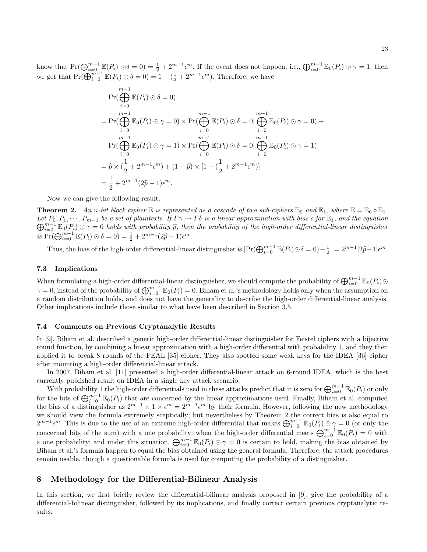know that  $Pr(\bigoplus_{i=0}^{m-1} \mathbb{E}(P_i) \odot \delta = 0) = \frac{1}{2} + 2^{m-1} \epsilon^m$ . If the event does not happen, i.e.,  $\bigoplus_{i=0}^{m-1} \mathbb{E}_0(P_i) \odot \gamma = 1$ , then we get that  $Pr(\bigoplus_{i=0}^{m-1} \mathbb{E}(P_i) \odot \delta = 0) = 1 - (\frac{1}{2} + 2^{m-1} \epsilon^m)$ . Therefore, we have

$$
\Pr(\bigoplus_{i=0}^{m-1} \mathbb{E}(P_i) \odot \delta = 0)
$$
\n
$$
= \Pr(\bigoplus_{i=0}^{m-1} \mathbb{E}_0(P_i) \odot \gamma = 0) \times \Pr(\bigoplus_{i=0}^{m-1} \mathbb{E}(P_i) \odot \delta = 0 | \bigoplus_{i=0}^{m-1} \mathbb{E}_0(P_i) \odot \gamma = 0) +
$$
\n
$$
\Pr(\bigoplus_{i=0}^{m-1} \mathbb{E}_0(P_i) \odot \gamma = 1) \times \Pr(\bigoplus_{i=0}^{m-1} \mathbb{E}(P_i) \odot \delta = 0 | \bigoplus_{i=0}^{m-1} \mathbb{E}_0(P_i) \odot \gamma = 1)
$$
\n
$$
= \widehat{p} \times (\frac{1}{2} + 2^{m-1} \epsilon^m) + (1 - \widehat{p}) \times [1 - (\frac{1}{2} + 2^{m-1} \epsilon^m)]
$$
\n
$$
= \frac{1}{2} + 2^{m-1} (2\widehat{p} - 1) \epsilon^m.
$$

Now we can give the following result.

**Theorem 2.** An n-bit block cipher  $\mathbb E$  is represented as a cascade of two sub-ciphers  $\mathbb E_0$  and  $\mathbb E_1$ , where  $\mathbb E = \mathbb E_0 \circ \mathbb E_1$ . Let  $P_0, P_1, \dots, P_{m-1}$  be a set of plaintexts. If  $\Gamma \gamma \to \Gamma \delta$  is a linear approximation with bias  $\epsilon$  for  $\mathbb{E}_1$ , and the equation  $\bigoplus_{i=0}^{m-1} \mathbb{E}_0(P_i) \odot \gamma = 0$  holds with probability  $\widehat{p}$ , then the probability of the high-order differential-linear distinguisher is  $Pr(\bigoplus_{i=0}^{m-1} \mathbb{E}(P_i) \odot \delta = 0) = \frac{1}{2} + 2^{m-1}(2\hat{p} - 1)\epsilon^m$ .

Thus, the bias of the high-order differential-linear distinguisher is  $|\Pr(\bigoplus_{i=0}^{m-1} \mathbb{E}(P_i) \odot \delta = 0) - \frac{1}{2}| = 2^{m-1}|2\hat{p}-1|\epsilon^m$ .

### 7.3 Implications

When formulating a high-order differential-linear distinguisher, we should compute the probability of  $\bigoplus_{i=0}^{m-1} \mathbb{E}_0(P_i) \odot$  $\gamma = 0$ , instead of the probability of  $\bigoplus_{i=0}^{m-1} \mathbb{E}_0(P_i) = 0$ . Biham et al.'s methodology holds only when the assumption on a random distribution holds, and does not have the generality to describe the high-order differential-linear analysis. Other implications include those similar to what have been described in Section 3.5.

#### 7.4 Comments on Previous Cryptanalytic Results

In [9], Biham et al. described a generic high-order differential-linear distinguisher for Feistel ciphers with a bijective round function, by combining a linear approximation with a high-order differential with probability 1, and they then applied it to break 8 rounds of the FEAL [35] cipher. They also spotted some weak keys for the IDEA [36] cipher after mounting a high-order differential-linear attack.

In 2007, Biham et al. [11] presented a high-order differential-linear attack on 6-round IDEA, which is the best currently published result on IDEA in a single key attack scenario.

With probability 1 the high-order differentials used in these attacks predict that it is zero for  $\bigoplus_{i=0}^{m-1} \mathbb{E}_0(P_i)$  or only for the bits of  $\bigoplus_{i=0}^{m-1} \mathbb{E}_0(P_i)$  that are concerned by the linear approximations used. Finally, Biham et al. computed the bias of a distinguisher as  $2^{m-1} \times 1 \times \epsilon^m = 2^{m-1} \epsilon^m$  by their formula. However, following the new methodology we should view the formula extremely sceptically; but nevertheless by Theorem 2 the correct bias is also equal to  $2^{m-1} \epsilon^m$ . This is due to the use of an extreme high-order differential that makes  $\bigoplus_{i=0}^{m-1} \mathbb{E}_0(P_i) \odot \gamma = 0$  (or only the concerned bits of the sum) with a one probability: when the high-order differential meets  $\bigoplus_{i=0}^{m-1} \mathbb{E}_0(P_i) = 0$  with a one probability; and under this situation,  $\bigoplus_{i=0}^{m-1} \mathbb{E}_{0}(P_{i}) \odot \gamma = 0$  is certain to hold, making the bias obtained by Biham et al.'s formula happen to equal the bias obtained using the general formula. Therefore, the attack procedures remain usable, though a questionable formula is used for computing the probability of a distinguisher.

### 8 Methodology for the Differential-Bilinear Analysis

In this section, we first briefly review the differential-bilinear analysis proposed in [9], give the probability of a differential-bilinear distinguisher, followed by its implications, and finally correct certain previous cryptanalytic results.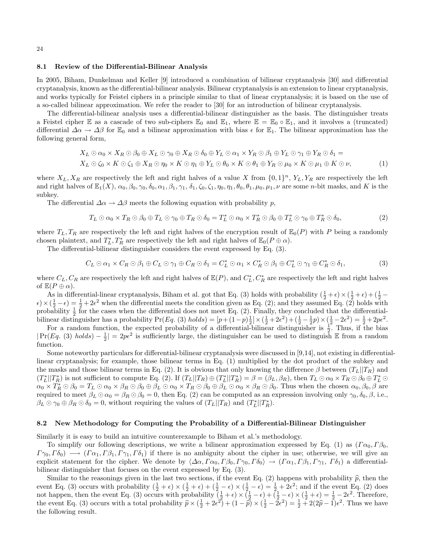#### 8.1 Review of the Differential-Bilinear Analysis

In 2005, Biham, Dunkelman and Keller [9] introduced a combination of bilinear cryptanalysis [30] and differential cryptanalysis, known as the differential-bilinear analysis. Bilinear cryptanalysis is an extension to linear cryptanalysis, and works typically for Feistel ciphers in a principle similar to that of linear cryptanalysis; it is based on the use of a so-called bilinear approximation. We refer the reader to [30] for an introduction of bilinear cryptanalysis.

The differential-bilinear analysis uses a differential-bilinear distinguisher as the basis. The distinguisher treats a Feistel cipher E as a cascade of two sub-ciphers  $\mathbb{E}_0$  and  $\mathbb{E}_1$ , where  $\mathbb{E} = \mathbb{E}_0 \circ \mathbb{E}_1$ , and it involves a (truncated) differential  $\Delta \alpha \to \Delta \beta$  for  $\mathbb{E}_0$  and a bilinear approximation with bias  $\epsilon$  for  $\mathbb{E}_1$ . The bilinear approximation has the following general form,

$$
X_L \odot \alpha_0 \times X_R \odot \beta_0 \oplus X_L \odot \gamma_0 \oplus X_R \odot \delta_0 \oplus Y_L \odot \alpha_1 \times Y_R \odot \beta_1 \oplus Y_L \odot \gamma_1 \oplus Y_R \odot \delta_1 =
$$
  
\n
$$
X_L \odot \zeta_0 \times K \odot \zeta_1 \oplus X_R \odot \eta_0 \times K \odot \eta_1 \oplus Y_L \odot \theta_0 \times K \odot \theta_1 \oplus Y_R \odot \mu_0 \times K \odot \mu_1 \oplus K \odot \nu,
$$
\n(1)

where  $X_L, X_R$  are respectively the left and right halves of a value X from  $\{0,1\}^n$ ,  $Y_L, Y_R$  are respectively the left and right halves of  $\mathbb{E}_1(X)$ ,  $\alpha_0$ ,  $\beta_0$ ,  $\gamma_0$ ,  $\delta_0$ ,  $\alpha_1$ ,  $\beta_1$ ,  $\gamma_1$ ,  $\delta_1$ ,  $\zeta_0$ ,  $\zeta_1$ ,  $\eta_0$ ,  $\eta_1$ ,  $\theta_0$ ,  $\theta_1$ ,  $\mu_0$ ,  $\mu_1$ ,  $\nu$  are some *n*-bit masks, and K is the subkey.

The differential  $\Delta \alpha \rightarrow \Delta \beta$  meets the following equation with probability p,

$$
T_L \odot \alpha_0 \times T_R \odot \beta_0 \oplus T_L \odot \gamma_0 \oplus T_R \odot \delta_0 = T_L^* \odot \alpha_0 \times T_R^* \odot \beta_0 \oplus T_L^* \odot \gamma_0 \oplus T_R^* \odot \delta_0,
$$
\n(2)

where  $T_L, T_R$  are respectively the left and right halves of the encryption result of  $\mathbb{E}_0(P)$  with P being a randomly chosen plaintext, and  $T_L^*, T_R^*$  are respectively the left and right halves of  $\mathbb{E}_0(P \oplus \alpha)$ .

The differential-bilinear distinguisher considers the event expressed by Eq. (3).

$$
C_L \odot \alpha_1 \times C_R \odot \beta_1 \oplus C_L \odot \gamma_1 \oplus C_R \odot \delta_1 = C_L^* \odot \alpha_1 \times C_R^* \odot \beta_1 \oplus C_L^* \odot \gamma_1 \oplus C_R^* \odot \delta_1, \tag{3}
$$

where  $C_L, C_R$  are respectively the left and right halves of  $\mathbb{E}(P)$ , and  $C_L^*, C_R^*$  are respectively the left and right halves of  $\mathbb{E}(P \oplus \alpha)$ .

As in differential-linear cryptanalysis, Biham et al. got that Eq. (3) holds with probability  $(\frac{1}{2} + \epsilon) \times (\frac{1}{2} + \epsilon) + (\frac{1}{2} - \epsilon)$  $\epsilon$   $\times$   $(\frac{1}{2}-\epsilon) = \frac{1}{2} + 2\epsilon^2$  when the differential meets the condition given as Eq. (2); and they assumed Eq. (2) holds with probability  $\frac{1}{2}$  for the cases when the differential does not meet Eq. (2). Finally, they concluded that the differentialbilinear distinguisher has a probability  $Pr(Eq. (3) holds) = [p+(1-p)\frac{1}{2}] \times (\frac{1}{2}+2\epsilon^2) + (\frac{1}{2}-\frac{1}{2}p) \times (\frac{1}{2}-2\epsilon^2) = \frac{1}{2}+2pe^2$ .

For a random function, the expected probability of a differential-bilinear distinguisher is  $\frac{1}{2}$ . Thus, if the bias  $|\Pr(Eq. (3) holds) - \frac{1}{2}| = 2p\epsilon^2$  is sufficiently large, the distinguisher can be used to distinguish E from a random function.

Some noteworthy particulars for differential-bilinear cryptanalysis were discussed in [9,14], not existing in differentiallinear cryptanalysis; for example, those bilinear terms in Eq. (1) multiplied by the dot product of the subkey and the masks and those bilinear terms in Eq. (2). It is obvious that only knowing the difference  $\beta$  between  $(T_L||T_R)$  and  $(T_L^*||T_R^*)$  is not sufficient to compute Eq. (2). If  $(T_L||T_R) \oplus (T_L^*||T_R^*) = \beta = (\beta_L, \beta_R)$ , then  $T_L \odot \alpha_0 \times T_R \odot \beta_0 \oplus T_L^* \odot T_R$  $\alpha_0 \times T_R^* \odot \beta_0 = T_L \odot \alpha_0 \times \beta_R \odot \beta_0 \oplus \beta_L \odot \alpha_0 \times T_R \odot \beta_0 \oplus \beta_L \odot \alpha_0 \times \beta_R \odot \beta_0$ . Thus when the chosen  $\alpha_0, \beta_0, \beta$  are required to meet  $\beta_L \odot \alpha_0 = \beta_R \odot \beta_0 = 0$ , then Eq. (2) can be computed as an expression involving only  $\gamma_0$ ,  $\delta_0$ ,  $\beta$ , i.e.,  $\beta_L \odot \gamma_0 \oplus \beta_R \odot \delta_0 = 0$ , without requiring the values of  $(T_L || T_R)$  and  $(T_L^* || T_R^*).$ 

#### 8.2 New Methodology for Computing the Probability of a Differential-Bilinear Distinguisher

Similarly it is easy to build an intuitive counterexample to Biham et al.'s methodology.

To simplify our following descriptions, we write a bilinear approximation expressed by Eq. (1) as  $(\Gamma \alpha_0, \Gamma \beta_0, \Gamma \beta_0)$  $\Gamma \gamma_0, \Gamma \delta_0$   $\longrightarrow$   $(\Gamma \alpha_1, \Gamma \beta_1, \Gamma \gamma_1, \Gamma \delta_1)$  if there is no ambiguity about the cipher in use; otherwise, we will give an explicit statement for the cipher. We denote by  $\langle \Delta \alpha, \Gamma \alpha_0, \Gamma \beta_0, \Gamma \gamma_0, \Gamma \delta_0 \rangle \rightarrow (\Gamma \alpha_1, \Gamma \beta_1, \Gamma \gamma_1, \Gamma \delta_1)$  a differentialbilinear distinguisher that focuses on the event expressed by Eq. (3).

Similar to the reasonings given in the last two sections, if the event Eq. (2) happens with probability  $\hat{p}$ , then the event Eq. (3) occurs with probability  $(\frac{1}{2} + \epsilon) \times (\frac{1}{2} + \epsilon) + (\frac{1}{2} - \epsilon) \times (\frac{1}{2} - \epsilon) = \frac{1}{2} + 2\epsilon^2$ ; and if the event Eq. (2) does not happen, then the event Eq. (3) occurs with probability  $(\frac{1}{2} + \epsilon) \times (\frac{1}{2} - \epsilon) + (\frac{1}{2} - \epsilon) \times (\frac{1}{2} + \epsilon) = \frac{1}{2} - 2\epsilon^2$ . Therefore, the event Eq. (3) occurs with a total probability  $\hat{p} \times (\frac{1}{2} + 2\epsilon^2) + (1 - \hat{p}) \times (\frac{1}{2} - 2\epsilon^2) = \frac{1}{2} + 2(2\hat{p} - 1)\epsilon^2$ . Thus we have the following result.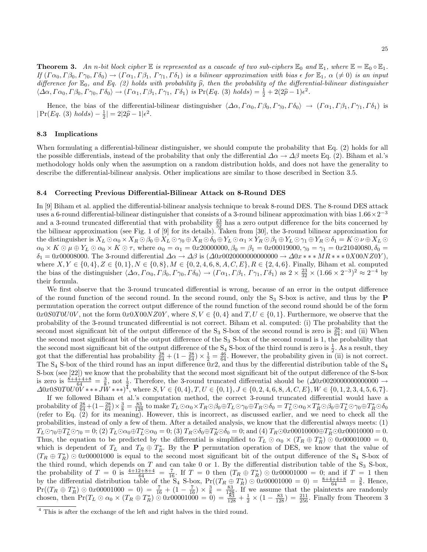**Theorem 3.** An n-bit block cipher  $\mathbb E$  is represented as a cascade of two sub-ciphers  $\mathbb E_0$  and  $\mathbb E_1$ , where  $\mathbb E = \mathbb E_0 \circ \mathbb E_1$ . If  $(\Gamma \alpha_0, \Gamma \beta_0, \Gamma \gamma_0, \Gamma \delta_0) \rightarrow (\Gamma \alpha_1, \Gamma \beta_1, \Gamma \gamma_1, \Gamma \delta_1)$  is a bilinear approximation with bias  $\epsilon$  for  $\mathbb{E}_1$ ,  $\alpha \neq 0$  is an input difference for  $\mathbb{E}_0$ , and Eq. (2) holds with probability  $\widehat{p}$ , then the probability of the differential-bilinear distinguisher  $\langle \Delta \alpha, \Gamma \alpha_0, \Gamma \beta_0, \Gamma \gamma_0, \Gamma \delta_0 \rangle \rightarrow (\Gamma \alpha_1, \Gamma \beta_1, \Gamma \gamma_1, \Gamma \delta_1)$  is Pr(Eq. (3) holds) =  $\frac{1}{2} + 2(2\hat{p} - 1)\epsilon^2$ .

Hence, the bias of the differential-bilinear distinguisher  $\langle \Delta \alpha, \Gamma \alpha_0, \Gamma \beta_0, \Gamma \gamma_0, \Gamma \delta_0 \rangle \rightarrow (\Gamma \alpha_1, \Gamma \beta_1, \Gamma \gamma_1, \Gamma \delta_1)$  is  $|\Pr(Eq. (3) holds) - \frac{1}{2}| = 2|2\hat{p} - 1|\epsilon^2.$ 

### 8.3 Implications

When formulating a differential-bilinear distinguisher, we should compute the probability that Eq. (2) holds for all the possible differentials, instead of the probability that only the differential  $\Delta \alpha \to \Delta \beta$  meets Eq. (2). Biham et al.'s methodology holds only when the assumption on a random distribution holds, and does not have the generality to describe the differential-bilinear analysis. Other implications are similar to those described in Section 3.5.

#### 8.4 Correcting Previous Differential-Bilinear Attack on 8-Round DES

In [9] Biham et al. applied the differential-bilinear analysis technique to break 8-round DES. The 8-round DES attack uses a 6-round differential-bilinear distinguisher that consists of a 3-round bilinear approximation with bias  $1.66 \times 2^{-3}$ and a 3-round truncated differential that with probability  $\frac{23}{32}$  has a zero output difference for the bits concerned by the bilinear approximation (see Fig. 1 of [9] for its details). Taken from [30], the 3-round bilinear approximation for the distinguisher is  $X_L \odot \alpha_0 \times X_R \odot \beta_0 \oplus X_L \odot \gamma_0 \oplus X_R \odot \delta_0 \oplus Y_L \odot \alpha_1 \times Y_R \odot \beta_1 \oplus Y_L \odot \gamma_1 \oplus Y_R \odot \delta_1 = K \odot \nu \oplus X_L \odot \gamma_1$  $\alpha_0 \times K \odot \mu \oplus Y_L \odot \alpha_0 \times K \odot \tau$ , where  $\alpha_0 = \alpha_1 = 0x20000000, \beta_0 = \beta_1 = 0x00019000, \gamma_0 = \gamma_1 = 0x21040080, \delta_0 =$  $\delta_1 = 0x00008000$ . The 3-round differential  $\Delta \alpha \to \Delta \beta$  is  $(\Delta 0x00200000000000 \to \Delta 0x \ast \ast \ast MR \ast \ast 0X00NZ0Y)$ , where  $X, Y \in \{0, 4\}, Z \in \{0, 1\}, N \in \{0, 8\}, M \in \{0, 2, 4, 6, 8, A, C, E\}, R \in \{2, 4, 6\}.$  Finally, Biham et al. computed the bias of the distinguisher  $\langle \Delta \alpha, \Gamma \alpha_0, \Gamma \beta_0, \Gamma \gamma_0, \Gamma \delta_0 \rangle \to (\Gamma \alpha_1, \Gamma \beta_1, \Gamma \gamma_1, \Gamma \delta_1)$  as  $2 \times \frac{23}{32} \times (1.66 \times 2^{-3})^2 \approx 2^{-4}$  by their formula.

We first observe that the 3-round truncated differential is wrong, because of an error in the output difference of the round function of the second round. In the second round, only the  $S_3$  S-box is active, and thus by the **P** permutation operation the correct output difference of the round function of the second round should be of the form  $0x0S0T0U0V$ , not the form  $0x0X00NZ0Y$ , where  $S, V \in \{0, 4\}$  and  $T, U \in \{0, 1\}$ . Furthermore, we observe that the probability of the 3-round truncated differential is not correct. Biham et al. computed: (i) The probability that the second most significant bit of the output difference of the S<sub>3</sub> S-box of the second round is zero is  $\frac{28}{64}$ ; and (ii) When the second most significant bit of the output difference of the  $S_3$  S-box of the second round is 1, the probability that the second most significant bit of the output difference of the  $S_4$  S-box of the third round is zero is  $\frac{1}{2}$ . As a result, they got that the differential has probability  $\frac{28}{64} + (1 - \frac{28}{64}) \times \frac{1}{2} = \frac{46}{64}$ . However, the probability given in (ii) is not correct. The  $S_4$  S-box of the third round has an input difference  $0x2$ , and thus by the differential distribution table of the  $S_4$ S-box (see [22]) we know that the probability that the second most significant bit of the output difference of the S-box is zero is  $\frac{8+4+4+8}{64} = \frac{3}{8}$ , not  $\frac{1}{2}$ . Therefore, the 3-round truncated differential should be  $(\Delta 0x0020000000000000000)$  $\Delta 0x0S0T0U\overrightarrow{0V}$  \* \* \*  $J\overrightarrow{W}$  \* \* \*)<sup> $\overline{4}$ </sup>, where  $S, V \in \{0, 4\}, T, U \in \{0, 1\}, J \in \{0, 2, 4, 6, 8, A, C, E\}, W \in \{0, 1, 2, 3, 4, 5, 6, 7\}.$ 

If we followed Biham et al.'s computation method, the correct 3-round truncated differential would have a  $\text{probability of }\frac{28}{64} + (1-\frac{28}{64}) \times \frac{3}{8} = \frac{83}{128} \text{ to make } T_L \odot \alpha_0 \times T_R \odot \beta_0 \oplus T_L \odot \gamma_0 \oplus T_R \odot \delta_0 = T_L^* \odot \alpha_0 \times T_R^* \odot \beta_0 \oplus T_L^* \odot \gamma_0 \oplus T_R^* \odot \delta_0$ (refer to Eq. (2) for its meaning). However, this is incorrect, as discussed earlier, and we need to check all the probabilities, instead of only a few of them. After a detailed analysis, we know that the differential always meets: (1)  $T_L \odot \gamma_0 \oplus T_L^* \odot \gamma_0 = 0$ ; (2)  $T_L \odot \alpha_0 \oplus T_L^* \odot \alpha_0 = 0$ ; (3)  $T_R \odot \delta_0 \oplus T_R^* \odot \delta_0 = 0$ ; and (4)  $T_R \odot 0x00010000 \oplus T_R^* \odot 0x00010000 = 0$ . Thus, the equation to be predicted by the differential is simplified to  $T_L \odot \alpha_0 \times (T_R \oplus T_R^*) \odot 0x00001000 = 0$ , which is dependent of  $T_L$  and  $T_R \oplus T_R^*$ . By the **P** permutation operation of DES, we know that the value of  $(T_R \oplus T_R^*) \odot 0x0001000$  is equal to the second most significant bit of the output difference of the S<sub>4</sub> S-box of the third round, which depends on T and can take 0 or 1. By the differential distribution table of the  $S_3$  S-box, the probability of  $T = 0$  is  $\frac{4+12+8+4}{64} = \frac{7}{16}$ . If  $T = 0$  then  $(T_R \oplus T_R^*) \odot 0x00001000 = 0$ ; and if  $T = 1$  then by the differential distribution table of the  $S_4$  S-box,  $Pr((T_R \oplus T_R^*) \odot 0x00001000 = 0) = \frac{8+4+4+8}{64} = \frac{3}{8}$ . Hence,  $Pr((T_R \oplus T_R^*) \odot 0x0001000 = 0) = \frac{7}{16} + (1 - \frac{7}{16}) \times \frac{3}{8} = \frac{83}{128}$ . If we assume that the plaintexts are randomly chosen, then  $Pr(T_L \odot \alpha_0 \times (T_R \oplus T_R^*) \odot 0x00001000 = 0) = \frac{33}{128} + \frac{1}{2} \times (1 - \frac{83}{128}) = \frac{211}{256}$ . Finally from Theorem 3

<sup>&</sup>lt;sup>4</sup> This is after the exchange of the left and right halves in the third round.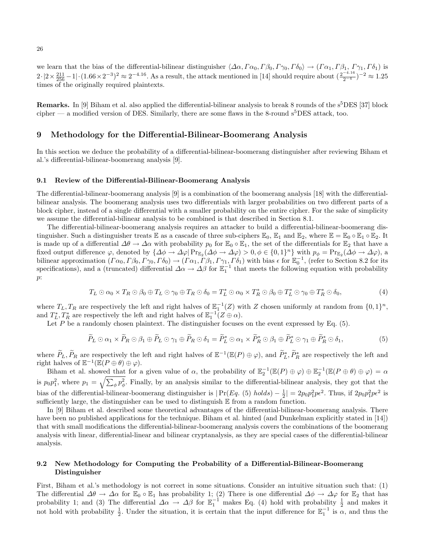we learn that the bias of the differential-bilinear distinguisher  $\langle\Delta\alpha, \Gamma\alpha_0, \Gamma\beta_0, \Gamma\gamma_0, \Gamma\delta_0\rangle \to (\Gamma\alpha_1, \Gamma\beta_1, \Gamma\gamma_1, \Gamma\delta_1)$  is  $2 \cdot |2 \times \frac{211}{256} - 1| \cdot (1.66 \times 2^{-3})^2 \approx 2^{-4.16}$ . As a result, the attack mentioned in [14] should require about  $(\frac{2^{-4.16}}{2^{-4}})^{-2} \approx 1.25$ times of the originally required plaintexts.

**Remarks.** In [9] Biham et al. also applied the differential-bilinear analysis to break 8 rounds of the  $s<sup>5</sup>DES$  [37] block cipher — a modified version of DES. Similarly, there are some flaws in the 8-round  $s^5$ DES attack, too.

### 9 Methodology for the Differential-Bilinear-Boomerang Analysis

In this section we deduce the probability of a differential-bilinear-boomerang distinguisher after reviewing Biham et al.'s differential-bilinear-boomerang analysis [9].

#### 9.1 Review of the Differential-Bilinear-Boomerang Analysis

The differential-bilinear-boomerang analysis [9] is a combination of the boomerang analysis [18] with the differentialbilinear analysis. The boomerang analysis uses two differentials with larger probabilities on two different parts of a block cipher, instead of a single differential with a smaller probability on the entire cipher. For the sake of simplicity we assume the differential-bilinear analysis to be combined is that described in Section 8.1.

The differential-bilinear-boomerang analysis requires an attacker to build a differential-bilinear-boomerang distinguisher. Such a distinguisher treats  $\mathbb E$  as a cascade of three sub-ciphers  $\mathbb E_0$ ,  $\mathbb E_1$  and  $\mathbb E_2$ , where  $\mathbb E = \mathbb E_0 \circ \mathbb E_1 \circ \mathbb E_2$ . It is made up of a differential  $\Delta\theta \to \Delta\alpha$  with probability  $p_0$  for  $\mathbb{E}_0 \circ \mathbb{E}_1$ , the set of the differentials for  $\mathbb{E}_2$  that have a fixed output difference  $\varphi$ , denoted by  $\{\Delta \phi \to \Delta \varphi | \Pr_{\mathbb{E}_2}(\Delta \phi \to \Delta \varphi) > 0, \phi \in \{0,1\}^n\}$  with  $p_{\phi} = \Pr_{\mathbb{E}_2}(\Delta \phi \to \Delta \varphi)$ , a bilinear approximation  $(\Gamma \alpha_0, \Gamma \beta_0, \Gamma \gamma_0, \Gamma \delta_0) \rightarrow (\Gamma \alpha_1, \Gamma \beta_1, \Gamma \gamma_1, \Gamma \delta_1)$  with bias  $\epsilon$  for  $\mathbb{E}_0^{-1}$ , (refer to Section 8.2 for its specifications), and a (truncated) differential  $\Delta \alpha \to \Delta \beta$  for  $\mathbb{E}_1^{-1}$  that meets the following equation with probability p:

$$
T_L \odot \alpha_0 \times T_R \odot \beta_0 \oplus T_L \odot \gamma_0 \oplus T_R \odot \delta_0 = T_L^* \odot \alpha_0 \times T_R^* \odot \beta_0 \oplus T_L^* \odot \gamma_0 \oplus T_R^* \odot \delta_0,
$$
\n
$$
\tag{4}
$$

where  $T_L, T_R$  are respectively the left and right halves of  $\mathbb{E}_1^{-1}(Z)$  with Z chosen uniformly at random from  $\{0,1\}^n$ , and  $T_L^*, T_R^*$  are respectively the left and right halves of  $\mathbb{E}_1^{-1}(Z \oplus \alpha)$ .

Let P be a randomly chosen plaintext. The distinguisher focuses on the event expressed by Eq.  $(5)$ .

$$
\widetilde{P}_L \odot \alpha_1 \times \widetilde{P}_R \odot \beta_1 \oplus \widetilde{P}_L \odot \gamma_1 \oplus \widetilde{P}_R \odot \delta_1 = \widetilde{P}_L^* \odot \alpha_1 \times \widetilde{P}_R^* \odot \beta_1 \oplus \widetilde{P}_L^* \odot \gamma_1 \oplus \widetilde{P}_R^* \odot \delta_1, \tag{5}
$$

where  $\widetilde{P}_L$ ,  $\widetilde{P}_R$  are respectively the left and right halves of  $\mathbb{E}^{-1}(\mathbb{E}(P) \oplus \varphi)$ , and  $\widetilde{P}_L^*, \widetilde{P}_R^*$  are respectively the left and right halves of  $\mathbb{E}^{-1}(\mathbb{E}(P \oplus \theta) \oplus \varphi)$ .

Biham et al. showed that for a given value of  $\alpha$ , the probability of  $\mathbb{E}_2^{-1}(\mathbb{E}(P) \oplus \varphi) \oplus \mathbb{E}_2^{-1}(\mathbb{E}(P \oplus \theta) \oplus \varphi) = \alpha$ is  $p_0 p_1^2$ , where  $p_1 = \sqrt{\sum_{\phi} p_{\phi}^2}$ . Finally, by an analysis similar to the differential-bilinear analysis, they got that the bias of the differential-bilinear-boomerang distinguisher is  $|Pr(Eq. (5) holds) - \frac{1}{2}| = 2p_0p_1^2p\epsilon^2$ . Thus, if  $2p_0p_1^2p\epsilon^2$  is sufficiently large, the distinguisher can be used to distinguish E from a random function.

In [9] Biham et al. described some theoretical advantages of the differential-bilinear-boomerang analysis. There have been no published applications for the technique. Biham et al. hinted (and Dunkelman explicitly stated in [14]) that with small modifications the differential-bilinear-boomerang analysis covers the combinations of the boomerang analysis with linear, differential-linear and bilinear cryptanalysis, as they are special cases of the differential-bilinear analysis.

### 9.2 New Methodology for Computing the Probability of a Differential-Bilinear-Boomerang Distinguisher

First, Biham et al.'s methodology is not correct in some situations. Consider an intuitive situation such that: (1) The differential  $\Delta\theta \to \Delta\alpha$  for  $\mathbb{E}_0 \circ \mathbb{E}_1$  has probability 1; (2) There is one differential  $\Delta\phi \to \Delta\varphi$  for  $\mathbb{E}_2$  that has probability 1; and (3) The differential  $\Delta \alpha \rightarrow \Delta \beta$  for  $\mathbb{E}_1^{-1}$  makes Eq. (4) hold with probability  $\frac{1}{2}$  and makes it not hold with probability  $\frac{1}{2}$ . Under the situation, it is certain that the input difference for  $\mathbb{E}_1^{-1}$  is  $\alpha$ , and thus the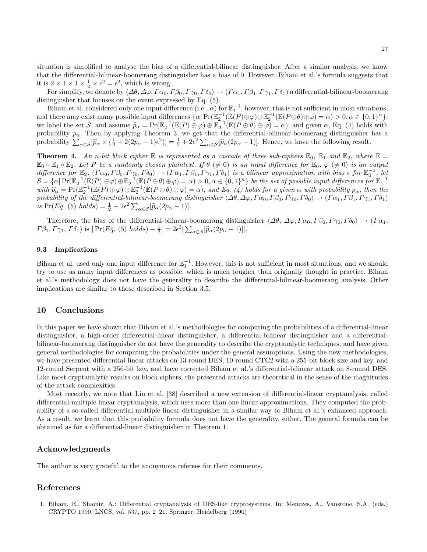situation is simplified to analyse the bias of a differential-bilinear distinguisher. After a similar analysis, we know that the differential-bilinear-boomerang distinguisher has a bias of 0. However, Biham et al.'s formula suggests that it is  $2 \times 1 \times 1 \times \frac{1}{2} \times \epsilon^2 = \epsilon^2$ , which is wrong.

For simplify, we denote by  $\langle \Delta \theta, \Delta \varphi, \Gamma \alpha_0, \Gamma \beta_0, \Gamma \gamma_0, \Gamma \delta_0 \rangle \to (\Gamma \alpha_1, \Gamma \beta_1, \Gamma \gamma_1, \Gamma \delta_1)$  a differential-bilinear-boomerang distinguisher that focuses on the event expressed by Eq. (5).

Biham et al. considered only one input difference (i.e.,  $\alpha$ ) for  $\mathbb{E}_1^{-1}$ , however, this is not sufficient in most situations, Binam et al. Considered only one input differences  $\{\alpha | \Pr(\mathbb{E}_2^{-1}(\mathbb{E}(P) \oplus \varphi) \oplus \mathbb{E}_2^{-1}(\mathbb{E}(P \oplus \theta) \oplus \varphi) = \alpha) > 0, \alpha \in \{0,1\}^n\};$ <br>and there may exist many possible input differences  $\{\alpha | \Pr(\mathbb{E}_2^{-1}(\mathbb{E}(P) \oplus$ we label the set S, and assume  $\widehat{p}_{\alpha} = \Pr(\mathbb{E}_2^{-1}(\mathbb{E}(P) \oplus \varphi) \oplus \mathbb{E}_2^{-1}(\mathbb{E}(P \oplus \theta) \oplus \varphi) = \alpha)$ ; and given  $\alpha$ , Eq. (4) holds with probability  $p_{\alpha}$ . Then by applying Theorem 3, we get that the differential-bilinear-boomerang distinguisher has a probability  $\sum_{\alpha \in \mathcal{S}} [\hat{p}_{\alpha} \times (\frac{1}{2} + 2(2p_{\alpha} - 1)\epsilon^2)] = \frac{1}{2} + 2\epsilon^2 \sum_{\alpha \in \mathcal{S}} [\hat{p}_{\alpha}(2p_{\alpha} - 1)].$  Hence, we have the following result.

**Theorem 4.** An n-bit block cipher  $\mathbb E$  is represented as a cascade of three sub-ciphers  $\mathbb E_0$ ,  $\mathbb E_1$  and  $\mathbb E_2$ , where  $\mathbb E =$  $\mathbb{E}_0 \circ \mathbb{E}_1 \circ \mathbb{E}_2$ . Let P be a randomly chosen plaintext. If  $\theta \neq 0$  is an input difference for  $\mathbb{E}_0$ ,  $\varphi \neq 0$  is an output difference for  $\mathbb{E}_2$ ,  $(\Gamma \alpha_0, \Gamma \beta_0, \Gamma \gamma_0, \Gamma \delta_0) \rightarrow (\Gamma \alpha_1, \Gamma \beta_1, \Gamma \gamma_1, \Gamma \delta_1)$  is a bilinear approximation with bias  $\epsilon$  for  $\mathbb{E}_0^{-1}$ , let  $S = {\alpha | \Pr(\mathbb{E}_2^{-1}(\mathbb{E}(P) \oplus \varphi) \oplus \mathbb{E}_2^{-1}(\mathbb{E}(P \oplus \theta) \oplus \varphi) = \alpha) > 0, \alpha \in \{0,1\}^n\}$  be the set of possible input differences for  $\mathbb{E}_1^{-1}$ <br>with  $\widehat{p}_{\alpha} = \Pr(\mathbb{E}_2^{-1}(\mathbb{E}(P) \oplus \varphi) \oplus \mathbb{E}_2^{-1}(\mathbb{E}(P \oplus \theta) \oplus$ probability of the differential-bilinear-boomerang distinguisher  $\langle\Delta\theta,\Delta\varphi,\Gamma\alpha_0,\Gamma\beta_0,\Gamma\gamma_0,\Gamma\delta_0\rangle\to (\Gamma\alpha_1,\Gamma\beta_1,\Gamma\gamma_1,\Gamma\delta_1)$ is Pr(Eq. (5) holds) =  $\frac{1}{2} + 2\epsilon^2 \sum_{\alpha \in S} [\widehat{p}_{\alpha} (2p_{\alpha} - 1)].$ 

Therefore, the bias of the differential-bilinear-boomerang distinguisher  $\langle \Delta \theta, \Delta \varphi, \Gamma \alpha_0, \Gamma \beta_0, \Gamma \gamma_0, \Gamma \delta_0 \rangle \rightarrow (\Gamma \alpha_1, \Gamma \beta_0, \Gamma \gamma_0)$  $\Gamma \beta_1, \Gamma \gamma_1, \Gamma \delta_1$ ) is  $|\Pr(Eq. (5) holds) - \frac{1}{2}| = 2\epsilon^2 |\sum_{\alpha \in S} [\widehat{p}_{\alpha}(2p_{\alpha} - 1)]|.$ 

### 9.3 Implications

Biham et al. used only one input difference for  $\mathbb{E}_1^{-1}$ . However, this is not sufficient in most situations, and we should try to use as many input differences as possible, which is much tougher than originally thought in practice. Biham et al.'s methodology does not have the generality to describe the differential-bilinear-boomerang analysis. Other implications are similar to those described in Section 3.5.

### 10 Conclusions

In this paper we have shown that Biham et al.'s methodologies for computing the probabilities of a differential-linear distinguisher, a high-order differential-linear distinguisher, a differential-bilinear distinguisher and a differentialbilinear-boomerang distinguisher do not have the generality to describe the cryptanalytic techniques, and have given general methodologies for computing the probabilities under the general assumptions. Using the new methodologies, we have presented differential-linear attacks on 13-round DES, 10-round CTC2 with a 255-bit block size and key, and 12-round Serpent with a 256-bit key, and have corrected Biham et al.'s differential-bilinear attack on 8-round DES. Like most cryptanalytic results on block ciphers, the presented attacks are theoretical in the sense of the magnitudes of the attack complexities.

Most recently, we note that Liu et al. [38] described a new extension of differential-linear cryptanalysis, called differential-multiple linear cryptanalysis, which uses more than one linear approximations. They computed the probability of a so-called differential-multiple linear distinguisher in a similar way to Biham et al.'s enhanced approach. As a result, we learn that this probability formula does not have the generality, either. The general formula can be obtained as for a differential-linear distinguisher in Theorem 1.

### Acknowledgments

The author is very grateful to the anonymous referees for their comments.

### References

1. Biham, E., Shamir, A.: Differential cryptanalysis of DES-like cryptosystems. In: Menezes, A., Vanstone, S.A. (eds.) CRYPTO 1990. LNCS, vol. 537, pp. 2–21. Springer, Heidelberg (1990)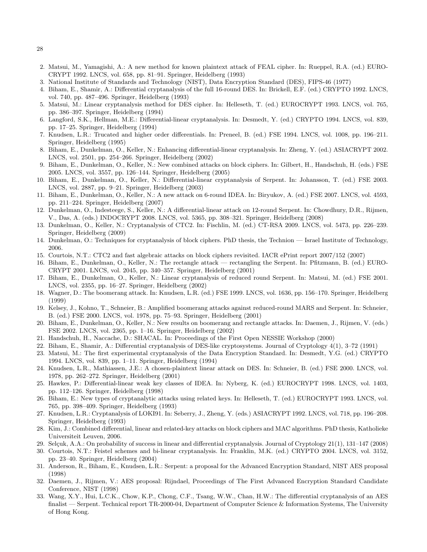- 2. Matsui, M., Yamagishi, A.: A new method for known plaintext attack of FEAL cipher. In: Rueppel, R.A. (ed.) EURO-CRYPT 1992. LNCS, vol. 658, pp. 81–91. Springer, Heidelberg (1993)
- 3. National Institute of Standards and Technology (NIST), Data Encryption Standard (DES), FIPS-46 (1977)
- 4. Biham, E., Shamir, A.: Differential cryptanalysis of the full 16-round DES. In: Brickell, E.F. (ed.) CRYPTO 1992. LNCS, vol. 740, pp. 487–496. Springer, Heidelberg (1993)
- 5. Matsui, M.: Linear cryptanalysis method for DES cipher. In: Helleseth, T. (ed.) EUROCRYPT 1993. LNCS, vol. 765, pp. 386–397. Springer, Heidelberg (1994)
- 6. Langford, S.K., Hellman, M.E.: Differential-linear cryptanalysis. In: Desmedt, Y. (ed.) CRYPTO 1994. LNCS, vol. 839, pp. 17–25. Springer, Heidelberg (1994)
- 7. Knudsen, L.R.: Trucated and higher order differentials. In: Preneel, B. (ed.) FSE 1994. LNCS, vol. 1008, pp. 196–211. Springer, Heidelberg (1995)
- 8. Biham, E., Dunkelman, O., Keller, N.: Enhancing differential-linear cryptanalysis. In: Zheng, Y. (ed.) ASIACRYPT 2002. LNCS, vol. 2501, pp. 254–266. Springer, Heidelberg (2002)
- 9. Biham, E., Dunkelman, O., Keller, N.: New combined attacks on block ciphers. In: Gilbert, H., Handschuh, H. (eds.) FSE 2005. LNCS, vol. 3557, pp. 126–144. Springer, Heidelberg (2005)
- 10. Biham, E., Dunkelman, O., Keller, N.: Differential-linear cryptanalysis of Serpent. In: Johansson, T. (ed.) FSE 2003. LNCS, vol. 2887, pp. 9–21. Springer, Heidelberg (2003)
- 11. Biham, E., Dunkelman, O., Keller, N.: A new attack on 6-round IDEA. In: Biryukov, A. (ed.) FSE 2007. LNCS, vol. 4593, pp. 211–224. Springer, Heidelberg (2007)
- 12. Dunkelman, O., Indesteege, S., Keller, N.: A differential-linear attack on 12-round Serpent. In: Chowdhury, D.R., Rijmen, V., Das, A. (eds.) INDOCRYPT 2008. LNCS, vol. 5365, pp. 308–321. Springer, Heidelberg (2008)
- 13. Dunkelman, O., Keller, N.: Cryptanalysis of CTC2. In: Fischlin, M. (ed.) CT-RSA 2009. LNCS, vol. 5473, pp. 226–239. Springer, Heidelberg (2009)
- 14. Dunkelman, O.: Techniques for cryptanalysis of block ciphers. PhD thesis, the Technion Israel Institute of Technology, 2006.
- 15. Courtois, N.T.: CTC2 and fast algebraic attacks on block ciphers revisited. IACR ePrint report 2007/152 (2007)
- 16. Biham, E., Dunkelman, O., Keller, N.: The rectangle attack rectangling the Serpent. In: Pfitzmann, B. (ed.) EURO-CRYPT 2001. LNCS, vol. 2045, pp. 340–357. Springer, Heidelberg (2001)
- 17. Biham, E., Dunkelman, O., Keller, N.: Linear cryptanalysis of reduced round Serpent. In: Matsui, M. (ed.) FSE 2001. LNCS, vol. 2355, pp. 16–27. Springer, Heidelberg (2002)
- 18. Wagner, D.: The boomerang attack. In: Knudsen, L.R. (ed.) FSE 1999. LNCS, vol. 1636, pp. 156–170. Springer, Heidelberg (1999)
- 19. Kelsey, J., Kohno, T., Schneier, B.: Amplified boomerang attacks against reduced-round MARS and Serpent. In: Schneier, B. (ed.) FSE 2000. LNCS, vol. 1978, pp. 75–93. Springer, Heidelberg (2001)
- 20. Biham, E., Dunkelman, O., Keller, N.: New results on boomerang and rectangle attacks. In: Daemen, J., Rijmen, V. (eds.) FSE 2002. LNCS, vol. 2365, pp. 1–16. Springer, Heidelberg (2002)
- 21. Handschuh, H., Naccache, D.: SHACAL. In: Proceedings of the First Open NESSIE Workshop (2000)
- 22. Biham, E., Shamir, A.: Differential cryptanalysis of DES-like cryptosystems. Journal of Cryptology 4(1), 3–72 (1991)
- 23. Matsui, M.: The first experimental cryptanalysis of the Data Encryption Standard. In: Desmedt, Y.G. (ed.) CRYPTO 1994. LNCS, vol. 839, pp. 1–11. Springer, Heidelberg (1994)
- 24. Knudsen, L.R., Mathiassen, J.E.: A chosen-plaintext linear attack on DES. In: Schneier, B. (ed.) FSE 2000. LNCS, vol. 1978, pp. 262–272. Springer, Heidelberg (2001)
- 25. Hawkes, P.: Differential-linear weak key classes of IDEA. In: Nyberg, K. (ed.) EUROCRYPT 1998. LNCS, vol. 1403, pp. 112–126. Springer, Heidelberg (1998)
- 26. Biham, E.: New types of cryptanalytic attacks using related keys. In: Helleseth, T. (ed.) EUROCRYPT 1993. LNCS, vol. 765, pp. 398–409. Springer, Heidelberg (1993)
- 27. Knudsen, L.R.: Cryptanalysis of LOKI91. In: Seberry, J., Zheng, Y. (eds.) ASIACRYPT 1992. LNCS, vol. 718, pp. 196–208. Springer, Heidelberg (1993)
- 28. Kim, J.: Combined differential, linear and related-key attacks on block ciphers and MAC algorithms. PhD thesis, Katholieke Universiteit Leuven, 2006.
- 29. Selçuk, A.A.: On probability of success in linear and differential cryptanalysis. Journal of Cryptology 21(1), 131–147 (2008)
- 30. Courtois, N.T.: Feistel schemes and bi-linear cryptanalysis. In: Franklin, M.K. (ed.) CRYPTO 2004. LNCS, vol. 3152, pp. 23–40. Springer, Heidelberg (2004)
- 31. Anderson, R., Biham, E., Knudsen, L.R.: Serpent: a proposal for the Advanced Encryption Standard, NIST AES proposal (1998)
- 32. Daemen, J., Rijmen, V.: AES proposal: Rijndael, Proceedings of The First Advanced Encryption Standard Candidate Conference, NIST (1998)
- 33. Wang, X.Y., Hui, L.C.K., Chow, K.P., Chong, C.F., Tsang, W.W., Chan, H.W.: The differential cryptanalysis of an AES finalist — Serpent. Technical report TR-2000-04, Department of Computer Science & Information Systems, The University of Hong Kong.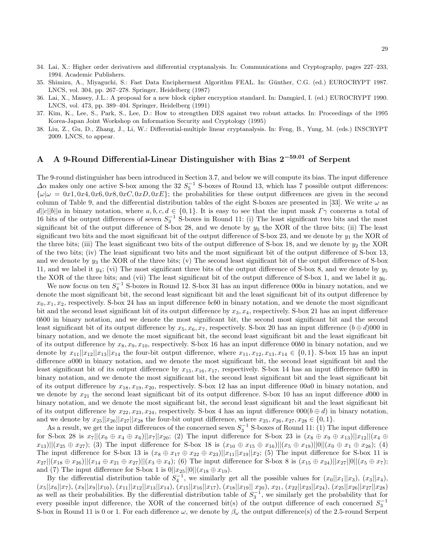- 34. Lai, X.: Higher order derivatives and differential cryptanalysis. In: Communications and Cryptography, pages 227–233, 1994. Academic Publishers.
- 35. Shimizu, A., Miyaguchi, S.: Fast Data Encipherment Algorithm FEAL. In: G¨unther, C.G. (ed.) EUROCRYPT 1987. LNCS, vol. 304, pp. 267–278. Springer, Heidelberg (1987)
- 36. Lai, X., Massey, J.L.: A proposal for a new block cipher encryption standard. In: Damgård, I. (ed.) EUROCRYPT 1990. LNCS, vol. 473, pp. 389–404. Springer, Heidelberg (1991)
- 37. Kim, K., Lee, S., Park, S., Lee, D.: How to strengthen DES against two robust attacks. In: Proceedings of the 1995 Korea-Japan Joint Workshop on Information Security and Cryptology (1995)
- 38. Liu, Z., Gu, D., Zhang, J., Li, W.: Differential-multiple linear cryptanalysis. In: Feng, B., Yung, M. (eds.) INSCRYPT 2009. LNCS, to appear.

# A A 9-Round Differential-Linear Distinguisher with Bias  $2^{-59.01}$  of Serpent

The 9-round distinguisher has been introduced in Section 3.7, and below we will compute its bias. The input difference  $\Delta\alpha$  makes only one active S-box among the 32  $S_5^{-1}$  S-boxes of Round 13, which has 7 possible output differences:  ${\omega|\omega = 0x1, 0x4, 0x6, 0x8, 0xC, 0xD, 0xE}$ ; the probabilities for these output differences are given in the second column of Table 9, and the differential distribution tables of the eight S-boxes are presented in [33]. We write  $\omega$  as  $d||c||b||a$  in binary notation, where  $a, b, c, d \in \{0, 1\}$ . It is easy to see that the input mask  $\Gamma\gamma$  concerns a total of 16 bits of the output differences of seven  $S_3^{-1}$  S-boxes in Round 11: (i) The least significant two bits and the most significant bit of the output difference of S-box 28, and we denote by  $y_0$  the XOR of the three bits; (ii) The least significant two bits and the most significant bit of the output difference of S-box 23, and we denote by  $y_1$  the XOR of the three bits; (iii) The least significant two bits of the output difference of S-box 18, and we denote by  $y_2$  the XOR of the two bits; (iv) The least significant two bits and the most significant bit of the output difference of S-box 13, and we denote by  $y_3$  the XOR of the three bits; (v) The second least significant bit of the output difference of S-box 11, and we label it  $y_4$ ; (vi) The most significant three bits of the output difference of S-box 8, and we denote by  $y_5$ the XOR of the three bits; and (vii) The least significant bit of the output difference of S-box 1, and we label it  $y_6$ .

We now focus on ten  $S_4^{-1}$  S-boxes in Round 12. S-box 31 has an input difference 000a in binary notation, and we denote the most significant bit, the second least significant bit and the least significant bit of its output difference by  $x_0, x_1, x_2$ , respectively. S-box 24 has an input difference *bcb*0 in binary notation, and we denote the most significant bit and the second least significant bit of its output difference by  $x_3, x_4$ , respectively. S-box 21 has an input difference 0b00 in binary notation, and we denote the most significant bit, the second most significant bit and the second least significant bit of its output difference by  $x_5, x_6, x_7$ , respectively. S-box 20 has an input difference  $(b \oplus d)000$  in binary notation, and we denote the most significant bit, the second least significant bit and the least significant bit of its output difference by  $x_8, x_9, x_{10}$ , respectively. S-box 16 has an input difference 00b0 in binary notation, and we denote by  $x_{11}||x_{12}||x_{13}||x_{14}$  the four-bit output difference, where  $x_{11}, x_{12}, x_{13}, x_{14} \in \{0, 1\}$ . S-box 15 has an input difference a000 in binary notation, and we denote the most significant bit, the second least significant bit and the least significant bit of its output difference by  $x_{15}$ ,  $x_{16}$ ,  $x_{17}$ , respectively. S-box 14 has an input difference 0d00 in binary notation, and we denote the most significant bit, the second least significant bit and the least significant bit of its output difference by  $x_{18}, x_{19}, x_{20}$ , respectively. S-box 12 has an input difference  $00a0$  in binary notation, and we denote by  $x_{21}$  the second least significant bit of its output difference. S-box 10 has an input difference  $d000$  in binary notation, and we denote the most significant bit, the second least significant bit and the least significant bit of its output difference by  $x_{22}, x_{23}, x_{24}$ , respectively. S-box 4 has an input difference  $000(b \oplus d)$  in binary notation, and we denote by  $x_{25}||x_{26}||x_{27}||x_{28}$  the four-bit output difference, where  $x_{25}, x_{26}, x_{27}, x_{28} \in \{0, 1\}$ .

As a result, we get the input differences of the concerned seven  $S_3^{-1}$  S-boxes of Round 11: (1) The input difference for S-box 28 is  $x_7||(x_0 \oplus x_4 \oplus x_6)||x_7||x_{20}$ ; (2) The input difference for S-box 23 is  $(x_8 \oplus x_9 \oplus x_{13})||x_{12}||(x_4 \oplus x_{13})||x_{14}||x_{15}||$  $x_{13}$ || $(x_{25} \oplus x_{27})$ ; (3) The input difference for S-box 18 is  $(x_{10} \oplus x_{15} \oplus x_{16})$ || $(x_{5} \oplus x_{19})$ ||0|| $(x_{0} \oplus x_{1} \oplus x_{28})$ ; (4) The input difference for S-box 13 is  $(x_8 \oplus x_{17} \oplus x_{22} \oplus x_{23})||x_{11}||x_{19}||x_2$ ; (5) The input difference for S-box 11 is  $x_{27}||(x_{18} \oplus x_{26})||(x_{14} \oplus x_{21} \oplus x_{27})||(x_3 \oplus x_4);$  (6) The input difference for S-box 8 is  $(x_{15} \oplus x_{24})||x_{27}||0||(x_5 \oplus x_7);$ and (7) The input difference for S-box 1 is  $0||x_{25}||0||(x_{18} \oplus x_{19})$ .

By the differential distribution table of  $S_4^{-1}$ , we similarly get all the possible values for  $(x_0||x_1||x_3)$ ,  $(x_3||x_4)$ ,  $(x_5||x_6||x_7), (x_8||x_9||x_{10}), (x_{11}||x_{12}||x_{13}||x_{14}), (x_{15}||x_{16}||x_{17}), (x_{18}||x_{19}||x_{20}), x_{21}, (x_{22}||x_{23}||x_{24}), (x_{25}||x_{26}||x_{27}||x_{28})$ as well as their probabilities. By the differential distribution table of  $S_3^{-1}$ , we similarly get the probability that for every possible input difference, the XOR of the concerned bit(s) of the output difference of each concerned  $S_3^{-1}$ S-box in Round 11 is 0 or 1. For each difference  $\omega$ , we denote by  $\beta_{\omega}$  the output difference(s) of the 2.5-round Serpent